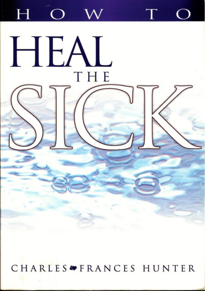

CHARLES FRANCES HUNTER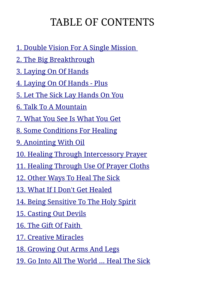# TABLE OF CONTENTS

- [1. Double Vision For A Single Mission](#page-2-0)
- [2. The Big Breakthrough](#page-18-0)
- [3. Laying On Of Hands](#page-25-0)
- [4. Laying On Of Hands Plus](#page-47-0)
- [5. Let The Sick Lay Hands On You](#page-64-0)
- [6. Talk To A Mountain](#page-73-0)
- [7. What You See Is What You Get](#page-94-0)
- [8. Some Conditions For Healing](#page-123-0)
- [9. Anointing With Oil](#page-136-0)
- [10. Healing Through Intercessory Prayer](#page-143-0)
- [11. Healing Through Use Of Prayer Cloths](#page-147-0)
- [12. Other Ways To Heal The Sick](#page-152-0)
- [13. What If I Don't Get Healed](#page-169-0)
- [14. Being Sensitive To The Holy Spirit](#page-172-0)
- [15. Casting Out Devils](#page-178-0)
- [16. The Gift Of Faith](#page-225-0)
- [17. Creative Miracles](#page-244-0)
- [18. Growing Out Arms And Legs](#page-262-0)
- [19. Go Into All The World ... Heal The Sick](#page-280-0)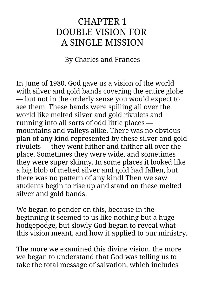## <span id="page-2-0"></span>CHAPTER 1 DOUBLE VISION FOR A SINGLE MISSION

By Charles and Frances

In June of 1980, God gave us a vision of the world with silver and gold bands covering the entire globe — but not in the orderly sense you would expect to see them. These bands were spilling all over the world like melted silver and gold rivulets and running into all sorts of odd little places mountains and valleys alike. There was no obvious plan of any kind represented by these silver and gold rivulets — they went hither and thither all over the place. Sometimes they were wide, and sometimes they were super skinny. In some places it looked like a big blob of melted silver and gold had fallen, but there was no pattern of any kind! Then we saw students begin to rise up and stand on these melted silver and gold bands.

We began to ponder on this, because in the beginning it seemed to us like nothing but a huge hodgepodge, but slowly God began to reveal what this vision meant, and how it applied to our ministry.

The more we examined this divine vision, the more we began to understand that God was telling us to take the total message of salvation, which includes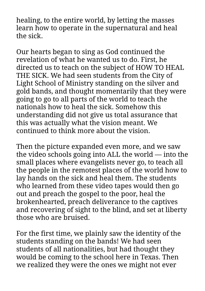healing, to the entire world, by letting the masses learn how to operate in the supernatural and heal the sick.

Our hearts began to sing as God continued the revelation of what he wanted us to do. First, he directed us to teach on the subject of HOW TO HEAL THE SICK. We had seen students from the City of Light School of Ministry standing on the silver and gold bands, and thought momentarily that they were going to go to all parts of the world to teach the nationals how to heal the sick. Somehow this understanding did not give us total assurance that this was actually what the vision meant. We continued to think more about the vision.

Then the picture expanded even more, and we saw the video schools going into ALL the world — into the small places where evangelists never go, to teach all the people in the remotest places of the world how to lay hands on the sick and heal them. The students who learned from these video tapes would then go out and preach the gospel to the poor, heal the brokenhearted, preach deliverance to the captives and recovering of sight to the blind, and set at liberty those who are bruised.

For the first time, we plainly saw the identity of the students standing on the bands! We had seen students of all nationalities, but had thought they would be coming to the school here in Texas. Then we realized they were the ones we might not ever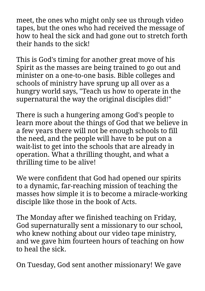meet, the ones who might only see us through video tapes, but the ones who had received the message of how to heal the sick and had gone out to stretch forth their hands to the sick!

This is God's timing for another great move of his Spirit as the masses are being trained to go out and minister on a one-to-one basis. Bible colleges and schools of ministry have sprung up all over as a hungry world says, "Teach us how to operate in the supernatural the way the original disciples did!"

There is such a hungering among God's people to learn more about the things of God that we believe in a few years there will not be enough schools to fill the need, and the people will have to be put on a wait-list to get into the schools that are already in operation. What a thrilling thought, and what a thrilling time to be alive!

We were confident that God had opened our spirits to a dynamic, far-reaching mission of teaching the masses how simple it is to become a miracle-working disciple like those in the book of Acts.

The Monday after we finished teaching on Friday, God supernaturally sent a missionary to our school, who knew nothing about our video tape ministry, and we gave him fourteen hours of teaching on how to heal the sick.

On Tuesday, God sent another missionary! We gave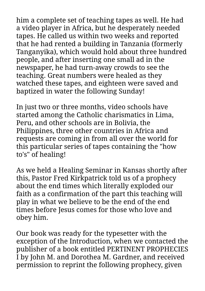him a complete set of teaching tapes as well. He had a video player in Africa, but he desperately needed tapes. He called us within two weeks and reported that he had rented a building in Tanzania (formerly Tanganyika), which would hold about three hundred people, and after inserting one small ad in the newspaper, he had turn-away crowds to see the teaching. Great numbers were healed as they watched these tapes, and eighteen were saved and baptized in water the following Sunday!

In just two or three months, video schools have started among the Catholic charismatics in Lima, Peru, and other schools are in Bolivia, the Philippines, three other countries in Africa and requests are coming in from all over the world for this particular series of tapes containing the "how to's" of healing!

As we held a Healing Seminar in Kansas shortly after this, Pastor Fred Kirkpatrick told us of a prophecy about the end times which literally exploded our faith as a confirmation of the part this teaching will play in what we believe to be the end of the end times before Jesus comes for those who love and obey him.

Our book was ready for the typesetter with the exception of the Introduction, when we contacted the publisher of a book entitled PERTINENT PROPHECIES I by John M. and Dorothea M. Gardner, and received permission to reprint the following prophecy, given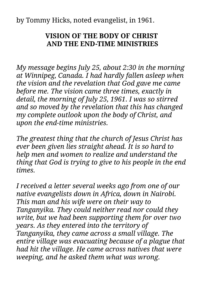by Tommy Hicks, noted evangelist, in 1961.

#### **VISION OF THE BODY OF CHRIST AND THE END-TIME MINISTRIES**

*My message begins July 25, about 2:30 in the morning at Winnipeg, Canada. I had hardly fallen asleep when the vision and the revelation that God gave me came before me. The vision came three times, exactly in detail, the morning of July 25, 1961. I was so stirred and so moved by the revelation that this has changed my complete outlook upon the body of Christ, and upon the end-time ministries.*

*The greatest thing that the church of Jesus Christ has ever been given lies straight ahead. It is so hard to help men and women to realize and understand the thing that God is trying to give to his people in the end times.*

*I received a letter several weeks ago from one of our native evangelists down in Africa, down in Nairobi. This man and his wife were on their way to Tanganyika. They could neither read nor could they write, but we had been supporting them for over two years. As they entered into the territory of Tanganyika, they came across a small village. The entire village was evacuating because of a plague that had hit the village. He came across natives that were weeping, and he asked them what was wrong.*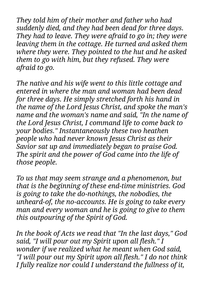*They told him of their mother and father who had suddenly died, and they had been dead for three days. They had to leave. They were afraid to go in; they were leaving them in the cottage. He turned and asked them where they were. They pointed to the hut and he asked them to go with him, but they refused. They were afraid to go.*

*The native and his wife went to this little cottage and entered in where the man and woman had been dead for three days. He simply stretched forth his hand in the name of the Lord Jesus Christ, and spoke the man's name and the woman's name and said, "In the name of the Lord Jesus Christ, I command life to come back to your bodies." Instantaneously these two heathen people who had never known Jesus Christ as their Savior sat up and immediately began to praise God. The spirit and the power of God came into the life of those people.*

*To us that may seem strange and a phenomenon, but that is the beginning of these end-time ministries. God is going to take the do-nothings, the nobodies, the unheard-of, the no-accounts. He is going to take every man and every woman and he is going to give to them this outpouring of the Spirit of God.*

*In the book of Acts we read that "In the last days," God said, "I will pour out my Spirit upon all flesh." I wonder if we realized what he meant when God said, "I will pour out my Spirit upon all flesh." I do not think I fully realize nor could I understand the fullness of it,*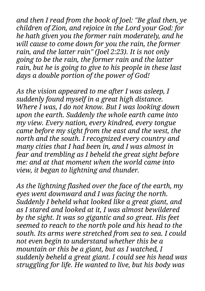*and then I read from the book of Joel: "Be glad then, ye children of Zion, and rejoice in the Lord your God: for he hath given you the former rain moderately, and he will cause to come down for you the rain, the former rain, and the latter rain" (Joel 2:23). It is not only going to be the rain, the former rain and the latter rain, but he is going to give to his people in these last days a double portion of the power of God!*

*As the vision appeared to me after I was asleep, I suddenly found myself in a great high distance. Where I was, I do not know. But I was looking down upon the earth. Suddenly the whole earth came into my view. Every nation, every kindred, every tongue came before my sight from the east and the west, the north and the south. I recognized every country and many cities that I had been in, and I was almost in fear and trembling as I beheld the great sight before me: and at that moment when the world came into view, it began to lightning and thunder.*

*As the lightning flashed over the face of the earth, my eyes went downward and I was facing the north. Suddenly I beheld what looked like a great giant, and as I stared and looked at it, I was almost bewildered by the sight. It was so gigantic and so great. His feet seemed to reach to the north pole and his head to the south. Its arms were stretched from sea to sea. I could not even begin to understand whether this be a mountain or this be a giant, but as I watched, I suddenly beheld a great giant. I could see his head was struggling for life. He wanted to live, but his body was*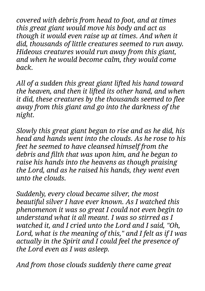*covered with debris from head to foot, and at times this great giant would move his body and act as though it would even raise up at times. And when it did, thousands of little creatures seemed to run away. Hideous creatures would run away from this giant, and when he would become calm, they would come back.*

*All of a sudden this great giant lifted his hand toward the heaven, and then it lifted its other hand, and when it did, these creatures by the thousands seemed to flee away from this giant and go into the darkness of the night.*

*Slowly this great giant began to rise and as he did, his head and hands went into the clouds. As he rose to his feet he seemed to have cleansed himself from the debris and filth that was upon him, and he began to raise his hands into the heavens as though praising the Lord, and as he raised his hands, they went even unto the clouds.*

*Suddenly, every cloud became silver, the most beautiful silver I have ever known. As I watched this phenomenon it was so great I could not even begin to understand what it all meant. I was so stirred as I watched it, and I cried unto the Lord and I said, "Oh, Lord, what is the meaning of this," and I felt as if I was actually in the Spirit and I could feel the presence of the Lord even as I was asleep.*

*And from those clouds suddenly there came great*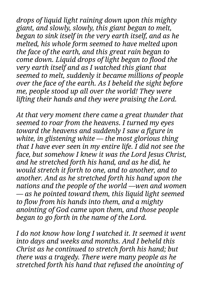*drops of liquid light raining down upon this mighty giant, and slowly, slowly, this giant began to melt, began to sink itself in the very earth itself, and as he melted, his whole form seemed to have melted upon the face of the earth, and this great rain began to come down. Liquid drops of light began to flood the very earth itself and as I watched this giant that seemed to melt, suddenly it became millions of people over the face of the earth. As I beheld the sight before me, people stood up all over the world! They were lifting their hands and they were praising the Lord.*

*At that very moment there came a great thunder that seemed to roar from the heavens. I turned my eyes toward the heavens and suddenly I saw a figure in white, in glistening white — the most glorious thing that I have ever seen in my entire life. I did not see the face, but somehow I knew it was the Lord Jesus Christ, and he stretched forth his hand, and as he did, he would stretch it forth to one, and to another, and to another. And as he stretched forth his hand upon the nations and the people of the world —wen and women — as he pointed toward them, this liquid light seemed to flow from his hands into them, and a mighty anointing of God came upon them, and those people began to go forth in the name of the Lord.*

*I do not know how long I watched it. It seemed it went into days and weeks and months. And I beheld this Christ as he continued to stretch forth his hand; but there was a tragedy. There were many people as he stretched forth his hand that refused the anointing of*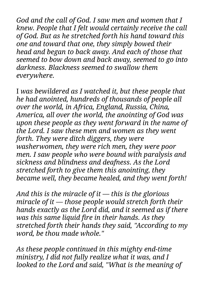*God and the call of God. I saw men and women that I knew. People that I felt would certainly receive the call of God. But as he stretched forth his hand toward this one and toward that one, they simply bowed their head and began to back away. And each of those that seemed to bow down and back away, seemed to go into darkness. Blackness seemed to swallow them everywhere.*

I *was bewildered as I watched it, but these people that he had anointed, hundreds of thousands of people all over the world, in Africa, England, Russia, China, America, all over the world, the anointing of God was upon these people as they went forward in the name of the Lord. I saw these men and women as they went forth. They were ditch diggers, they were washerwomen, they were rich men, they were poor men. I saw people who were bound with paralysis and sickness and blindness and deafness. As the Lord stretched forth to give them this anointing, they became well, they became healed, and they went forth!*

*And this is the miracle of it — this is the glorious miracle of it — those people would stretch forth their hands exactly as the Lord did, and it seemed as if there was this same liquid fire in their hands. As they stretched forth their hands they said, "According to my word, be thou made whole."*

*As these people continued in this mighty end-time ministry, I did not fully realize what it was, and I looked to the Lord and said, "What is the meaning of*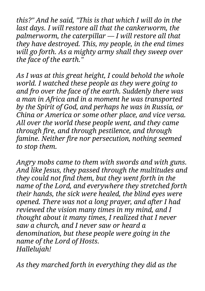*this?" And he said, "This is that which I will do in the last days. I will restore all that the cankerworm, the palmerworm, the caterpillar — I will restore all that they have destroyed. This, my people, in the end times will go forth. As a mighty army shall they sweep over the face of the earth."*

*As I was at this great height, I could behold the whole world. I watched these people as they were going to and fro over the face of the earth. Suddenly there was a man in Africa and in a moment he was transported by the Spirit of God, and perhaps he was in Russia, or China or America or some other place, and vice versa. All over the world these people went, and they came through fire, and through pestilence, and through famine. Neither fire nor persecution, nothing seemed to stop them.*

*Angry mobs came to them with swords and with guns. And like Jesus, they passed through the multitudes and they could not find them, but they went forth in the name of the Lord, and everywhere they stretched forth their hands, the sick were healed, the blind eyes were opened. There was not a long prayer, and after I had reviewed the vision many times in my mind, and I thought about it many times, I realized that I never saw a church, and I never saw or heard a denomination, but these people were going in the name of the Lord of Hosts. Hallelujah!*

*As they marched forth in everything they did as the*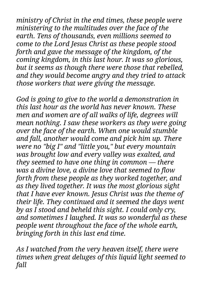*ministry of Christ in the end times, these people were ministering to the multitudes over the face of the earth. Tens of thousands, even millions seemed to come to the Lord Jesus Christ as these people stood forth and gave the message of the kingdom, of the coming kingdom, in this last hour. It was so glorious, but it seems as though there were those that rebelled, and they would become angry and they tried to attack those workers that were giving the message.*

*God is going to give to the world a demonstration in this last hour as the world has never known. These men and women are of all walks of life, degrees will mean nothing. I saw these workers as they were going over the face of the earth. When one would stumble and fall, another would come and pick him up. There were no "big I" and "little you," but every mountain was brought low and every valley was exalted, and they seemed to have one thing in common — there was a divine love, a divine love that seemed to flow forth from these people as they worked together, and as they lived together. It was the most glorious sight that I have ever known. Jesus Christ was the theme of their life. They continued and it seemed the days went by as I stood and beheld this sight. I could only cry, and sometimes I laughed. It was so wonderful as these people went throughout the face of the whole earth, bringing forth in this last end time.*

*As I watched from the very heaven itself, there were times when great deluges of this liquid light seemed to fall*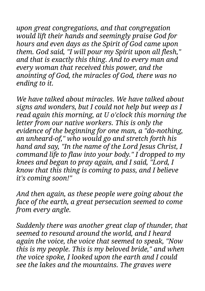*upon great congregations, and that congregation would lift their hands and seemingly praise God for hours and even days as the Spirit of God came upon them. God said, "I will pour my Spirit upon all flesh," and that is exactly this thing. And to every man and every woman that received this power, and the anointing of God, the miracles of God, there was no ending to it.*

*We have talked about miracles. We have talked about signs and wonders, but I could not help but weep as I read again this morning, at U o'clock this morning the letter from our native workers. This is only the evidence of the beginning for one man, a "do-nothing, an unheard-of," who would go and stretch forth his hand and say, "In the name of the Lord Jesus Christ, I command life to flaw into your body." I dropped to my knees and began to pray again, and I said, "Lord, I know that this thing is coming to pass, and I believe it's coming soon!"*

*And then again, as these people were going about the face of the earth, a great persecution seemed to come from every angle.*

*Suddenly there was another great clap of thunder, that seemed to resound around the world, and I heard again the voice, the voice that seemed to speak, "Now this is my people. This is my beloved bride," and when the voice spoke, I looked upon the earth and I could see the lakes and the mountains. The graves were*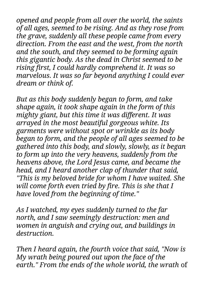*opened and people from all over the world, the saints of all ages, seemed to be rising. And as they rose from the grave, suddenly all these people came from every direction. From the east and the west, from the north and the south, and they seemed to be forming again this gigantic body. As the dead in Christ seemed to be rising first, I could hardly comprehend it. It was so marvelous. It was so far beyond anything I could ever dream or think of.*

*But as this body suddenly began to form, and take shape again, it took shape again in the form of this mighty giant, but this time it was different. It was arrayed in the most beautiful gorgeous white. Its garments were without spot or wrinkle as its body began to form, and the people of all ages seemed to be gathered into this body, and slowly, slowly, as it began to form up into the very heavens, suddenly from the heavens above, the Lord Jesus came, and became the head, and I heard another clap of thunder that said, "This is my beloved bride for whom I have waited. She will come forth even tried by fire. This is she that I have loved from the beginning of time."*

*As I watched, my eyes suddenly turned to the far north, and I saw seemingly destruction: men and women in anguish and crying out, and buildings in destruction.*

*Then I heard again, the fourth voice that said, "Now is My wrath being poured out upon the face of the earth." From the ends of the whole world, the wrath* of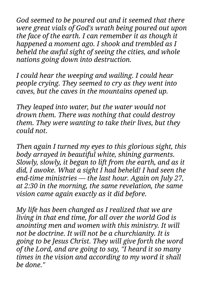*God seemed to be poured out and it seemed that there were great vials of God's wrath being poured out upon the face of the earth. I can remember it as though it happened a moment ago. I shook and trembled as I beheld the awful sight of seeing the cities, and whole nations going down into destruction.*

*I could hear the weeping and wailing. I could hear people crying. They seemed to cry as they went into caves, but the caves in the mountains opened up.*

*They leaped into water, but the water would not drown them. There was nothing that could destroy them. They were wanting to take their lives, but they could not.*

*Then again I turned my eyes to this glorious sight, this body arrayed in beautiful white, shining garments. Slowly, slowly, it began to lift from the earth, and as it did, I awoke. What a sight I had beheld! I had seen the end-time ministries — the last hour. Again on July 27, at 2:30 in the morning, the same revelation, the same vision came again exactly as it did before.*

*My life has been changed as I realized that we are living in that end time, for all over the world God is anointing men and women with this ministry. It will not be doctrine. It will not be a churchianity. It is going to be Jesus Christ. They will give forth the word of the Lord, and are going to say, "I heard it so many times in the vision and according to my word it shall be done."*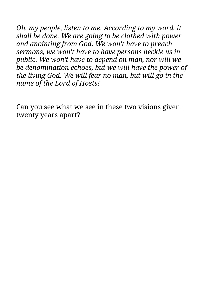*Oh, my people, listen to me. According to my word, it shall be done. We are going to be clothed with power and anointing from God. We won't have to preach sermons, we won't have to have persons heckle us in public. We won't have to depend on man, nor will we be denomination echoes, but we will have the power of the living God. We will fear no man, but will go in the name of the Lord of Hosts!*

Can you see what we see in these two visions given twenty years apart?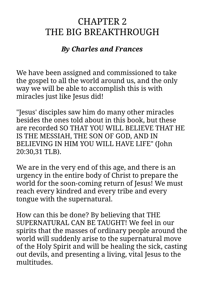## <span id="page-18-0"></span>CHAPTER 2 THE BIG BREAKTHROUGH

#### *By Charles and Frances*

We have been assigned and commissioned to take the gospel to all the world around us, and the only way we will be able to accomplish this is with miracles just like Jesus did!

"Jesus' disciples saw him do many other miracles besides the ones told about in this book, but these are recorded SO THAT YOU WILL BELIEVE THAT HE IS THE MESSIAH, THE SON OF GOD, AND IN BELIEVING IN HIM YOU WILL HAVE LIFE" (John 20:30,31 TLB).

We are in the very end of this age, and there is an urgency in the entire body of Christ to prepare the world for the soon-coming return of Jesus! We must reach every kindred and every tribe and every tongue with the supernatural.

How can this be done? By believing that THE SUPERNATURAL CAN BE TAUGHT! We feel in our spirits that the masses of ordinary people around the world will suddenly arise to the supernatural move of the Holy Spirit and will be healing the sick, casting out devils, and presenting a living, vital Jesus to the multitudes.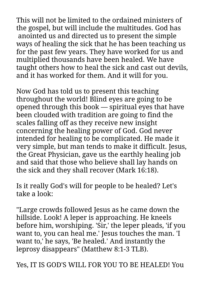This will not be limited to the ordained ministers of the gospel, but will include the multitudes. God has anointed us and directed us to present the simple ways of healing the sick that he has been teaching us for the past few years. They have worked for us and multiplied thousands have been healed. We have taught others how to heal the sick and cast out devils, and it has worked for them. And it will for you.

Now God has told us to present this teaching throughout the world! Blind eyes are going to be opened through this book — spiritual eyes that have been clouded with tradition are going to find the scales falling off as they receive new insight concerning the healing power of God. God never intended for healing to be complicated. He made it very simple, but man tends to make it difficult. Jesus, the Great Physician, gave us the earthly healing job and said that those who believe shall lay hands on the sick and they shall recover (Mark 16:18).

Is it really God's will for people to be healed? Let's take a look:

"Large crowds followed Jesus as he came down the hillside. Look! A leper is approaching. He kneels before him, worshiping. 'Sir,' the leper pleads, 'if you want to, you can heal me.' Jesus touches the man. 'I want to,' he says, 'Be healed.' And instantly the leprosy disappears" (Matthew 8:1-3 TLB).

Yes, IT IS GOD'S WILL FOR YOU TO BE HEALED! You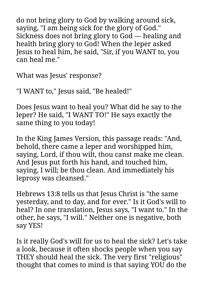do not bring glory to God by walking around sick, saying, "I am being sick for the glory of God." Sickness does not bring glory to God — healing and health bring glory to God! When the leper asked Jesus to heal him, he said, "Sir, if you WANT to, you can heal me."

What was Jesus' response?

"I WANT to," Jesus said, "Be healed!"

Does Jesus want to heal you? What did he say to the leper? He said, "I WANT TO!" He says exactly the same thing to you today!

In the King James Version, this passage reads: "And, behold, there came a leper and worshipped him, saying, Lord, if thou wilt, thou canst make me clean. And Jesus put forth his hand, and touched him, saying, I will; be thou clean. And immediately his leprosy was cleansed."

Hebrews 13:8 tells us that Jesus Christ is "the same yesterday, and to day, and for ever." Is it God's will to heal? In one translation, Jesus says, "I want to." In the other, he says, "I will." Neither one is negative, both say YES!

Is it really God's will for us to heal the sick? Let's take a look, because it often shocks people when you say THEY should heal the sick. The very first "religious" thought that comes to mind is that saying YOU do the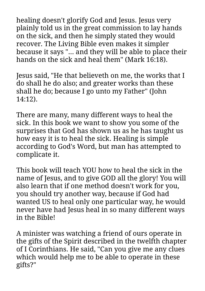healing doesn't glorify God and Jesus. Jesus very plainly told us in the great commission to lay hands on the sick, and then he simply stated they would recover. The Living Bible even makes it simpler because it says "... and they will be able to place their hands on the sick and heal them" (Mark 16:18).

Jesus said, "He that believeth on me, the works that I do shall he do also; and greater works than these shall he do; because I go unto my Father" (John 14:12).

There are many, many different ways to heal the sick. In this book we want to show you some of the surprises that God has shown us as he has taught us how easy it is to heal the sick. Healing is simple according to God's Word, but man has attempted to complicate it.

This book will teach YOU how to heal the sick in the name of Jesus, and to give GOD all the glory! You will also learn that if one method doesn't work for you, you should try another way, because if God had wanted US to heal only one particular way, he would never have had Jesus heal in so many different ways in the Bible!

A minister was watching a friend of ours operate in the gifts of the Spirit described in the twelfth chapter of I Corinthians. He said, "Can you give me any clues which would help me to be able to operate in these gifts?"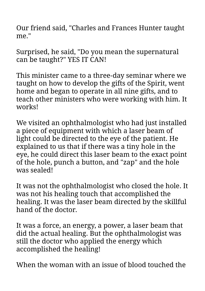Our friend said, "Charles and Frances Hunter taught me."

Surprised, he said, "Do you mean the supernatural can be taught?" YES IT CAN!

This minister came to a three-day seminar where we taught on how to develop the gifts of the Spirit, went home and began to operate in all nine gifts, and to teach other ministers who were working with him. It works!

We visited an ophthalmologist who had just installed a piece of equipment with which a laser beam of light could be directed to the eye of the patient. He explained to us that if there was a tiny hole in the eye, he could direct this laser beam to the exact point of the hole, punch a button, and "zap" and the hole was sealed!

It was not the ophthalmologist who closed the hole. It was not his healing touch that accomplished the healing. It was the laser beam directed by the skillful hand of the doctor.

It was a force, an energy, a power, a laser beam that did the actual healing. But the ophthalmologist was still the doctor who applied the energy which accomplished the healing!

When the woman with an issue of blood touched the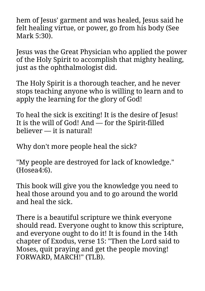hem of Jesus' garment and was healed, Jesus said he felt healing virtue, or power, go from his body (See Mark 5:30).

Jesus was the Great Physician who applied the power of the Holy Spirit to accomplish that mighty healing, just as the ophthalmologist did.

The Holy Spirit is a thorough teacher, and he never stops teaching anyone who is willing to learn and to apply the learning for the glory of God!

To heal the sick is exciting! It is the desire of Jesus! It is the will of God! And — for the Spirit-filled believer — it is natural!

Why don't more people heal the sick?

"My people are destroyed for lack of knowledge." (Hosea4:6).

This book will give you the knowledge you need to heal those around you and to go around the world and heal the sick.

There is a beautiful scripture we think everyone should read. Everyone ought to know this scripture, and everyone ought to do it! It is found in the 14th chapter of Exodus, verse 15: "Then the Lord said to Moses, quit praying and get the people moving! FORWARD, MARCH!" (TLB).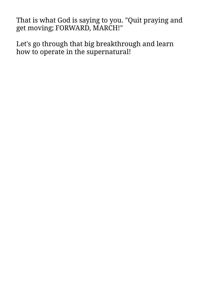That is what God is saying to you. "Quit praying and get moving; FORWARD, MARCH!"

Let's go through that big breakthrough and learn how to operate in the supernatural!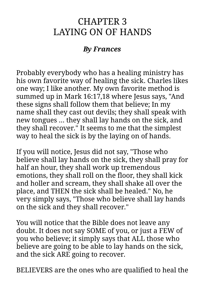### <span id="page-25-0"></span>CHAPTER 3 LAYING ON OF HANDS

#### *By Frances*

Probably everybody who has a healing ministry has his own favorite way of healing the sick. Charles likes one way; I like another. My own favorite method is summed up in Mark 16:17,18 where Jesus says, "And these signs shall follow them that believe; In my name shall they cast out devils; they shall speak with new tongues ... they shall lay hands on the sick, and they shall recover." It seems to me that the simplest way to heal the sick is by the laying on of hands.

If you will notice, Jesus did not say, "Those who believe shall lay hands on the sick, they shall pray for half an hour, they shall work up tremendous emotions, they shall roll on the floor, they shall kick and holler and scream, they shall shake all over the place, and THEN the sick shall be healed." No, he very simply says, "Those who believe shall lay hands on the sick and they shall recover."

You will notice that the Bible does not leave any doubt. It does not say SOME of you, or just a FEW of you who believe; it simply says that ALL those who believe are going to be able to lay hands on the sick, and the sick ARE going to recover.

BELIEVERS are the ones who are qualified to heal the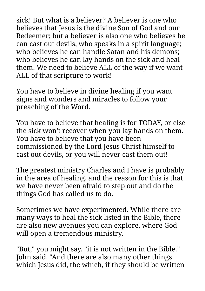sick! But what is a believer? A believer is one who believes that Jesus is the divine Son of God and our Redeemer; but a believer is also one who believes he can cast out devils, who speaks in a spirit language; who believes he can handle Satan and his demons; who believes he can lay hands on the sick and heal them. We need to believe ALL of the way if we want ALL of that scripture to work!

You have to believe in divine healing if you want signs and wonders and miracles to follow your preaching of the Word.

You have to believe that healing is for TODAY, or else the sick won't recover when you lay hands on them. You have to believe that you have been commissioned by the Lord Jesus Christ himself to cast out devils, or you will never cast them out!

The greatest ministry Charles and I have is probably in the area of healing, and the reason for this is that we have never been afraid to step out and do the things God has called us to do.

Sometimes we have experimented. While there are many ways to heal the sick listed in the Bible, there are also new avenues you can explore, where God will open a tremendous ministry.

"But," you might say, "it is not written in the Bible." John said, "And there are also many other things which Jesus did, the which, if they should be written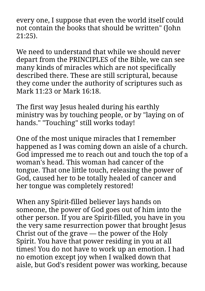every one, I suppose that even the world itself could not contain the books that should be written" (John 21:25).

We need to understand that while we should never depart from the PRINCIPLES of the Bible, we can see many kinds of miracles which are not specifically described there. These are still scriptural, because they come under the authority of scriptures such as Mark 11:23 or Mark 16:18.

The first way Jesus healed during his earthly ministry was by touching people, or by "laying on of hands." "Touching" still works today!

One of the most unique miracles that I remember happened as I was coming down an aisle of a church. God impressed me to reach out and touch the top of a woman's head. This woman had cancer of the tongue. That one little touch, releasing the power of God, caused her to be totally healed of cancer and her tongue was completely restored!

When any Spirit-filled believer lays hands on someone, the power of God goes out of him into the other person. If you are Spirit-filled, you have in you the very same resurrection power that brought Jesus Christ out of the grave — the power of the Holy Spirit. You have that power residing in you at all times! You do not have to work up an emotion. I had no emotion except joy when I walked down that aisle, but God's resident power was working, because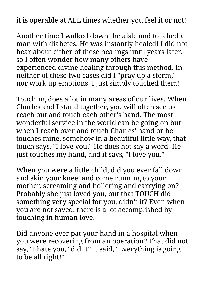it is operable at ALL times whether you feel it or not!

Another time I walked down the aisle and touched a man with diabetes. He was instantly healed! I did not hear about either of these healings until years later, so I often wonder how many others have experienced divine healing through this method. In neither of these two cases did I "pray up a storm," nor work up emotions. I just simply touched them!

Touching does a lot in many areas of our lives. When Charles and I stand together, you will often see us reach out and touch each other's hand. The most wonderful service in the world can be going on but when I reach over and touch Charles' hand or he touches mine, somehow in a beautiful little way, that touch says, "I love you." He does not say a word. He just touches my hand, and it says, "I love you."

When you were a little child, did you ever fall down and skin your knee, and come running to your mother, screaming and hollering and carrying on? Probably she just loved you, but that TOUCH did something very special for you, didn't it? Even when you are not saved, there is a lot accomplished by touching in human love.

Did anyone ever pat your hand in a hospital when you were recovering from an operation? That did not say, "I hate you," did it? It said, "Everything is going to be all right!"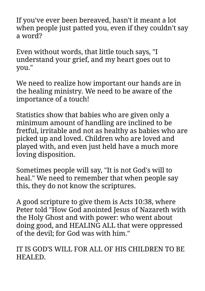If you've ever been bereaved, hasn't it meant a lot when people just patted you, even if they couldn't say a word?

Even without words, that little touch says, "I understand your grief, and my heart goes out to you."

We need to realize how important our hands are in the healing ministry. We need to be aware of the importance of a touch!

Statistics show that babies who are given only a minimum amount of handling are inclined to be fretful, irritable and not as healthy as babies who are picked up and loved. Children who are loved and played with, and even just held have a much more loving disposition.

Sometimes people will say, "It is not God's will to heal." We need to remember that when people say this, they do not know the scriptures.

A good scripture to give them is Acts 10:38, where Peter told "How God anointed Jesus of Nazareth with the Holy Ghost and with power: who went about doing good, and HEALING ALL that were oppressed of the devil; for God was with him."

IT IS GOD'S WILL FOR ALL OF HIS CHILDREN TO BE HEALED.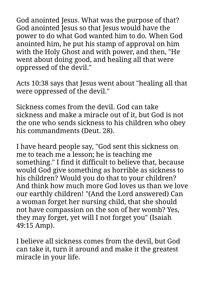God anointed Jesus. What was the purpose of that? God anointed Jesus so that Jesus would have the power to do what God wanted him to do. When God anointed him, he put his stamp of approval on him with the Holy Ghost and with power, and then, "He went about doing good, and healing all that were oppressed of the devil."

Acts 10:38 says that Jesus went about "healing all that were oppressed of the devil."

Sickness comes from the devil. God can take sickness and make a miracle out of it, but God is not the one who sends sickness to his children who obey his commandments (Deut. 28).

I have heard people say, "God sent this sickness on me to teach me a lesson; he is teaching me something." I find it difficult to believe that, because would God give something as horrible as sickness to his children? Would you do that to your children? And think how much more God loves us than we love our earthly children! "(And the Lord answered) Can a woman forget her nursing child, that she should not have compassion on the son of her womb? Yes, they may forget, yet will I not forget you" (Isaiah 49:15 Amp).

I believe all sickness comes from the devil, but God can take it, turn it around and make it the greatest miracle in your life.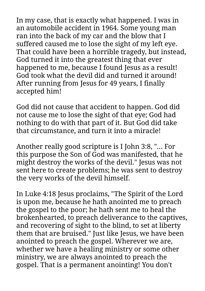In my case, that is exactly what happened. I was in an automobile accident in 1964. Some young man ran into the back of my car and the blow that I suffered caused me to lose the sight of my left eye. That could have been a horrible tragedy, but instead, God turned it into the greatest thing that ever happened to me, because I found Jesus as a result! God took what the devil did and turned it around! After running from Jesus for 49 years, I finally accepted him!

God did not cause that accident to happen. God did not cause me to lose the sight of that eye; God had nothing to do with that part of it. But God did take that circumstance, and turn it into a miracle!

Another really good scripture is I John 3:8, "... For this purpose the Son of God was manifested, that he might destroy the works of the devil." Jesus was not sent here to create problems; he was sent to destroy the very works of the devil himself.

In Luke 4:18 Jesus proclaims, "The Spirit of the Lord is upon me, because he hath anointed me to preach the gospel to the poor; he hath sent me to heal the brokenhearted, to preach deliverance to the captives, and recovering of sight to the blind, to set at liberty them that are bruised." Just like Jesus, we have been anointed to preach the gospel. Wherever we are, whether we have a healing ministry or some other ministry, we are always anointed to preach the gospel. That is a permanent anointing! You don't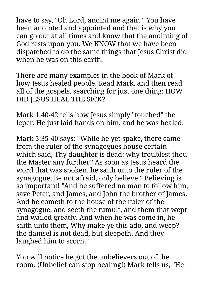have to say, "Oh Lord, anoint me again." You have been anointed and appointed and that is why you can go out at all times and know that the anointing of God rests upon you. We KNOW that we have been dispatched to do the same things that Jesus Christ did when he was on this earth.

There are many examples in the book of Mark of how Jesus healed people. Read Mark, and then read all of the gospels, searching for just one thing: HOW DID JESUS HEAL THE SICK?

Mark 1:40-42 tells how Jesus simply "touched" the leper. He just laid hands on him, and he was healed.

Mark 5:35-40 says: "While he yet spake, there came from the ruler of the synagogues house certain which said, Thy daughter is dead: why troublest thou the Master any further? As soon as Jesus heard the word that was spoken, he saith unto the ruler of the synagogue, Be not afraid, only believe." Believing is so important! "And he suffered no man to follow him, save Peter, and James, and John the brother of James. And he cometh to the house of the ruler of the synagogue, and seeth the tumult, and them that wept and wailed greatly. And when he was come in, he saith unto them, Why make ye this ado, and weep? the damsel is not dead, but sleepeth. And they laughed him to scorn."

You will notice he got the unbelievers out of the room. (Unbelief can stop healing!) Mark tells us, "He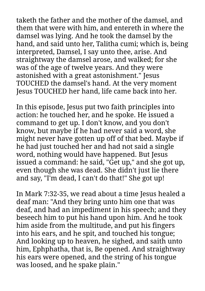taketh the father and the mother of the damsel, and them that were with him, and entereth in where the damsel was lying. And he took the damsel by the hand, and said unto her, Talitha cumi; which is, being interpreted, Damsel, I say unto thee, arise. And straightway the damsel arose, and walked; for she was of the age of twelve years. And they were astonished with a great astonishment." Jesus TOUCHED the damsel's hand. At the very moment Jesus TOUCHED her hand, life came back into her.

In this episode, Jesus put two faith principles into action: he touched her, and he spoke. He issued a command to get up. I don't know, and you don't know, but maybe if he had never said a word, she might never have gotten up off of that bed. Maybe if he had just touched her and had not said a single word, nothing would have happened. But Jesus issued a command: he said, "Get up," and she got up, even though she was dead. She didn't just lie there and say, "I'm dead, I can't do that!" She got up!

In Mark 7:32-35, we read about a time Jesus healed a deaf man: "And they bring unto him one that was deaf, and had an impediment in his speech; and they beseech him to put his hand upon him. And he took him aside from the multitude, and put his fingers into his ears, and he spit, and touched his tongue; And looking up to heaven, he sighed, and saith unto him, Ephphatha, that is, Be opened. And straightway his ears were opened, and the string of his tongue was loosed, and he spake plain."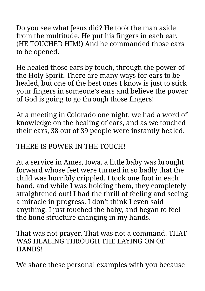Do you see what Jesus did? He took the man aside from the multitude. He put his fingers in each ear. (HE TOUCHED HIM!) And he commanded those ears to be opened.

He healed those ears by touch, through the power of the Holy Spirit. There are many ways for ears to be healed, but one of the best ones I know is just to stick your fingers in someone's ears and believe the power of God is going to go through those fingers!

At a meeting in Colorado one night, we had a word of knowledge on the healing of ears, and as we touched their ears, 38 out of 39 people were instantly healed.

### THERE IS POWER IN THE TOUCH!

At a service in Ames, Iowa, a little baby was brought forward whose feet were turned in so badly that the child was horribly crippled. I took one foot in each hand, and while I was holding them, they completely straightened out! I had the thrill of feeling and seeing a miracle in progress. I don't think I even said anything. I just touched the baby, and began to feel the bone structure changing in my hands.

#### That was not prayer. That was not a command. THAT WAS HEALING THROUGH THE LAYING ON OF HANDS!

We share these personal examples with you because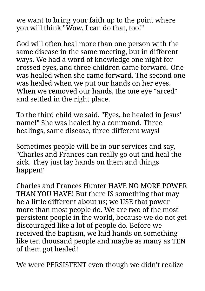we want to bring your faith up to the point where you will think "Wow, I can do that, too!"

God will often heal more than one person with the same disease in the same meeting, but in different ways. We had a word of knowledge one night for crossed eyes, and three children came forward. One was healed when she came forward. The second one was healed when we put our hands on her eyes. When we removed our hands, the one eye "arced" and settled in the right place.

To the third child we said, "Eyes, be healed in Jesus' name!" She was healed by a command. Three healings, same disease, three different ways!

Sometimes people will be in our services and say, "Charles and Frances can really go out and heal the sick. They just lay hands on them and things happen!"

Charles and Frances Hunter HAVE NO MORE POWER THAN YOU HAVE! But there IS something that may be a little different about us; we USE that power more than most people do. We are two of the most persistent people in the world, because we do not get discouraged like a lot of people do. Before we received the baptism, we laid hands on something like ten thousand people and maybe as many as TEN of them got healed!

We were PERSISTENT even though we didn't realize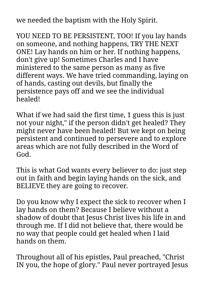we needed the baptism with the Holy Spirit.

YOU NEED TO BE PERSISTENT, TOO! If you lay hands on someone, and nothing happens, TRY THE NEXT ONE! Lay hands on him or her. If nothing happens, don't give up! Sometimes Charles and I have ministered to the same person as many as five different ways. We have tried commanding, laying on of hands, casting out devils, but finally the persistence pays off and we see the individual healed!

What if we had said the first time, 1 guess this is just not your night," if the person didn't get healed? They might never have been healed! But we kept on being persistent and continued to persevere and to explore areas which are not fully described in the Word of God.

This is what God wants every believer to do: just step out in faith and begin laying hands on the sick, and BELIEVE they are going to recover.

Do you know why I expect the sick to recover when I lay hands on them? Because I believe without a shadow of doubt that Jesus Christ lives his life in and through me. If I did not believe that, there would be no way that people could get healed when I laid hands on them.

Throughout all of his epistles, Paul preached, "Christ IN you, the hope of glory." Paul never portrayed Jesus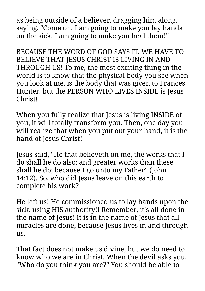as being outside of a believer, dragging him along, saying, "Come on, I am going to make you lay hands on the sick. I am going to make you heal them!"

BECAUSE THE WORD OF GOD SAYS IT, WE HAVE TO BELIEVE THAT JESUS CHRIST IS LIVING IN AND THROUGH US! To me, the most exciting thing in the world is to know that the physical body you see when you look at me, is the body that was given to Frances Hunter, but the PERSON WHO LIVES INSIDE is Jesus Christ!

When you fully realize that Jesus is living INSIDE of you, it will totally transform you. Then, one day you will realize that when you put out your hand, it is the hand of Jesus Christ!

Jesus said, "He that believeth on me, the works that I do shall he do also; and greater works than these shall he do; because I go unto my Father" (John 14:12). So, who did Jesus leave on this earth to complete his work?

He left us! He commissioned us to lay hands upon the sick, using HIS authority!! Remember, it's all done in the name of Jesus! It is in the name of Jesus that all miracles are done, because Jesus lives in and through us.

That fact does not make us divine, but we do need to know who we are in Christ. When the devil asks you, "Who do you think you are?" You should be able to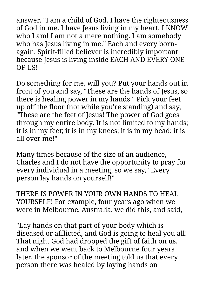answer, "I am a child of God. I have the righteousness of God in me. I have Jesus living in my heart. I KNOW who I am! I am not a mere nothing. I am somebody who has Jesus living in me." Each and every bornagain, Spirit-filled believer is incredibly important because Jesus is living inside EACH AND EVERY ONE OF US!

Do something for me, will you? Put your hands out in front of you and say, "These are the hands of Jesus, so there is healing power in my hands." Pick your feet up off the floor (not while you're standing) and say, "These are the feet of Jesus! The power of God goes through my entire body. It is not limited to my hands; it is in my feet; it is in my knees; it is in my head; it is all over me!"

Many times because of the size of an audience, Charles and I do not have the opportunity to pray for every individual in a meeting, so we say, "Every person lay hands on yourself!"

THERE IS POWER IN YOUR OWN HANDS TO HEAL YOURSELF! For example, four years ago when we were in Melbourne, Australia, we did this, and said,

"Lay hands on that part of your body which is diseased or afflicted, and God is going to heal you all! That night God had dropped the gift of faith on us, and when we went back to Melbourne four years later, the sponsor of the meeting told us that every person there was healed by laying hands on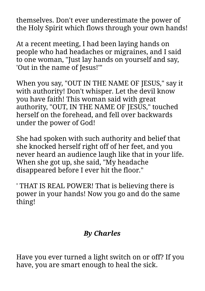themselves. Don't ever underestimate the power of the Holy Spirit which flows through your own hands!

At a recent meeting, I had been laying hands on people who had headaches or migraines, and I said to one woman, "Just lay hands on yourself and say, 'Out in the name of Jesus!'"

When you say, "OUT IN THE NAME OF JESUS," say it with authority! Don't whisper. Let the devil know you have faith! This woman said with great authority, "OUT, IN THE NAME OF JESUS," touched herself on the forehead, and fell over backwards under the power of God!

She had spoken with such authority and belief that she knocked herself right off of her feet, and you never heard an audience laugh like that in your life. When she got up, she said, "My headache disappeared before I ever hit the floor."

' THAT IS REAL POWER! That is believing there is power in your hands! Now you go and do the same thing!

## *By Charles*

Have you ever turned a light switch on or off? If you have, you are smart enough to heal the sick.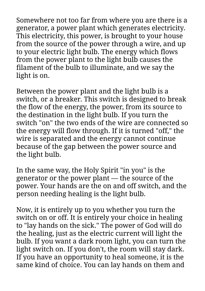Somewhere not too far from where you are there is a generator, a power plant which generates electricity. This electricity, this power, is brought to your house from the source of the power through a wire, and up to your electric light bulb. The energy which flows from the power plant to the light bulb causes the filament of the bulb to illuminate, and we say the light is on.

Between the power plant and the light bulb is a switch, or a breaker. This switch is designed to break the flow of the energy, the power, from its source to the destination in the light bulb. If you turn the switch "on" the two ends of the wire are connected so the energy will flow through. If it is turned "off," the wire is separated and the energy cannot continue because of the gap between the power source and the light bulb.

In the same way, the Holy Spirit "in you" is the generator or the power plant — the source of the power. Your hands are the on and off switch, and the person needing healing is the light bulb.

Now, it is entirely up to you whether you turn the switch on or off. It is entirely your choice in healing to "lay hands on the sick." The power of God will do the healing, just as the electric current will light the bulb. If you want a dark room light, you can turn the light switch on. If you don't, the room will stay dark. If you have an opportunity to heal someone, it is the same kind of choice. You can lay hands on them and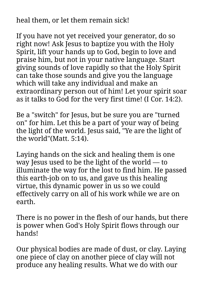### heal them, or let them remain sick!

If you have not yet received your generator, do so right now! Ask Jesus to baptize you with the Holy Spirit, lift your hands up to God, begin to love and praise him, but not in your native language. Start giving sounds of love rapidly so that the Holy Spirit can take those sounds and give you the language which will take any individual and make an extraordinary person out of him! Let your spirit soar as it talks to God for the very first time! (I Cor. 14:2).

Be a "switch" for Jesus, but be sure you are "turned on" for him. Let this be a part of your way of being the light of the world. Jesus said, "Ye are the light of the world"(Matt. 5:14).

Laying hands on the sick and healing them is one way Jesus used to be the light of the world — to illuminate the way for the lost to find him. He passed this earth-job on to us, and gave us this healing virtue, this dynamic power in us so we could effectively carry on all of his work while we are on earth.

There is no power in the flesh of our hands, but there is power when God's Holy Spirit flows through our hands!

Our physical bodies are made of dust, or clay. Laying one piece of clay on another piece of clay will not produce any healing results. What we do with our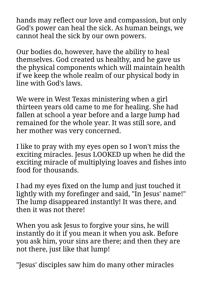hands may reflect our love and compassion, but only God's power can heal the sick. As human beings, we cannot heal the sick by our own powers.

Our bodies do, however, have the ability to heal themselves. God created us healthy, and he gave us the physical components which will maintain health if we keep the whole realm of our physical body in line with God's laws.

We were in West Texas ministering when a girl thirteen years old came to me for healing. She had fallen at school a year before and a large lump had remained for the whole year. It was still sore, and her mother was very concerned.

I like to pray with my eyes open so I won't miss the exciting miracles. Jesus LOOKED up when he did the exciting miracle of multiplying loaves and fishes into food for thousands.

I had my eyes fixed on the lump and just touched it lightly with my forefinger and said, "In Jesus' name!" The lump disappeared instantly! It was there, and then it was not there!

When you ask Jesus to forgive your sins, he will instantly do it if you mean it when you ask. Before you ask him, your sins are there; and then they are not there, just like that lump!

"Jesus' disciples saw him do many other miracles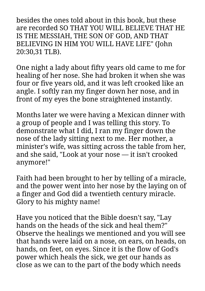besides the ones told about in this book, but these are recorded SO THAT YOU WILL BELIEVE THAT HE IS THE MESSIAH, THE SON OF GOD, AND THAT BELIEVING IN HIM YOU WILL HAVE LIFE" (John 20:30,31 TLB).

One night a lady about fifty years old came to me for healing of her nose. She had broken it when she was four or five years old, and it was left crooked like an angle. I softly ran my finger down her nose, and in front of my eyes the bone straightened instantly.

Months later we were having a Mexican dinner with a group of people and I was telling this story. To demonstrate what I did, I ran my finger down the nose of the lady sitting next to me. Her mother, a minister's wife, was sitting across the table from her, and she said, "Look at your nose — it isn't crooked anymore!"

Faith had been brought to her by telling of a miracle, and the power went into her nose by the laying on of a finger and God did a twentieth century miracle. Glory to his mighty name!

Have you noticed that the Bible doesn't say, "Lay hands on the heads of the sick and heal them?" Observe the healings we mentioned and you will see that hands were laid on a nose, on ears, on heads, on hands, on feet, on eyes. Since it is the flow of God's power which heals the sick, we get our hands as close as we can to the part of the body which needs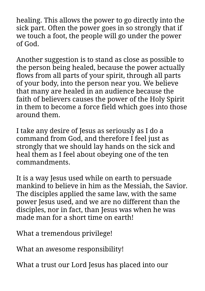healing. This allows the power to go directly into the sick part. Often the power goes in so strongly that if we touch a foot, the people will go under the power of God.

Another suggestion is to stand as close as possible to the person being healed, because the power actually flows from all parts of your spirit, through all parts of your body, into the person near you. We believe that many are healed in an audience because the faith of believers causes the power of the Holy Spirit in them to become a force field which goes into those around them.

I take any desire of Jesus as seriously as I do a command from God, and therefore I feel just as strongly that we should lay hands on the sick and heal them as I feel about obeying one of the ten commandments.

It is a way Jesus used while on earth to persuade mankind to believe in him as the Messiah, the Savior. The disciples applied the same law, with the same power Jesus used, and we are no different than the disciples, nor in fact, than Jesus was when he was made man for a short time on earth!

What a tremendous privilege!

What an awesome responsibility!

What a trust our Lord Jesus has placed into our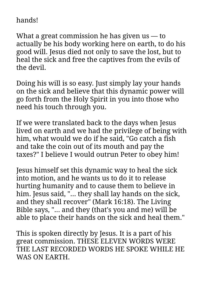hands!

What a great commission he has given us — to actually be his body working here on earth, to do his good will. Jesus died not only to save the lost, but to heal the sick and free the captives from the evils of the devil.

Doing his will is so easy. Just simply lay your hands on the sick and believe that this dynamic power will go forth from the Holy Spirit in you into those who need his touch through you.

If we were translated back to the days when Jesus lived on earth and we had the privilege of being with him, what would we do if he said, "Go catch a fish and take the coin out of its mouth and pay the taxes?" I believe I would outrun Peter to obey him!

Jesus himself set this dynamic way to heal the sick into motion, and he wants us to do it to release hurting humanity and to cause them to believe in him. Jesus said, "... they shall lay hands on the sick, and they shall recover" (Mark 16:18). The Living Bible says, "... and they (that's you and me) will be able to place their hands on the sick and heal them."

This is spoken directly by Jesus. It is a part of his great commission. THESE ELEVEN WORDS WERE THE LAST RECORDED WORDS HE SPOKE WHILE HE WAS ON EARTH.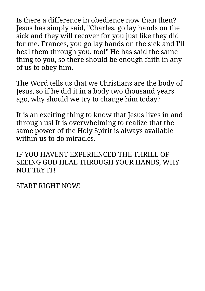Is there a difference in obedience now than then? Jesus has simply said, "Charles, go lay hands on the sick and they will recover for you just like they did for me. Frances, you go lay hands on the sick and I'll heal them through you, too!" He has said the same thing to you, so there should be enough faith in any of us to obey him.

The Word tells us that we Christians are the body of Jesus, so if he did it in a body two thousand years ago, why should we try to change him today?

It is an exciting thing to know that Jesus lives in and through us! It is overwhelming to realize that the same power of the Holy Spirit is always available within us to do miracles

IF YOU HAVENT EXPERIENCED THE THRILL OF SEEING GOD HEAL THROUGH YOUR HANDS, WHY NOT TRY IT!

START RIGHT NOW!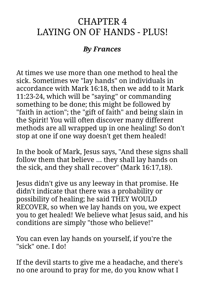# CHAPTER 4 LAYING ON OF HANDS - PLUS!

### *By Frances*

At times we use more than one method to heal the sick. Sometimes we "lay hands" on individuals in accordance with Mark 16:18, then we add to it Mark 11:23-24, which will be "saying" or commanding something to be done; this might be followed by "faith in action"; the "gift of faith" and being slain in the Spirit! You will often discover many different methods are all wrapped up in one healing! So don't stop at one if one way doesn't get them healed!

In the book of Mark, Jesus says, "And these signs shall follow them that believe ... they shall lay hands on the sick, and they shall recover" (Mark 16:17,18).

Jesus didn't give us any leeway in that promise. He didn't indicate that there was a probability or possibility of healing; he said THEY WOULD RECOVER, so when we lay hands on you, we expect you to get healed! We believe what Jesus said, and his conditions are simply "those who believe!"

You can even lay hands on yourself, if you're the "sick" one. I do!

If the devil starts to give me a headache, and there's no one around to pray for me, do you know what I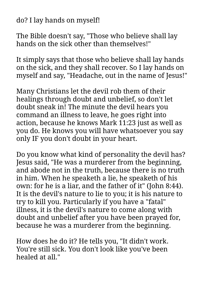do? I lay hands on myself!

The Bible doesn't say, "Those who believe shall lay hands on the sick other than themselves!"

It simply says that those who believe shall lay hands on the sick, and they shall recover. So I lay hands on myself and say, "Headache, out in the name of Jesus!"

Many Christians let the devil rob them of their healings through doubt and unbelief, so don't let doubt sneak in! The minute the devil hears you command an illness to leave, he goes right into action, because he knows Mark 11:23 just as well as you do. He knows you will have whatsoever you say only IF you don't doubt in your heart.

Do you know what kind of personality the devil has? Jesus said, "He was a murderer from the beginning, and abode not in the truth, because there is no truth in him. When he speaketh a lie, he speaketh of his own: for he is a liar, and the father of it" (John 8:44). It is the devil's nature to lie to you; it is his nature to try to kill you. Particularly if you have a "fatal" illness, it is the devil's nature to come along with doubt and unbelief after you have been prayed for, because he was a murderer from the beginning.

How does he do it? He tells you, "It didn't work. You're still sick. You don't look like you've been healed at all."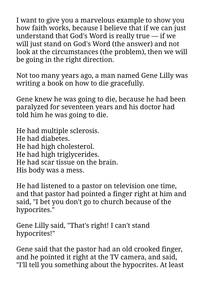I want to give you a marvelous example to show you how faith works, because I believe that if we can just understand that God's Word is really true — if we will just stand on God's Word (the answer) and not look at the circumstances (the problem), then we will be going in the right direction.

Not too many years ago, a man named Gene Lilly was writing a book on how to die gracefully.

Gene knew he was going to die, because he had been paralyzed for seventeen years and his doctor had told him he was going to die.

He had multiple sclerosis. He had diabetes. He had high cholesterol. He had high triglycerides. He had scar tissue on the brain. His body was a mess.

He had listened to a pastor on television one time, and that pastor had pointed a finger right at him and said, "I bet you don't go to church because of the hypocrites."

Gene Lilly said, "That's right! I can't stand hypocrites!"

Gene said that the pastor had an old crooked finger, and he pointed it right at the TV camera, and said, "I'll tell you something about the hypocrites. At least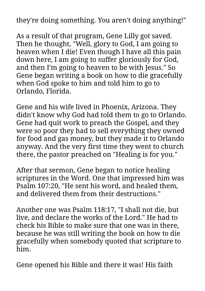they're doing something. You aren't doing anything!"

As a result of that program, Gene Lilly got saved. Then he thought, "Well, glory to God, I am going to heaven when I die! Even though I have all this pain down here, I am going to suffer gloriously for God, and then I'm going to heaven to be with Jesus." So Gene began writing a book on how to die gracefully when God spoke to him and told him to go to Orlando, Florida.

Gene and his wife lived in Phoenix, Arizona. They didn't know why God had told them to go to Orlando. Gene had quit work to preach the Gospel, and they were so poor they had to sell everything they owned for food and gas money, but they made it to Orlando anyway. And the very first time they went to church there, the pastor preached on "Healing is for you."

After that sermon, Gene began to notice healing scriptures in the Word. One that impressed him was Psalm 107:20, "He sent his word, and healed them, and delivered them from their destructions."

Another one was Psalm 118:17, "I shall not die, but live, and declare the works of the Lord." He had to check his Bible to make sure that one was in there, because he was still writing the book on how to die gracefully when somebody quoted that scripture to him.

Gene opened his Bible and there it was! His faith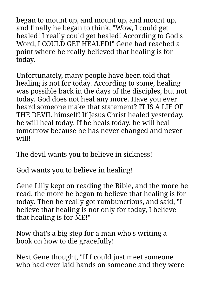began to mount up, and mount up, and mount up, and finally he began to think, "Wow, I could get healed! I really could get healed! According to God's Word, I COULD GET HEALED!" Gene had reached a point where he really believed that healing is for today.

Unfortunately, many people have been told that healing is not for today. According to some, healing was possible back in the days of the disciples, but not today. God does not heal any more. Have you ever heard someone make that statement? IT IS A LIE OF THE DEVIL himself! If Jesus Christ healed yesterday, he will heal today. If he heals today, he will heal tomorrow because he has never changed and never will!

The devil wants you to believe in sickness!

God wants you to believe in healing!

Gene Lilly kept on reading the Bible, and the more he read, the more he began to believe that healing is for today. Then he really got rambunctious, and said, "I believe that healing is not only for today, I believe that healing is for ME!"

Now that's a big step for a man who's writing a book on how to die gracefully!

Next Gene thought, "If I could just meet someone who had ever laid hands on someone and they were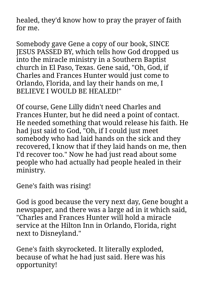healed, they'd know how to pray the prayer of faith for me.

Somebody gave Gene a copy of our book, SINCE JESUS PASSED BY, which tells how God dropped us into the miracle ministry in a Southern Baptist church in El Paso, Texas. Gene said, "Oh, God, if Charles and Frances Hunter would just come to Orlando, Florida, and lay their hands on me, I BELIEVE I WOULD BE HEALED!"

Of course, Gene Lilly didn't need Charles and Frances Hunter, but he did need a point of contact. He needed something that would release his faith. He had just said to God, "Oh, if I could just meet somebody who had laid hands on the sick and they recovered, I know that if they laid hands on me, then I'd recover too." Now he had just read about some people who had actually had people healed in their ministry.

Gene's faith was rising!

God is good because the very next day, Gene bought a newspaper, and there was a large ad in it which said, "Charles and Frances Hunter will hold a miracle service at the Hilton Inn in Orlando, Florida, right next to Disneyland."

Gene's faith skyrocketed. It literally exploded, because of what he had just said. Here was his opportunity!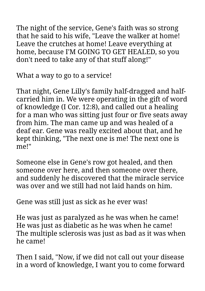The night of the service, Gene's faith was so strong that he said to his wife, "Leave the walker at home! Leave the crutches at home! Leave everything at home, because I'M GOING TO GET HEALED, so you don't need to take any of that stuff along!"

What a way to go to a service!

That night, Gene Lilly's family half-dragged and halfcarried him in. We were operating in the gift of word of knowledge (I Cor. 12:8), and called out a healing for a man who was sitting just four or five seats away from him. The man came up and was healed of a deaf ear. Gene was really excited about that, and he kept thinking, "The next one is me! The next one is me!"

Someone else in Gene's row got healed, and then someone over here, and then someone over there, and suddenly he discovered that the miracle service was over and we still had not laid hands on him.

Gene was still just as sick as he ever was!

He was just as paralyzed as he was when he came! He was just as diabetic as he was when he came! The multiple sclerosis was just as bad as it was when he came!

Then I said, "Now, if we did not call out your disease in a word of knowledge, I want you to come forward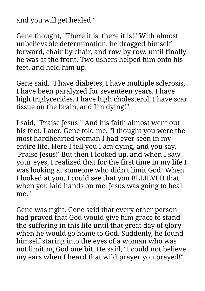and you will get healed."

Gene thought, "There it is, there it is!" With almost unbelievable determination, he dragged himself forward, chair by chair, and row by row, until finally he was at the front. Two ushers helped him onto his feet, and held him up!

Gene said, "I have diabetes, I have multiple sclerosis, I have been paralyzed for seventeen years, I have high triglycerides, I have high cholesterol, I have scar tissue on the brain, and I'm dying!"

I said, "Praise Jesus!" And his faith almost went out his feet. Later, Gene told me, "I thought you were the most hardhearted woman I had ever seen in my entire life. Here I tell you I am dying, and you say, 'Praise Jesus!' But then I looked up, and when I saw your eyes, I realized that for the first time in my life I was looking at someone who didn't limit God! When I looked at you, I could see that you BELIEVED that when you laid hands on me, Jesus was going to heal me."

Gene was right. Gene said that every other person had prayed that God would give him grace to stand the suffering in this life until that great day of glory when he would go home to God. Suddenly, he found himself staring into the eyes of a woman who was not limiting God one bit. He said, "I could not believe my ears when I heard that wild prayer you prayed!"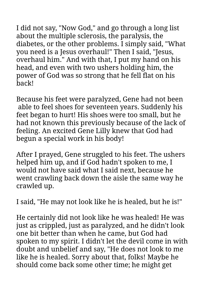I did not say, "Now God," and go through a long list about the multiple sclerosis, the paralysis, the diabetes, or the other problems. I simply said, "What you need is a Jesus overhaul!" Then I said, "Jesus, overhaul him." And with that, I put my hand on his head, and even with two ushers holding him, the power of God was so strong that he fell flat on his back!

Because his feet were paralyzed, Gene had not been able to feel shoes for seventeen years. Suddenly his feet began to hurt! His shoes were too small, but he had not known this previously because of the lack of feeling. An excited Gene Lilly knew that God had begun a special work in his body!

After I prayed, Gene struggled to his feet. The ushers helped him up, and if God hadn't spoken to me, I would not have said what I said next, because he went crawling back down the aisle the same way he crawled up.

I said, "He may not look like he is healed, but he is!"

He certainly did not look like he was healed! He was just as crippled, just as paralyzed, and he didn't look one bit better than when he came, but God had spoken to my spirit. I didn't let the devil come in with doubt and unbelief and say, "He does not look to me like he is healed. Sorry about that, folks! Maybe he should come back some other time; he might get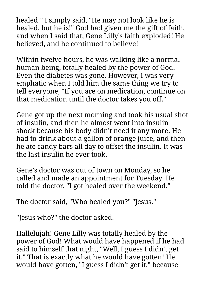healed!" I simply said, "He may not look like he is healed, but he is!" God had given me the gift of faith, and when I said that, Gene Lilly's faith exploded! He believed, and he continued to believe!

Within twelve hours, he was walking like a normal human being, totally healed by the power of God. Even the diabetes was gone. However, I was very emphatic when I told him the same thing we try to tell everyone, "If you are on medication, continue on that medication until the doctor takes you off."

Gene got up the next morning and took his usual shot of insulin, and then he almost went into insulin shock because his body didn't need it any more. He had to drink about a gallon of orange juice, and then he ate candy bars all day to offset the insulin. It was the last insulin he ever took.

Gene's doctor was out of town on Monday, so he called and made an appointment for Tuesday. He told the doctor, "I got healed over the weekend."

The doctor said, "Who healed you?" "Jesus."

"Jesus who?" the doctor asked.

Hallelujah! Gene Lilly was totally healed by the power of God! What would have happened if he had said to himself that night, "Well, I guess I didn't get it." That is exactly what he would have gotten! He would have gotten, "I guess I didn't get it," because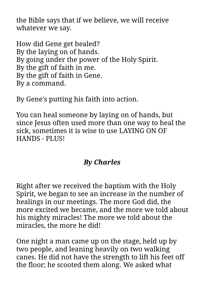the Bible says that if we believe, we will receive whatever we say.

How did Gene get healed? By the laying on of hands. By going under the power of the Holy Spirit. By the gift of faith in me. By the gift of faith in Gene. By a command.

By Gene's putting his faith into action.

You can heal someone by laying on of hands, but since Jesus often used more than one way to heal the sick, sometimes it is wise to use LAYING ON OF HANDS - PLUS!

#### *By Charles*

Right after we received the baptism with the Holy Spirit, we began to see an increase in the number of healings in our meetings. The more God did, the more excited we became, and the more we told about his mighty miracles! The more we told about the miracles, the more he did!

One night a man came up on the stage, held up by two people, and leaning heavily on two walking canes. He did not have the strength to lift his feet off the floor; he scooted them along. We asked what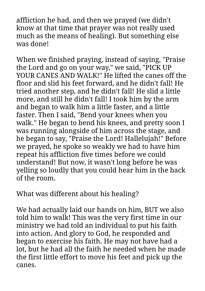affliction he had, and then we prayed (we didn't know at that time that prayer was not really used much as the means of healing). But something else was done!

When we finished praying, instead of saying, "Praise the Lord and go on your way," we said, "PICK UP YOUR CANES AND WALK!" He lifted the canes off the floor and slid his feet forward, and he didn't fall! He tried another step, and he didn't fall! He slid a little more, and still he didn't fall! I took him by the arm and began to walk him a little faster, and a little faster. Then I said, "Bend your knees when you walk." He began to bend his knees, and pretty soon I was running alongside of him across the stage, and he began to say, "Praise the Lord! Hallelujah!" Before we prayed, he spoke so weakly we had to have him repeat his affliction five times before we could understand! But now, it wasn't long before he was yelling so loudly that you could hear him in the back of the room.

What was different about his healing?

We had actually laid our hands on him, BUT we also told him to walk! This was the very first time in our ministry we had told an individual to put his faith into action. And glory to God, he responded and began to exercise his faith. He may not have had a lot, but he had all the faith he needed when he made the first little effort to move his feet and pick up the canes.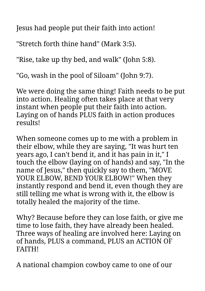Jesus had people put their faith into action!

"Stretch forth thine hand" (Mark 3:5).

"Rise, take up thy bed, and walk" (John 5:8).

"Go, wash in the pool of Siloam" (John 9:7).

We were doing the same thing! Faith needs to be put into action. Healing often takes place at that very instant when people put their faith into action. Laying on of hands PLUS faith in action produces results!

When someone comes up to me with a problem in their elbow, while they are saying, "It was hurt ten years ago, I can't bend it, and it has pain in it," I touch the elbow (laying on of hands) and say, "In the name of Jesus," then quickly say to them, "MOVE YOUR ELBOW, BEND YOUR ELBOW!" When they instantly respond and bend it, even though they are still telling me what is wrong with it, the elbow is totally healed the majority of the time.

Why? Because before they can lose faith, or give me time to lose faith, they have already been healed. Three ways of healing are involved here: Laying on of hands, PLUS a command, PLUS an ACTION OF FAITH!

A national champion cowboy came to one of our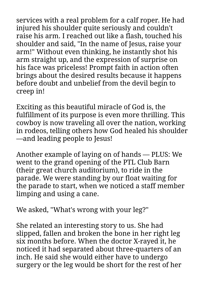services with a real problem for a calf roper. He had injured his shoulder quite seriously and couldn't raise his arm. I reached out like a flash, touched his shoulder and said, "In the name of Jesus, raise your arm!" Without even thinking, he instantly shot his arm straight up, and the expression of surprise on his face was priceless! Prompt faith in action often brings about the desired results because it happens before doubt and unbelief from the devil begin to creep in!

Exciting as this beautiful miracle of God is, the fulfillment of its purpose is even more thrilling. This cowboy is now traveling all over the nation, working in rodeos, telling others how God healed his shoulder —and leading people to Jesus!

Another example of laying on of hands — PLUS: We went to the grand opening of the PTL Club Barn (their great church auditorium), to ride in the parade. We were standing by our float waiting for the parade to start, when we noticed a staff member limping and using a cane.

We asked, "What's wrong with your leg?"

She related an interesting story to us. She had slipped, fallen and broken the bone in her right leg six months before. When the doctor X-rayed it, he noticed it had separated about three-quarters of an inch. He said she would either have to undergo surgery or the leg would be short for the rest of her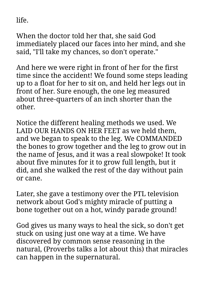life.

When the doctor told her that, she said God immediately placed our faces into her mind, and she said, "I'll take my chances, so don't operate."

And here we were right in front of her for the first time since the accident! We found some steps leading up to a float for her to sit on, and held her legs out in front of her. Sure enough, the one leg measured about three-quarters of an inch shorter than the other.

Notice the different healing methods we used. We LAID OUR HANDS ON HER FEET as we held them, and we began to speak to the leg. We COMMANDED the bones to grow together and the leg to grow out in the name of Jesus, and it was a real slowpoke! It took about five minutes for it to grow full length, but it did, and she walked the rest of the day without pain or cane.

Later, she gave a testimony over the PTL television network about God's mighty miracle of putting a bone together out on a hot, windy parade ground!

God gives us many ways to heal the sick, so don't get stuck on using just one way at a time. We have discovered by common sense reasoning in the natural, (Proverbs talks a lot about this) that miracles can happen in the supernatural.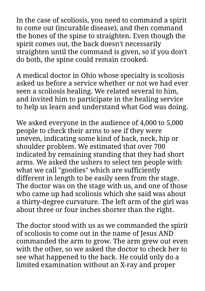In the case of scoliosis, you need to command a spirit to come out (incurable disease), and then command the bones of the spine to straighten. Even though the spirit comes out, the back doesn't necessarily straighten until the command is given, so if you don't do both, the spine could remain crooked.

A medical doctor in Ohio whose specialty is scoliosis asked us before a service whether or not we had ever seen a scoliosis healing. We related several to him, and invited him to participate in the healing service to help us learn and understand what God was doing.

We asked everyone in the audience of 4,000 to 5,000 people to check their arms to see if they were uneven, indicating some kind of back, neck, hip or shoulder problem. We estimated that over 700 indicated by remaining standing that they had short arms. We asked the ushers to select ten people with what we call "goodies" which are sufficiently different in length to be easily seen from the stage. The doctor was on the stage with us, and one of those who came up had scoliosis which she said was about a thirty-degree curvature. The left arm of the girl was about three or four inches shorter than the right.

The doctor stood with us as we commanded the spirit of scoliosis to come out in the name of Jesus AND commanded the arm to grow. The arm grew out even with the other, so we asked the doctor to check her to see what happened to the back. He could only do a limited examination without an X-ray and proper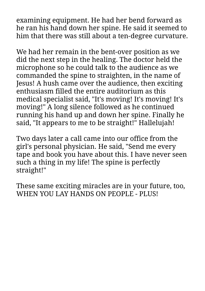examining equipment. He had her bend forward as he ran his hand down her spine. He said it seemed to him that there was still about a ten-degree curvature.

We had her remain in the bent-over position as we did the next step in the healing. The doctor held the microphone so he could talk to the audience as we commanded the spine to straighten, in the name of Jesus! A hush came over the audience, then exciting enthusiasm filled the entire auditorium as this medical specialist said, "It's moving! It's moving! It's moving!" A long silence followed as he continued running his hand up and down her spine. Finally he said, "It appears to me to be straight!" Hallelujah!

Two days later a call came into our office from the girl's personal physician. He said, "Send me every tape and book you have about this. I have never seen such a thing in my life! The spine is perfectly straight!"

These same exciting miracles are in your future, too, WHEN YOU LAY HANDS ON PEOPLE - PLUS!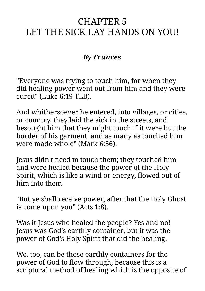# CHAPTER 5 LET THE SICK LAY HANDS ON YOU!

#### *By Frances*

"Everyone was trying to touch him, for when they did healing power went out from him and they were cured" (Luke 6:19 TLB).

And whithersoever he entered, into villages, or cities, or country, they laid the sick in the streets, and besought him that they might touch if it were but the border of his garment: and as many as touched him were made whole" (Mark 6:56).

Jesus didn't need to touch them; they touched him and were healed because the power of the Holy Spirit, which is like a wind or energy, flowed out of him into them!

"But ye shall receive power, after that the Holy Ghost is come upon you" (Acts 1:8).

Was it Jesus who healed the people? Yes and no! Jesus was God's earthly container, but it was the power of God's Holy Spirit that did the healing.

We, too, can be those earthly containers for the power of God to flow through, because this is a scriptural method of healing which is the opposite of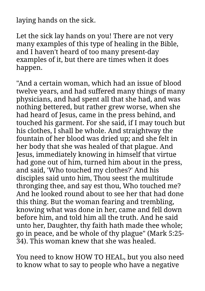laying hands on the sick.

Let the sick lay hands on you! There are not very many examples of this type of healing in the Bible, and I haven't heard of too many present-day examples of it, but there are times when it does happen.

"And a certain woman, which had an issue of blood twelve years, and had suffered many things of many physicians, and had spent all that she had, and was nothing bettered, but rather grew worse, when she had heard of Jesus, came in the press behind, and touched his garment. For she said, if I may touch but his clothes, I shall be whole. And straightway the fountain of her blood was dried up; and she felt in her body that she was healed of that plague. And Jesus, immediately knowing in himself that virtue had gone out of him, turned him about in the press, and said, 'Who touched my clothes?' And his disciples said unto him, Thou seest the multitude thronging thee, and say est thou, Who touched me? And he looked round about to see her that had done this thing. But the woman fearing and trembling, knowing what was done in her, came and fell down before him, and told him all the truth. And he said unto her, Daughter, thy faith hath made thee whole; go in peace, and be whole of thy plague" (Mark 5:25- 34). This woman knew that she was healed.

You need to know HOW TO HEAL, but you also need to know what to say to people who have a negative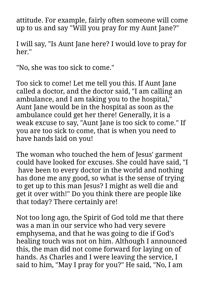attitude. For example, fairly often someone will come up to us and say "Will you pray for my Aunt Jane?"

I will say, "Is Aunt Jane here? I would love to pray for her"

"No, she was too sick to come."

Too sick to come! Let me tell you this. If Aunt Jane called a doctor, and the doctor said, "I am calling an ambulance, and I am taking you to the hospital," Aunt Jane would be in the hospital as soon as the ambulance could get her there! Generally, it is a weak excuse to say, "Aunt Jane is too sick to come." If you are too sick to come, that is when you need to have hands laid on you!

The woman who touched the hem of Jesus' garment could have looked for excuses. She could have said, "I have been to every doctor in the world and nothing has done me any good, so what is the sense of trying to get up to this man Jesus? I might as well die and get it over with!" Do you think there are people like that today? There certainly are!

Not too long ago, the Spirit of God told me that there was a man in our service who had very severe emphysema, and that he was going to die if God's healing touch was not on him. Although I announced this, the man did not come forward for laying on of hands. As Charles and I were leaving the service, I said to him, "May I pray for you?" He said, "No, I am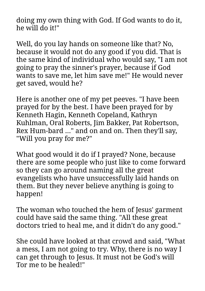doing my own thing with God. If God wants to do it, he will do it!"

Well, do you lay hands on someone like that? No, because it would not do any good if you did. That is the same kind of individual who would say, "I am not going to pray the sinner's prayer, because if God wants to save me, let him save me!" He would never get saved, would he?

Here is another one of my pet peeves. "I have been prayed for by the best. I have been prayed for by Kenneth Hagin, Kenneth Copeland, Kathryn Kuhlman, Oral Roberts, Jim Bakker, Pat Robertson, Rex Hum-bard ..." and on and on. Then they'll say, "Will you pray for me?"

What good would it do if I prayed? None, because there are some people who just like to come forward so they can go around naming all the great evangelists who have unsuccessfully laid hands on them. But they never believe anything is going to happen!

The woman who touched the hem of Jesus' garment could have said the same thing. "All these great doctors tried to heal me, and it didn't do any good."

She could have looked at that crowd and said, "What a mess, I am not going to try. Why, there is no way I can get through to Jesus. It must not be God's will Tor me to be healed!"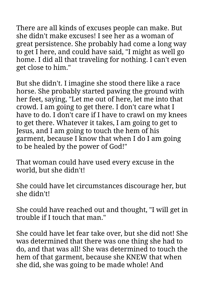There are all kinds of excuses people can make. But she didn't make excuses! I see her as a woman of great persistence. She probably had come a long way to get I here, and could have said, "I might as well go home. I did all that traveling for nothing. I can't even get close to him."

But she didn't. I imagine she stood there like a race horse. She probably started pawing the ground with her feet, saying, "Let me out of here, let me into that crowd. I am going to get there. I don't care what I have to do. I don't care if I have to crawl on my knees to get there. Whatever it takes, I am going to get to Jesus, and I am going to touch the hem of his garment, because I know that when I do I am going to be healed by the power of God!"

That woman could have used every excuse in the world, but she didn't!

She could have let circumstances discourage her, but she didn't!

She could have reached out and thought, "I will get in trouble if I touch that man."

She could have let fear take over, but she did not! She was determined that there was one thing she had to do, and that was all! She was determined to touch the hem of that garment, because she KNEW that when she did, she was going to be made whole! And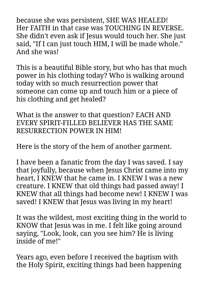because she was persistent, SHE WAS HEALED! Her FAITH in that case was TOUCHING IN REVERSE. She didn't even ask if Jesus would touch her. She just said, "If I can just touch HIM, I will be made whole." And she was!

This is a beautiful Bible story, but who has that much power in his clothing today? Who is walking around today with so much resurrection power that someone can come up and touch him or a piece of his clothing and get healed?

What is the answer to that question? EACH AND EVERY SPIRIT-FILLED BELIEVER HAS THE SAME RESURRECTION POWER IN HIM!

Here is the story of the hem of another garment.

I have been a fanatic from the day I was saved. I say that joyfully, because when Jesus Christ came into my heart, I KNEW that he came in. I KNEW I was a new creature. I KNEW that old things had passed away! I KNEW that all things had become new! I KNEW I was saved! I KNEW that Jesus was living in my heart!

It was the wildest, most exciting thing in the world to KNOW that Jesus was in me. I felt like going around saying, "Look, look, can you see him? He is living inside of me!"

Years ago, even before I received the baptism with the Holy Spirit, exciting things had been happening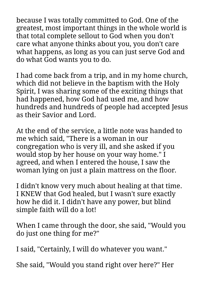because I was totally committed to God. One of the greatest, most important things in the whole world is that total complete sellout to God when you don't care what anyone thinks about you, you don't care what happens, as long as you can just serve God and do what God wants you to do.

I had come back from a trip, and in my home church, which did not believe in the baptism with the Holy Spirit, I was sharing some of the exciting things that had happened, how God had used me, and how hundreds and hundreds of people had accepted Jesus as their Savior and Lord.

At the end of the service, a little note was handed to me which said, "There is a woman in our congregation who is very ill, and she asked if you would stop by her house on your way home." I agreed, and when I entered the house, I saw the woman lying on just a plain mattress on the floor.

I didn't know very much about healing at that time. I KNEW that God healed, but I wasn't sure exactly how he did it. I didn't have any power, but blind simple faith will do a lot!

When I came through the door, she said, "Would you do just one thing for me?"

I said, "Certainly, I will do whatever you want."

She said, "Would you stand right over here?" Her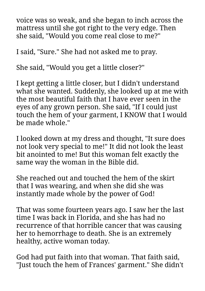voice was so weak, and she began to inch across the mattress until she got right to the very edge. Then she said, "Would you come real close to me?"

I said, "Sure." She had not asked me to pray.

She said, "Would you get a little closer?"

I kept getting a little closer, but I didn't understand what she wanted. Suddenly, she looked up at me with the most beautiful faith that I have ever seen in the eyes of any grown person. She said, "If I could just touch the hem of your garment, I KNOW that I would be made whole."

I looked down at my dress and thought, "It sure does not look very special to me!" It did not look the least bit anointed to me! But this woman felt exactly the same way the woman in the Bible did.

She reached out and touched the hem of the skirt that I was wearing, and when she did she was instantly made whole by the power of God!

That was some fourteen years ago. I saw her the last time I was back in Florida, and she has had no recurrence of that horrible cancer that was causing her to hemorrhage to death. She is an extremely healthy, active woman today.

God had put faith into that woman. That faith said, "Just touch the hem of Frances' garment." She didn't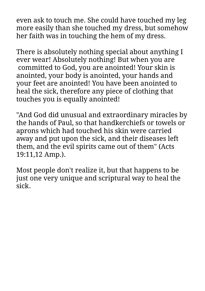even ask to touch me. She could have touched my leg more easily than she touched my dress, but somehow her faith was in touching the hem of my dress.

There is absolutely nothing special about anything I ever wear! Absolutely nothing! But when you are committed to God, you are anointed! Your skin is anointed, your body is anointed, your hands and your feet are anointed! You have been anointed to heal the sick, therefore any piece of clothing that touches you is equally anointed!

"And God did unusual and extraordinary miracles by the hands of Paul, so that handkerchiefs or towels or aprons which had touched his skin were carried away and put upon the sick, and their diseases left them, and the evil spirits came out of them" (Acts 19:11,12 Amp.).

Most people don't realize it, but that happens to be just one very unique and scriptural way to heal the sick.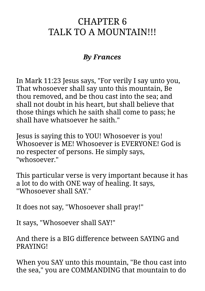# CHAPTER 6 TALK TO A MOUNTAIN!!!

### *By Frances*

In Mark 11:23 Jesus says, "For verily I say unto you, That whosoever shall say unto this mountain, Be thou removed, and be thou cast into the sea; and shall not doubt in his heart, but shall believe that those things which he saith shall come to pass; he shall have whatsoever he saith."

Jesus is saying this to YOU! Whosoever is you! Whosoever is ME! Whosoever is EVERYONE! God is no respecter of persons. He simply says, "whosoever."

This particular verse is very important because it has a lot to do with ONE way of healing. It says, "Whosoever shall SAY."

It does not say, "Whosoever shall pray!"

It says, "Whosoever shall SAY!"

And there is a BIG difference between SAYING and PRAYING!

When you SAY unto this mountain, "Be thou cast into the sea," you are COMMANDING that mountain to do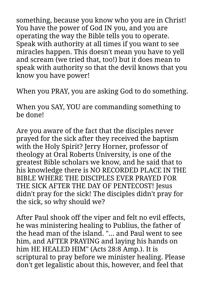something, because you know who you are in Christ! You have the power of God IN you, and you are operating the way the Bible tells you to operate. Speak with authority at all times if you want to see miracles happen. This doesn't mean you have to yell and scream (we tried that, too!) but it does mean to speak with authority so that the devil knows that you know you have power!

When you PRAY, you are asking God to do something.

When you SAY, YOU are commanding something to be done!

Are you aware of the fact that the disciples never prayed for the sick after they received the baptism with the Holy Spirit? Jerry Horner, professor of theology at Oral Roberts University, is one of the greatest Bible scholars we know, and he said that to his knowledge there is NO RECORDED PLACE IN THE BIBLE WHERE THE DISCIPLES EVER PRAYED FOR THE SICK AFTER THE DAY OF PENTECOST! Jesus didn't pray for the sick! The disciples didn't pray for the sick, so why should we?

After Paul shook off the viper and felt no evil effects, he was ministering healing to Publius, the father of the head man of the island. "... and Paul went to see him, and AFTER PRAYING and laying his hands on him HE HEALED HIM" (Acts 28:8 Amp.). It is scriptural to pray before we minister healing. Please don't get legalistic about this, however, and feel that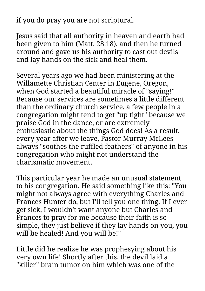if you do pray you are not scriptural.

Jesus said that all authority in heaven and earth had been given to him (Matt. 28:18), and then he turned around and gave us his authority to cast out devils and lay hands on the sick and heal them.

Several years ago we had been ministering at the Willamette Christian Center in Eugene, Oregon, when God started a beautiful miracle of "saying!" Because our services are sometimes a little different than the ordinary church service, a few people in a congregation might tend to get "up tight" because we praise God in the dance, or are extremely enthusiastic about the things God does! As a result, every year after we leave, Pastor Murray McLees always "soothes the ruffled feathers" of anyone in his congregation who might not understand the charismatic movement.

This particular year he made an unusual statement to his congregation. He said something like this: "You might not always agree with everything Charles and Frances Hunter do, but I'll tell you one thing. If I ever get sick, I wouldn't want anyone but Charles and Frances to pray for me because their faith is so simple, they just believe if they lay hands on you, you will be healed! And you will be!"

Little did he realize he was prophesying about his very own life! Shortly after this, the devil laid a "killer" brain tumor on him which was one of the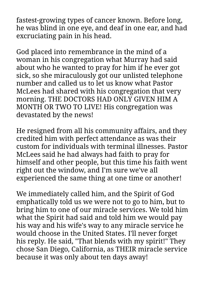fastest-growing types of cancer known. Before long, he was blind in one eye, and deaf in one ear, and had excruciating pain in his head.

God placed into remembrance in the mind of a woman in his congregation what Murray had said about who he wanted to pray for him if he ever got sick, so she miraculously got our unlisted telephone number and called us to let us know what Pastor McLees had shared with his congregation that very morning. THE DOCTORS HAD ONLY GIVEN HIM A MONTH OR TWO TO LIVE! His congregation was devastated by the news!

He resigned from all his community affairs, and they credited him with perfect attendance as was their custom for individuals with terminal illnesses. Pastor McLees said he had always had faith to pray for himself and other people, but this time his faith went right out the window, and I'm sure we've all experienced the same thing at one time or another!

We immediately called him, and the Spirit of God emphatically told us we were not to go to him, but to bring him to one of our miracle services. We told him what the Spirit had said and told him we would pay his way and his wife's way to any miracle service he would choose in the United States. I'll never forget his reply. He said, "That blends with my spirit!" They chose San Diego, California, as THEIR miracle service because it was only about ten days away!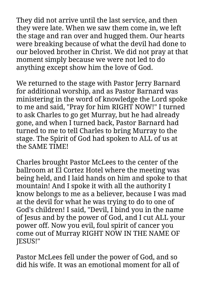They did not arrive until the last service, and then they were late. When we saw them come in, we left the stage and ran over and hugged them. Our hearts were breaking because of what the devil had done to our beloved brother in Christ. We did not pray at that moment simply because we were not led to do anything except show him the love of God.

We returned to the stage with Pastor Jerry Barnard for additional worship, and as Pastor Barnard was ministering in the word of knowledge the Lord spoke to me and said, "Pray for him RIGHT NOW!" I turned to ask Charles to go get Murray, but he had already gone, and when I turned back, Pastor Barnard had turned to me to tell Charles to bring Murray to the stage. The Spirit of God had spoken to ALL of us at the SAME TIME!

Charles brought Pastor McLees to the center of the ballroom at El Cortez Hotel where the meeting was being held, and I laid hands on him and spoke to that mountain! And I spoke it with all the authority I know belongs to me as a believer, because I was mad at the devil for what he was trying to do to one of God's children! I said, "Devil, I bind you in the name of Jesus and by the power of God, and I cut ALL your power off. Now you evil, foul spirit of cancer you come out of Murray RIGHT NOW IN THE NAME OF JESUS!"

Pastor McLees fell under the power of God, and so did his wife. It was an emotional moment for all of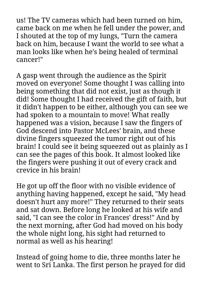us! The TV cameras which had been turned on him, came back on me when he fell under the power, and I shouted at the top of my lungs, "Turn the camera back on him, because I want the world to see what a man looks like when he's being healed of terminal cancer!"

A gasp went through the audience as the Spirit moved on everyone! Some thought I was calling into being something that did not exist, just as though it did! Some thought I had received the gift of faith, but it didn't happen to be either, although you can see we had spoken to a mountain to move! What really happened was a vision, because I saw the fingers of God descend into Pastor McLees' brain, and these divine fingers squeezed the tumor right out of his brain! I could see it being squeezed out as plainly as I can see the pages of this book. It almost looked like the fingers were pushing it out of every crack and crevice in his brain!

He got up off the floor with no visible evidence of anything having happened, except he said, "My head doesn't hurt any more!" They returned to their seats and sat down. Before long he looked at his wife and said, "I can see the color in Frances' dress!" And by the next morning, after God had moved on his body the whole night long, his sight had returned to normal as well as his hearing!

Instead of going home to die, three months later he went to Sri Lanka. The first person he prayed for did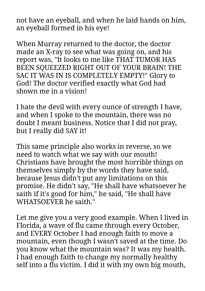not have an eyeball, and when he laid hands on him, an eyeball formed in his eye!

When Murray returned to the doctor, the doctor made an X-ray to see what was going on, and his report was, "It looks to me like THAT TUMOR HAS BEEN SQUEEZED RIGHT OUT OF YOUR BRAIN! THE SAC IT WAS IN IS COMPLETELY EMPTY!" Glory to God! The doctor verified exactly what God had shown me in a vision!

I hate the devil with every ounce of strength I have, and when I spoke to the mountain, there was no doubt I meant business. Notice that I did not pray, but I really did SAY it!

This same principle also works in reverse, so we need to watch what we say with our mouth! Christians have brought the most horrible things on themselves simply by the words they have said, because Jesus didn't put any limitations on this promise. He didn't say, "He shall have whatsoever he saith if it's good for him," he said, "He shall have WHATSOEVER he saith."

Let me give you a very good example. When I lived in Florida, a wave of flu came through every October, and EVERY October I had enough faith to move a mountain, even though I wasn't saved at the time. Do you know what the mountain was? It was my health. I had enough faith to change my normally healthy self into a flu victim. I did it with my own big mouth,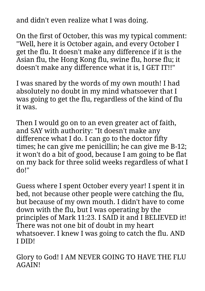and didn't even realize what I was doing.

On the first of October, this was my typical comment: "Well, here it is October again, and every October I get the flu. It doesn't make any difference if it is the Asian flu, the Hong Kong flu, swine flu, horse flu; it doesn't make any difference what it is, I GET IT!!"

I was snared by the words of my own mouth! I had absolutely no doubt in my mind whatsoever that I was going to get the flu, regardless of the kind of flu it was.

Then I would go on to an even greater act of faith, and SAY with authority: "It doesn't make any difference what I do. I can go to the doctor fifty times; he can give me penicillin; he can give me B-12; it won't do a bit of good, because I am going to be flat on my back for three solid weeks regardless of what I do!"

Guess where I spent October every year! I spent it in bed, not because other people were catching the flu, but because of my own mouth. I didn't have to come down with the flu, but I was operating by the principles of Mark 11:23. I SAID it and I BELIEVED it! There was not one bit of doubt in my heart whatsoever. I knew I was going to catch the flu. AND I DID!

Glory to God! I AM NEVER GOING TO HAVE THE FLU AGAIN!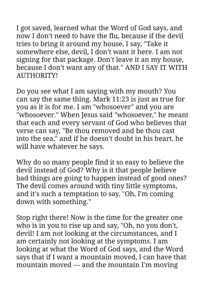I got saved, learned what the Word of God says, and now I don't need to have the flu, because if the devil tries to bring it around my house, I say, "Take it somewhere else, devil, I don't want it here. I am not signing for that package. Don't leave it an my house, because I don't want any of that." AND I SAY IT WITH **AUTHORITY!** 

Do you see what I am saying with my mouth? You can say the same thing. Mark 11:23 is just as true for you as it is for me. I am "whosoever" and you are "whosoever." When Jesus said "whosoever," he meant that each and every servant of God who believes that verse can say, "Be thou removed and be thou cast into the sea," and if he doesn't doubt in his heart, he will have whatever he says.

Why do so many people find it so easy to believe the devil instead of God? Why is it that people believe bad things are going to happen instead of good ones? The devil comes around with tiny little symptoms, and it's such a temptation to say, "Oh, I'm coming down with something."

Stop right there! Now is the time for the greater one who is in you to rise up and say, "Oh, no you don't, devil! I am not looking at the circumstances, and I am certainly not looking at the symptoms. I am looking at what the Word of God says, and the Word says that if I want a mountain moved, I can have that mountain moved — and the mountain I'm moving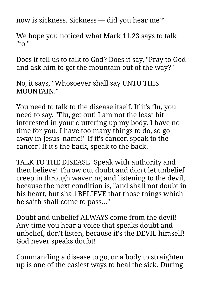now is sickness. Sickness — did you hear me?"

We hope you noticed what Mark 11:23 says to talk "to."

Does it tell us to talk to God? Does it say, "Pray to God and ask him to get the mountain out of the way?"

No, it says, "Whosoever shall say UNTO THIS MOUNTAIN<sup>"</sup>

You need to talk to the disease itself. If it's flu, you need to say, "Flu, get out! I am not the least bit interested in your cluttering up my body. I have no time for you. I have too many things to do, so go away in Jesus' name!" If it's cancer, speak to the cancer! If it's the back, speak to the back.

TALK TO THE DISEASE! Speak with authority and then believe! Throw out doubt and don't let unbelief creep in through wavering and listening to the devil, because the next condition is, "and shall not doubt in his heart, but shall BELIEVE that those things which he saith shall come to pass..."

Doubt and unbelief ALWAYS come from the devil! Any time you hear a voice that speaks doubt and unbelief, don't listen, because it's the DEVIL himself! God never speaks doubt!

Commanding a disease to go, or a body to straighten up is one of the easiest ways to heal the sick. During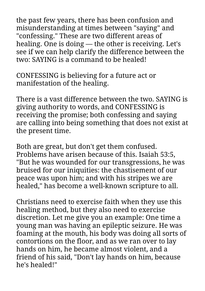the past few years, there has been confusion and misunderstanding at times between "saying" and "confessing." These are two different areas of healing. One is doing — the other is receiving. Let's see if we can help clarify the difference between the two: SAYING is a command to be healed!

CONFESSING is believing for a future act or manifestation of the healing.

There is a vast difference between the two. SAYING is giving authority to words, and CONFESSING is receiving the promise; both confessing and saying are calling into being something that does not exist at the present time.

Both are great, but don't get them confused. Problems have arisen because of this. Isaiah 53:5, "But he was wounded for our transgressions, he was bruised for our iniquities: the chastisement of our peace was upon him; and with his stripes we are healed," has become a well-known scripture to all.

Christians need to exercise faith when they use this healing method, but they also need to exercise discretion. Let me give you an example: One time a young man was having an epileptic seizure. He was foaming at the mouth, his body was doing all sorts of contortions on the floor, and as we ran over to lay hands on him, he became almost violent, and a friend of his said, "Don't lay hands on him, because he's healed!"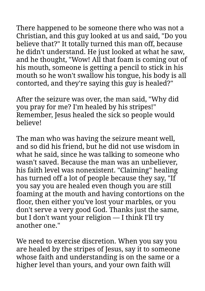There happened to be someone there who was not a Christian, and this guy looked at us and said, "Do you believe that?" It totally turned this man off, because he didn't understand. He just looked at what he saw, and he thought, "Wow! All that foam is coming out of his mouth, someone is getting a pencil to stick in his mouth so he won't swallow his tongue, his body is all contorted, and they're saying this guy is healed?"

After the seizure was over, the man said, "Why did you pray for me? I'm healed by his stripes!" Remember, Jesus healed the sick so people would believe!

The man who was having the seizure meant well, and so did his friend, but he did not use wisdom in what he said, since he was talking to someone who wasn't saved. Because the man was an unbeliever, his faith level was nonexistent. "Claiming" healing has turned off a lot of people because they say, "If you say you are healed even though you are still foaming at the mouth and having contortions on the floor, then either you've lost your marbles, or you don't serve a very good God. Thanks just the same, but I don't want your religion — I think I'll try another one."

We need to exercise discretion. When you say you are healed by the stripes of Jesus, say it to someone whose faith and understanding is on the same or a higher level than yours, and your own faith will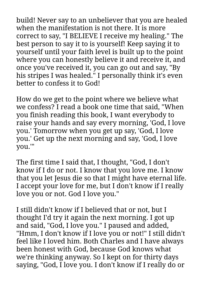build! Never say to an unbeliever that you are healed when the manifestation is not there. It is more correct to say, "I BELIEVE I receive my healing." The best person to say it to is yourself! Keep saying it to yourself until your faith level is built up to the point where you can honestly believe it and receive it, and once you've received it, you can go out and say, "By his stripes I was healed." I personally think it's even better to confess it to God!

How do we get to the point where we believe what we confess? I read a book one time that said, "When you finish reading this book, I want everybody to raise your hands and say every morning, 'God, I love you.' Tomorrow when you get up say, 'God, I love you.' Get up the next morning and say, 'God, I love you.'"

The first time I said that, I thought, "God, I don't know if I do or not. I know that you love me. I know that you let Jesus die so that I might have eternal life. I accept your love for me, but I don't know if I really love you or not. God I love you."

I still didn't know if I believed that or not, but I thought I'd try it again the next morning. I got up and said, "God, I love you." I paused and added, "Hmm, I don't know if I love you or not!" I still didn't feel like I loved him. Both Charles and I have always been honest with God, because God knows what we're thinking anyway. So I kept on for thirty days saying, "God, I love you. I don't know if I really do or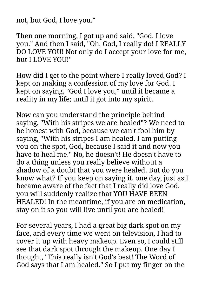not, but God, I love you."

Then one morning, I got up and said, "God, I love you." And then I said, "Oh, God, I really do! I REALLY DO LOVE YOU! Not only do I accept your love for me, but I LOVE YOU!"

How did I get to the point where I really loved God? I kept on making a confession of my love for God. I kept on saying, "God I love you," until it became a reality in my life; until it got into my spirit.

Now can you understand the principle behind saying, "With his stripes we are healed"? We need to be honest with God, because we can't fool him by saying, "With his stripes I am healed. I am putting you on the spot, God, because I said it and now you have to heal me." No, he doesn't! He doesn't have to do a thing unless you really believe without a shadow of a doubt that you were healed. But do you know what? If you keep on saying it, one day, just as I became aware of the fact that I really did love God, you will suddenly realize that YOU HAVE BEEN HEALED! In the meantime, if you are on medication, stay on it so you will live until you are healed!

For several years, I had a great big dark spot on my face, and every time we went on television, I had to cover it up with heavy makeup. Even so, I could still see that dark spot through the makeup. One day I thought, "This really isn't God's best! The Word of God says that I am healed." So I put my finger on the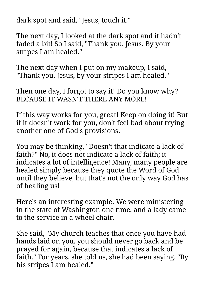dark spot and said, "Jesus, touch it."

The next day, I looked at the dark spot and it hadn't faded a bit! So I said, "Thank you, Jesus. By your stripes I am healed."

The next day when I put on my makeup, I said, "Thank you, Jesus, by your stripes I am healed."

Then one day, I forgot to say it! Do you know why? BECAUSE IT WASN'T THERE ANY MORE!

If this way works for you, great! Keep on doing it! But if it doesn't work for you, don't feel bad about trying another one of God's provisions.

You may be thinking, "Doesn't that indicate a lack of faith?" No, it does not indicate a lack of faith; it indicates a lot of intelligence! Many, many people are healed simply because they quote the Word of God until they believe, but that's not the only way God has of healing us!

Here's an interesting example. We were ministering in the state of Washington one time, and a lady came to the service in a wheel chair.

She said, "My church teaches that once you have had hands laid on you, you should never go back and be prayed for again, because that indicates a lack of faith." For years, she told us, she had been saying, "By his stripes I am healed."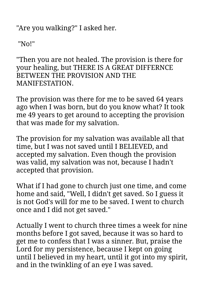"Are you walking?" I asked her.

"No!"

"Then you are not healed. The provision is there for your healing, but THERE IS A GREAT DIFFERNCE BETWEEN THE PROVISION AND THE MANIFESTATION.

The provision was there for me to be saved 64 years ago when I was born, but do you know what? It took me 49 years to get around to accepting the provision that was made for my salvation.

The provision for my salvation was available all that time, but I was not saved until I BELIEVED, and accepted my salvation. Even though the provision was valid, my salvation was not, because I hadn't accepted that provision.

What if I had gone to church just one time, and come home and said, "Well, I didn't get saved. So I guess it is not God's will for me to be saved. I went to church once and I did not get saved."

Actually I went to church three times a week for nine months before I got saved, because it was so hard to get me to confess that I was a sinner. But, praise the Lord for my persistence, because I kept on going until I believed in my heart, until it got into my spirit, and in the twinkling of an eye I was saved.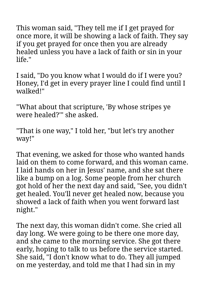This woman said, "They tell me if I get prayed for once more, it will be showing a lack of faith. They say if you get prayed for once then you are already healed unless you have a lack of faith or sin in your life."

I said, "Do you know what I would do if I were you? Honey, I'd get in every prayer line I could find until I walked!"

"What about that scripture, 'By whose stripes ye were healed?'" she asked.

"That is one way," I told her, "but let's try another way!"

That evening, we asked for those who wanted hands laid on them to come forward, and this woman came. I laid hands on her in Jesus' name, and she sat there like a bump on a log. Some people from her church got hold of her the next day and said, "See, you didn't get healed. You'll never get healed now, because you showed a lack of faith when you went forward last night."

The next day, this woman didn't come. She cried all day long. We were going to be there one more day, and she came to the morning service. She got there early, hoping to talk to us before the service started. She said, "I don't know what to do. They all jumped on me yesterday, and told me that I had sin in my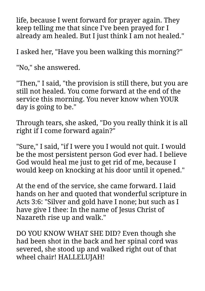life, because I went forward for prayer again. They keep telling me that since I've been prayed for I already am healed. But I just think I am not healed."

I asked her, "Have you been walking this morning?"

"No," she answered.

"Then," I said, "the provision is still there, but you are still not healed. You come forward at the end of the service this morning. You never know when YOUR day is going to be."

Through tears, she asked, "Do you really think it is all right if I come forward again?"

"Sure," I said, "if I were you I would not quit. I would be the most persistent person God ever had. I believe God would heal me just to get rid of me, because I would keep on knocking at his door until it opened."

At the end of the service, she came forward. I laid hands on her and quoted that wonderful scripture in Acts 3:6: "Silver and gold have I none; but such as I have give I thee: In the name of Jesus Christ of Nazareth rise up and walk."

DO YOU KNOW WHAT SHE DID? Even though she had been shot in the back and her spinal cord was severed, she stood up and walked right out of that wheel chair! HALLELUJAH!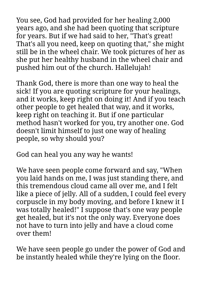You see, God had provided for her healing 2,000 years ago, and she had been quoting that scripture for years. But if we had said to her, "That's great! That's all you need, keep on quoting that," she might still be in the wheel chair. We took pictures of her as she put her healthy husband in the wheel chair and pushed him out of the church. Hallelujah!

Thank God, there is more than one way to heal the sick! If you are quoting scripture for your healings, and it works, keep right on doing it! And if you teach other people to get healed that way, and it works, keep right on teaching it. But if one particular method hasn't worked for you, try another one. God doesn't limit himself to just one way of healing people, so why should you?

God can heal you any way he wants!

We have seen people come forward and say, "When you laid hands on me, I was just standing there, and this tremendous cloud came all over me, and I felt like a piece of jelly. All of a sudden, I could feel every corpuscle in my body moving, and before I knew it I was totally healed!" I suppose that's one way people get healed, but it's not the only way. Everyone does not have to turn into jelly and have a cloud come over them!

We have seen people go under the power of God and be instantly healed while they're lying on the floor.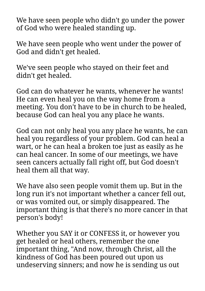We have seen people who didn't go under the power of God who were healed standing up.

We have seen people who went under the power of God and didn't get healed.

We've seen people who stayed on their feet and didn't get healed.

God can do whatever he wants, whenever he wants! He can even heal you on the way home from a meeting. You don't have to be in church to be healed, because God can heal you any place he wants.

God can not only heal you any place he wants, he can heal you regardless of your problem. God can heal a wart, or he can heal a broken toe just as easily as he can heal cancer. In some of our meetings, we have seen cancers actually fall right off, but God doesn't heal them all that way.

We have also seen people vomit them up. But in the long run it's not important whether a cancer fell out, or was vomited out, or simply disappeared. The important thing is that there's no more cancer in that person's body!

Whether you SAY it or CONFESS it, or however you get healed or heal others, remember the one important thing, "And now, through Christ, all the kindness of God has been poured out upon us undeserving sinners; and now he is sending us out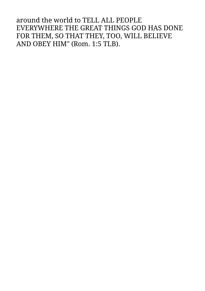around the world to TELL ALL PEOPLE EVERYWHERE THE GREAT THINGS GOD HAS DONE FOR THEM, SO THAT THEY, TOO, WILL BELIEVE AND OBEY HIM" (Rom. 1:5 TLB).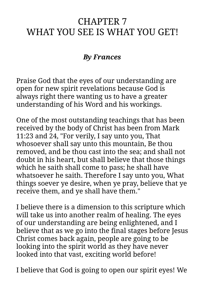# CHAPTER 7 WHAT YOU SEE IS WHAT YOU GET!

### *By Frances*

Praise God that the eyes of our understanding are open for new spirit revelations because God is always right there wanting us to have a greater understanding of his Word and his workings.

One of the most outstanding teachings that has been received by the body of Christ has been from Mark 11:23 and 24, "For verily, I say unto you, That whosoever shall say unto this mountain, Be thou removed, and be thou cast into the sea; and shall not doubt in his heart, but shall believe that those things which he saith shall come to pass; he shall have whatsoever he saith. Therefore I say unto you, What things soever ye desire, when ye pray, believe that ye receive them, and ye shall have them."

I believe there is a dimension to this scripture which will take us into another realm of healing. The eyes of our understanding are being enlightened, and I believe that as we go into the final stages before Jesus Christ comes back again, people are going to be looking into the spirit world as they have never looked into that vast, exciting world before!

I believe that God is going to open our spirit eyes! We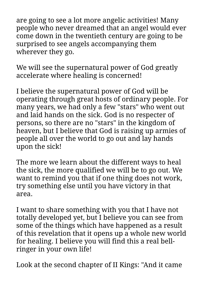are going to see a lot more angelic activities! Many people who never dreamed that an angel would ever come down in the twentieth century are going to be surprised to see angels accompanying them wherever they go.

We will see the supernatural power of God greatly accelerate where healing is concerned!

I believe the supernatural power of God will be operating through great hosts of ordinary people. For many years, we had only a few "stars" who went out and laid hands on the sick. God is no respecter of persons, so there are no "stars" in the kingdom of heaven, but I believe that God is raising up armies of people all over the world to go out and lay hands upon the sick!

The more we learn about the different ways to heal the sick, the more qualified we will be to go out. We want to remind you that if one thing does not work, try something else until you have victory in that area.

I want to share something with you that I have not totally developed yet, but I believe you can see from some of the things which have happened as a result of this revelation that it opens up a whole new world for healing. I believe you will find this a real bellringer in your own life!

Look at the second chapter of II Kings: "And it came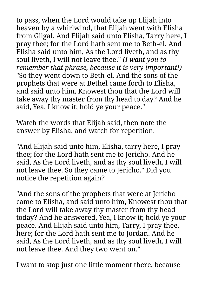to pass, when the Lord would take up Elijah into heaven by a whirlwind, that Elijah went with Elisha from Gilgal. And Elijah said unto Elisha, Tarry here, I pray thee; for the Lord hath sent me to Beth-el. And Elisha said unto him, As the Lord liveth, and as thy soul liveth, I will not leave thee." *(I want you to remember that phrase, because it is very important!)* "So they went down to Beth-el. And the sons of the prophets that were at Bethel came forth to Elisha, and said unto him, Knowest thou that the Lord will take away thy master from thy head to day? And he said, Yea, I know it; hold ye your peace."

Watch the words that Elijah said, then note the answer by Elisha, and watch for repetition.

"And Elijah said unto him, Elisha, tarry here, I pray thee; for the Lord hath sent me to Jericho. And he said, As the Lord liveth, and as thy soul liveth, I will not leave thee. So they came to Jericho." Did you notice the repetition again?

"And the sons of the prophets that were at Jericho came to Elisha, and said unto him, Knowest thou that the Lord will take away thy master from thy head today? And he answered, Yea, I know it; hold ye your peace. And Elijah said unto him, Tarry, I pray thee, here; for the Lord hath sent me to Jordan. And he said, As the Lord liveth, and as thy soul liveth, I will not leave thee. And they two went on."

I want to stop just one little moment there, because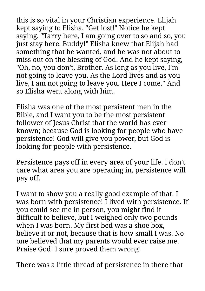this is so vital in your Christian experience. Elijah kept saying to Elisha, "Get lost!" Notice he kept saying, "Tarry here, I am going over to so and so, you just stay here, Buddy!" Elisha knew that Elijah had something that he wanted, and he was not about to miss out on the blessing of God. And he kept saying, "Oh, no, you don't, Brother. As long as you live, I'm not going to leave you. As the Lord lives and as you live, I am not going to leave you. Here I come." And so Elisha went along with him.

Elisha was one of the most persistent men in the Bible, and I want you to be the most persistent follower of Jesus Christ that the world has ever known; because God is looking for people who have persistence! God will give you power, but God is looking for people with persistence.

Persistence pays off in every area of your life. I don't care what area you are operating in, persistence will pay off.

I want to show you a really good example of that. I was born with persistence! I lived with persistence. If you could see me in person, you might find it difficult to believe, but I weighed only two pounds when I was born. My first bed was a shoe box, believe it or not, because that is how small I was. No one believed that my parents would ever raise me. Praise God! I sure proved them wrong!

There was a little thread of persistence in there that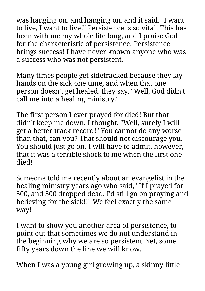was hanging on, and hanging on, and it said, "I want to live, I want to live!" Persistence is so vital! This has been with me my whole life long, and I praise God for the characteristic of persistence. Persistence brings success! I have never known anyone who was a success who was not persistent.

Many times people get sidetracked because they lay hands on the sick one time, and when that one person doesn't get healed, they say, "Well, God didn't call me into a healing ministry."

The first person I ever prayed for died! But that didn't keep me down. I thought, "Well, surely I will get a better track record!" You cannot do any worse than that, can you? That should not discourage you. You should just go on. I will have to admit, however, that it was a terrible shock to me when the first one died!

Someone told me recently about an evangelist in the healing ministry years ago who said, "If I prayed for 500, and 500 dropped dead, I'd still go on praying and believing for the sick!!" We feel exactly the same way!

I want to show you another area of persistence, to point out that sometimes we do not understand in the beginning why we are so persistent. Yet, some fifty years down the line we will know.

When I was a young girl growing up, a skinny little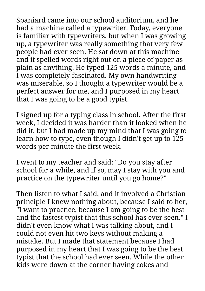Spaniard came into our school auditorium, and he had a machine called a typewriter. Today, everyone is familiar with typewriters, but when I was growing up, a typewriter was really something that very few people had ever seen. He sat down at this machine and it spelled words right out on a piece of paper as plain as anything. He typed 125 words a minute, and I was completely fascinated. My own handwriting was miserable, so I thought a typewriter would be a perfect answer for me, and I purposed in my heart that I was going to be a good typist.

I signed up for a typing class in school. After the first week, I decided it was harder than it looked when he did it, but I had made up my mind that I was going to learn how to type, even though I didn't get up to 125 words per minute the first week.

I went to my teacher and said: "Do you stay after school for a while, and if so, may I stay with you and practice on the typewriter until you go home?"

Then listen to what I said, and it involved a Christian principle I knew nothing about, because I said to her, "I want to practice, because I am going to be the best and the fastest typist that this school has ever seen." I didn't even know what I was talking about, and I could not even hit two keys without making a mistake. But I made that statement because I had purposed in my heart that I was going to be the best typist that the school had ever seen. While the other kids were down at the corner having cokes and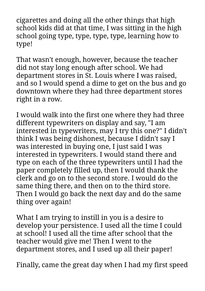cigarettes and doing all the other things that high school kids did at that time, I was sitting in the high school going type, type, type, type, learning how to type!

That wasn't enough, however, because the teacher did not stay long enough after school. We had department stores in St. Louis where I was raised, and so I would spend a dime to get on the bus and go downtown where they had three department stores right in a row.

I would walk into the first one where they had three different typewriters on display and say, "I am interested in typewriters, may I try this one?" I didn't think I was being dishonest, because I didn't say I was interested in buying one, I just said I was interested in typewriters. I would stand there and type on each of the three typewriters until I had the paper completely filled up, then I would thank the clerk and go on to the second store. I would do the same thing there, and then on to the third store. Then I would go back the next day and do the same thing over again!

What I am trying to instill in you is a desire to develop your persistence. I used all the time I could at school! I used all the time after school that the teacher would give me! Then I went to the department stores, and I used up all their paper!

Finally, came the great day when I had my first speed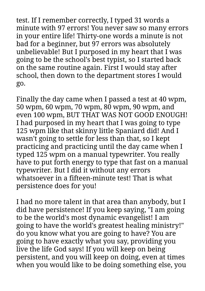test. If I remember correctly, I typed 31 words a minute with 97 errors! You never saw so many errors in your entire life! Thirty-one words a minute is not bad for a beginner, but 97 errors was absolutely unbelievable! But I purposed in my heart that I was going to be the school's best typist, so I started back on the same routine again. First I would stay after school, then down to the department stores I would go.

Finally the day came when I passed a test at 40 wpm, 50 wpm, 60 wpm, 70 wpm, 80 wpm, 90 wpm, and even 100 wpm, BUT THAT WAS NOT GOOD ENOUGH! I had purposed in my heart that I was going to type 125 wpm like that skinny little Spaniard did! And I wasn't going to settle for less than that, so I kept practicing and practicing until the day came when I typed 125 wpm on a manual typewriter. You really have to put forth energy to type that fast on a manual typewriter. But I did it without any errors whatsoever in a fifteen-minute test! That is what persistence does for you!

I had no more talent in that area than anybody, but I did have persistence! If you keep saying, "I am going to be the world's most dynamic evangelist! I am going to have the world's greatest healing ministry!" do you know what you are going to have? You are going to have exactly what you say, providing you live the life God says! If you will keep on being persistent, and you will keep on doing, even at times when you would like to be doing something else, you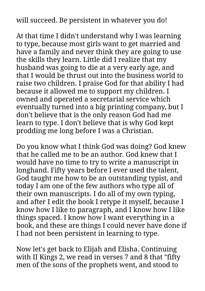### will succeed. Be persistent in whatever you do!

At that time I didn't understand why I was learning to type, because most girls want to get married and have a family and never think they are going to use the skills they learn. Little did I realize that my husband was going to die at a very early age, and that I would be thrust out into the business world to raise two children. I praise God for that ability I had because it allowed me to support my children. I owned and operated a secretarial service which eventually turned into a big printing company, but I don't believe that is the only reason God had me learn to type. I don't believe that is why God kept prodding me long before I was a Christian.

Do you know what I think God was doing? God knew that he called me to be an author. God knew that I would have no time to try to write a manuscript in longhand. Fifty years before I ever used the talent, God taught me how to be an outstanding typist, and today I am one of the few authors who type all of their own manuscripts. I do all of my own typing, and after I edit the book I retype it myself, because I know how I like to paragraph, and I know how I like things spaced. I know how I want everything in a book, and these are things I could never have done if I had not been persistent in learning to type.

Now let's get back to Elijah and Elisha. Continuing with II Kings 2, we read in verses 7 and 8 that "fifty men of the sons of the prophets went, and stood to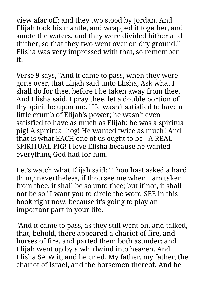view afar off: and they two stood by Jordan. And Elijah took his mantle, and wrapped it together, and smote the waters, and they were divided hither and thither, so that they two went over on dry ground." Elisha was very impressed with that, so remember it!

Verse 9 says, "And it came to pass, when they were gone over, that Elijah said unto Elisha, Ask what I shall do for thee, before I be taken away from thee. And Elisha said, I pray thee, let a double portion of thy spirit be upon me." He wasn't satisfied to have a little crumb of Elijah's power; he wasn't even satisfied to have as much as Elijah; he was a spiritual pig! A spiritual hog! He wanted twice as much! And that is what EACH one of us ought to be - A REAL SPIRITUAL PIG! I love Elisha because he wanted everything God had for him!

Let's watch what Elijah said: "Thou hast asked a hard thing: nevertheless, if thou see me when I am taken from thee, it shall be so unto thee; but if not, it shall not be so."I want you to circle the word SEE in this book right now, because it's going to play an important part in your life.

"And it came to pass, as they still went on, and talked, that, behold, there appeared a chariot of fire, and horses of fire, and parted them both asunder; and Elijah went up by a whirlwind into heaven. And Elisha SA W it, and he cried, My father, my father, the chariot of Israel, and the horsemen thereof. And he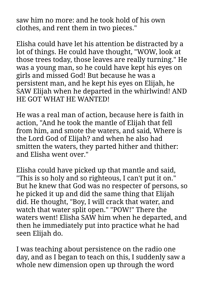saw him no more: and he took hold of his own clothes, and rent them in two pieces."

Elisha could have let his attention be distracted by a lot of things. He could have thought, "WOW, look at those trees today, those leaves are really turning." He was a young man, so he could have kept his eyes on girls and missed God! But because he was a persistent man, and he kept his eyes on Elijah, he SAW Elijah when he departed in the whirlwind! AND HE GOT WHAT HE WANTED!

He was a real man of action, because here is faith in action, "And he took the mantle of Elijah that fell from him, and smote the waters, and said, Where is the Lord God of Elijah? and when he also had smitten the waters, they parted hither and thither: and Elisha went over."

Elisha could have picked up that mantle and said, "This is so holy and so righteous, I can't put it on." But he knew that God was no respecter of persons, so he picked it up and did the same thing that Elijah did. He thought, "Boy, I will crack that water, and watch that water split open." "POW!" There the waters went! Elisha SAW him when he departed, and then he immediately put into practice what he had seen Elijah do.

I was teaching about persistence on the radio one day, and as I began to teach on this, I suddenly saw a whole new dimension open up through the word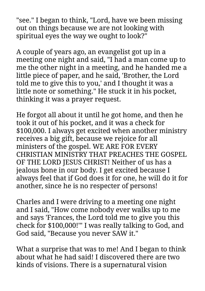"see." I began to think, "Lord, have we been missing out on things because we are not looking with spiritual eyes the way we ought to look?"

A couple of years ago, an evangelist got up in a meeting one night and said, "I had a man come up to me the other night in a meeting, and he handed me a little piece of paper, and he said, 'Brother, the Lord told me to give this to you,' and I thought it was a little note or something." He stuck it in his pocket, thinking it was a prayer request.

He forgot all about it until he got home, and then he took it out of his pocket, and it was a check for \$100,000. I always get excited when another ministry receives a big gift, because we rejoice for all ministers of the gospel. WE ARE FOR EVERY CHRISTIAN MINISTRY THAT PREACHES THE GOSPEL OF THE LORD JESUS CHRIST! Neither of us has a jealous bone in our body. I get excited because I always feel that if God does it for one, he will do it for another, since he is no respecter of persons!

Charles and I were driving to a meeting one night and I said, "How come nobody ever walks up to me and says 'Frances, the Lord told me to give you this check for \$100,000!'" I was really talking to God, and God said, "Because you never SAW it."

What a surprise that was to me! And I began to think about what he had said! I discovered there are two kinds of visions. There is a supernatural vision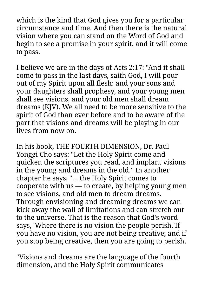which is the kind that God gives you for a particular circumstance and time. And then there is the natural vision where you can stand on the Word of God and begin to see a promise in your spirit, and it will come to pass.

I believe we are in the days of Acts 2:17: "And it shall come to pass in the last days, saith God, I will pour out of my Spirit upon all flesh: and your sons and your daughters shall prophesy, and your young men shall see visions, and your old men shall dream dreams (KJV). We all need to be more sensitive to the spirit of God than ever before and to be aware of the part that visions and dreams will be playing in our lives from now on.

In his book, THE FOURTH DIMENSION, Dr. Paul Yonggi Cho says: "Let the Holy Spirit come and quicken the scriptures you read, and implant visions in the young and dreams in the old." In another chapter he says, "... the Holy Spirit comes to cooperate with us — to create, by helping young men to see visions, and old men to dream dreams. Through envisioning and dreaming dreams we can kick away the wall of limitations and can stretch out to the universe. That is the reason that God's word says, 'Where there is no vision the people perish.'If you have no vision, you are not being creative; and if you stop being creative, then you are going to perish.

"Visions and dreams are the language of the fourth dimension, and the Holy Spirit communicates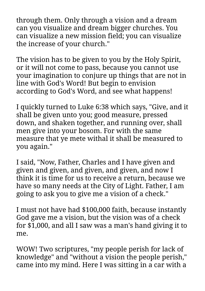through them. Only through a vision and a dream can you visualize and dream bigger churches. You can visualize a new mission field; you can visualize the increase of your church."

The vision has to be given to you by the Holy Spirit, or it will not come to pass, because you cannot use your imagination to conjure up things that are not in line with God's Word! But begin to envision according to God's Word, and see what happens!

I quickly turned to Luke 6:38 which says, "Give, and it shall be given unto you; good measure, pressed down, and shaken together, and running over, shall men give into your bosom. For with the same measure that ye mete withal it shall be measured to you again."

I said, "Now, Father, Charles and I have given and given and given, and given, and given, and now I think it is time for us to receive a return, because we have so many needs at the City of Light. Father, I am going to ask you to give me a vision of a check."

I must not have had \$100,000 faith, because instantly God gave me a vision, but the vision was of a check for \$1,000, and all I saw was a man's hand giving it to me.

WOW! Two scriptures, "my people perish for lack of knowledge" and "without a vision the people perish," came into my mind. Here I was sitting in a car with a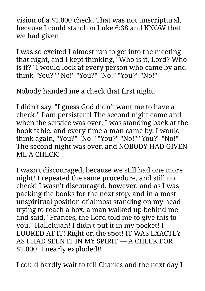vision of a \$1,000 check. That was not unscriptural, because I could stand on Luke 6:38 and KNOW that we had given!

I was so excited I almost ran to get into the meeting that night, and I kept thinking, "Who is it, Lord? Who is it?" I would look at every person who came by and think "You?" "No!" "You?" "No!" "You?" "No!"

Nobody handed me a check that first night.

I didn't say, "I guess God didn't want me to have a check." I am persistent! The second night came and when the service was over, I was standing back at the book table, and every time a man came by, I would think again, "You?" "No!" "You?" "No!" "You?" "No!" The second night was over, and NOBODY HAD GIVEN ME A CHECK!

I wasn't discouraged, because we still had one more night! I repeated the same procedure, and still no check! I wasn't discouraged, however, and as I was packing the books for the next stop, and in a most unspiritual position of almost standing on my head trying to reach a box, a man walked up behind me and said, "Frances, the Lord told me to give this to you." Hallelujah! I didn't put it in my pocket! I LOOKED AT IT! Right on the spot! IT WAS EXACTLY AS I HAD SEEN IT IN MY SPIRIT — A CHECK FOR \$1,000! I nearly exploded!!

I could hardly wait to tell Charles and the next day I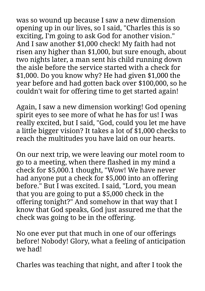was so wound up because I saw a new dimension opening up in our lives, so I said, "Charles this is so exciting, I'm going to ask God for another vision." And I saw another \$1,000 check! My faith had not risen any higher than \$1,000, but sure enough, about two nights later, a man sent his child running down the aisle before the service started with a check for \$1,000. Do you know why? He had given \$1,000 the year before and had gotten back over \$100,000, so he couldn't wait for offering time to get started again!

Again, I saw a new dimension working! God opening spirit eyes to see more of what he has for us! I was really excited, but I said, "God, could you let me have a little bigger vision? It takes a lot of \$1,000 checks to reach the multitudes you have laid on our hearts.

On our next trip, we were leaving our motel room to go to a meeting, when there flashed in my mind a check for \$5,000.1 thought, "Wow! We have never had anyone put a check for \$5,000 into an offering before." But I was excited. I said, "Lord, you mean that you are going to put a \$5,000 check in the offering tonight?" And somehow in that way that I know that God speaks, God just assured me that the check was going to be in the offering.

No one ever put that much in one of our offerings before! Nobody! Glory, what a feeling of anticipation we had!

Charles was teaching that night, and after I took the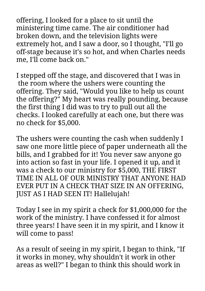offering, I looked for a place to sit until the ministering time came. The air conditioner had broken down, and the television lights were extremely hot, and I saw a door, so I thought, "I'll go off-stage because it's so hot, and when Charles needs me, I'll come back on."

I stepped off the stage, and discovered that I was in the room where the ushers were counting the offering. They said, "Would you like to help us count the offering?" My heart was really pounding, because the first thing I did was to try to pull out all the checks. I looked carefully at each one, but there was no check for \$5,000.

The ushers were counting the cash when suddenly I saw one more little piece of paper underneath all the bills, and I grabbed for it! You never saw anyone go into action so fast in your life. I opened it up, and it was a check to our ministry for \$5,000, THE FIRST TIME IN ALL OF OUR MINISTRY THAT ANYONE HAD EVER PUT IN A CHECK THAT SIZE IN AN OFFERING, JUST AS I HAD SEEN IT! Hallelujah!

Today I see in my spirit a check for \$1,000,000 for the work of the ministry. I have confessed it for almost three years! I have seen it in my spirit, and I know it will come to pass!

As a result of seeing in my spirit, I began to think, "If it works in money, why shouldn't it work in other areas as well?" I began to think this should work in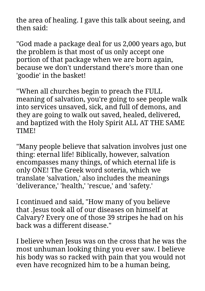the area of healing. I gave this talk about seeing, and then said:

"God made a package deal for us 2,000 years ago, but the problem is that most of us only accept one portion of that package when we are born again, because we don't understand there's more than one 'goodie' in the basket!

"When all churches begin to preach the FULL meaning of salvation, you're going to see people walk into services unsaved, sick, and full of demons, and they are going to walk out saved, healed, delivered, and baptized with the Holy Spirit ALL AT THE SAME TIME!

"Many people believe that salvation involves just one thing: eternal life! Biblically, however, salvation encompasses many things, of which eternal life is only ONE! The Greek word soteria, which we translate 'salvation,' also includes the meanings 'deliverance,' 'health,' 'rescue,' and 'safety.'

I continued and said, "How many of you believe that .Jesus took all of our diseases on himself at Calvary? Every one of those 39 stripes he had on his back was a different disease."

I believe when Jesus was on the cross that he was the most unhuman looking thing you ever saw. I believe his body was so racked with pain that you would not even have recognized him to be a human being,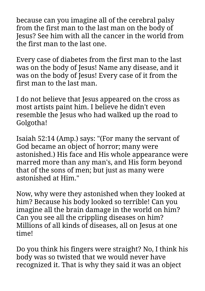because can you imagine all of the cerebral palsy from the first man to the last man on the body of Jesus? See him with all the cancer in the world from the first man to the last one.

Every case of diabetes from the first man to the last was on the body of Jesus! Name any disease, and it was on the body of Jesus! Every case of it from the first man to the last man.

I do not believe that Jesus appeared on the cross as most artists paint him. I believe he didn't even resemble the Jesus who had walked up the road to Golgotha!

Isaiah 52:14 (Amp.) says: "(For many the servant of God became an object of horror; many were astonished.) His face and His whole appearance were marred more than any man's, and His form beyond that of the sons of men; but just as many were astonished at Him."

Now, why were they astonished when they looked at him? Because his body looked so terrible! Can you imagine all the brain damage in the world on him? Can you see all the crippling diseases on him? Millions of all kinds of diseases, all on Jesus at one time!

Do you think his fingers were straight? No, I think his body was so twisted that we would never have recognized it. That is why they said it was an object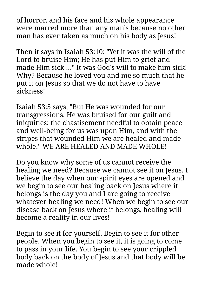of horror, and his face and his whole appearance were marred more than any man's because no other man has ever taken as much on his body as Jesus!

Then it says in Isaiah 53:10: "Yet it was the will of the Lord to bruise Him; He has put Him to grief and made Him sick ..." It was God's will to make him sick! Why? Because he loved you and me so much that he put it on Jesus so that we do not have to have sickness!

Isaiah 53:5 says, "But He was wounded for our transgressions, He was bruised for our guilt and iniquities: the chastisement needful to obtain peace and well-being for us was upon Him, and with the stripes that wounded Him we are healed and made whole." WE ARE HEALED AND MADE WHOLE!

Do you know why some of us cannot receive the healing we need? Because we cannot see it on Jesus. I believe the day when our spirit eyes are opened and we begin to see our healing back on Jesus where it belongs is the day you and I are going to receive whatever healing we need! When we begin to see our disease back on Jesus where it belongs, healing will become a reality in our lives!

Begin to see it for yourself. Begin to see it for other people. When you begin to see it, it is going to come to pass in your life. You begin to see your crippled body back on the body of Jesus and that body will be made whole!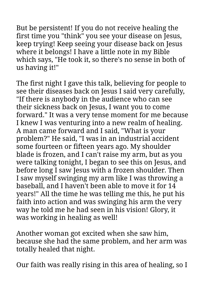But be persistent! If you do not receive healing the first time you "think" you see your disease on Jesus, keep trying! Keep seeing your disease back on Jesus where it belongs! I have a little note in my Bible which says, "He took it, so there's no sense in both of us having it!"

The first night I gave this talk, believing for people to see their diseases back on Jesus I said very carefully, "If there is anybody in the audience who can see their sickness back on Jesus, I want you to come forward." It was a very tense moment for me because I knew I was venturing into a new realm of healing. A man came forward and I said, "What is your problem?" He said, "I was in an industrial accident some fourteen or fifteen years ago. My shoulder blade is frozen, and I can't raise my arm, but as you were talking tonight, I began to see this on Jesus, and before long I saw Jesus with a frozen shoulder. Then I saw myself swinging my arm like I was throwing a baseball, and I haven't been able to move it for 14 years!" All the time he was telling me this, he put his faith into action and was swinging his arm the very way he told me he had seen in his vision! Glory, it was working in healing as well!

Another woman got excited when she saw him, because she had the same problem, and her arm was totally healed that night.

Our faith was really rising in this area of healing, so I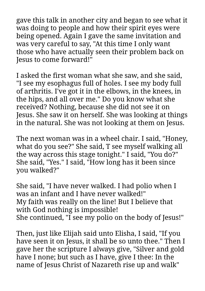gave this talk in another city and began to see what it was doing to people and how their spirit eyes were being opened. Again I gave the same invitation and was very careful to say, "At this time I only want those who have actually seen their problem back on Jesus to come forward!"

I asked the first woman what she saw, and she said, "I see my esophagus full of holes. I see my body full of arthritis. I've got it in the elbows, in the knees, in the hips, and all over me." Do you know what she received? Nothing, because she did not see it on Jesus. She saw it on herself. She was looking at things in the natural. She was not looking at them on Jesus.

The next woman was in a wheel chair. I said, "Honey, what do you see?" She said, T see myself walking all the way across this stage tonight." I said, "You do?" She said, "Yes." I said, "How long has it been since you walked?"

She said, "I have never walked. I had polio when I was an infant and I have never walked!" My faith was really on the line! But I believe that with God nothing is impossible! She continued, "I see my polio on the body of Jesus!"

Then, just like Elijah said unto Elisha, I said, "If you have seen it on Jesus, it shall be so unto thee." Then I gave her the scripture I always give, "Silver and gold have I none; but such as I have, give I thee: In the name of Jesus Christ of Nazareth rise up and walk"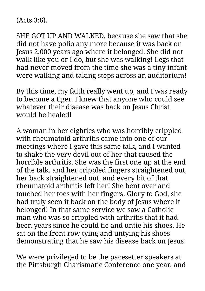(Acts 3:6).

SHE GOT UP AND WALKED, because she saw that she did not have polio any more because it was back on Jesus 2,000 years ago where it belonged. She did not walk like you or I do, but she was walking! Legs that had never moved from the time she was a tiny infant were walking and taking steps across an auditorium!

By this time, my faith really went up, and I was ready to become a tiger. I knew that anyone who could see whatever their disease was back on Jesus Christ would be healed!

A woman in her eighties who was horribly crippled with rheumatoid arthritis came into one of our meetings where I gave this same talk, and I wanted to shake the very devil out of her that caused the horrible arthritis. She was the first one up at the end of the talk, and her crippled fingers straightened out, her back straightened out, and every bit of that rheumatoid arthritis left her! She bent over and touched her toes with her fingers. Glory to God, she had truly seen it back on the body of Jesus where it belonged! In that same service we saw a Catholic man who was so crippled with arthritis that it had been years since he could tie and untie his shoes. He sat on the front row tying and untying his shoes demonstrating that he saw his disease back on Jesus!

We were privileged to be the pacesetter speakers at the Pittsburgh Charismatic Conference one year, and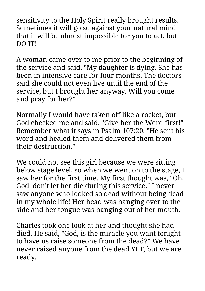sensitivity to the Holy Spirit really brought results. Sometimes it will go so against your natural mind that it will be almost impossible for you to act, but DO IT!

A woman came over to me prior to the beginning of the service and said, "My daughter is dying. She has been in intensive care for four months. The doctors said she could not even live until the end of the service, but I brought her anyway. Will you come and pray for her?"

Normally I would have taken off like a rocket, but God checked me and said, "Give her the Word first!" Remember what it says in Psalm 107:20, "He sent his word and healed them and delivered them from their destruction."

We could not see this girl because we were sitting below stage level, so when we went on to the stage, I saw her for the first time. My first thought was, "Oh, God, don't let her die during this service." I never saw anyone who looked so dead without being dead in my whole life! Her head was hanging over to the side and her tongue was hanging out of her mouth.

Charles took one look at her and thought she had died. He said, "God, is the miracle you want tonight to have us raise someone from the dead?" We have never raised anyone from the dead YET, but we are ready.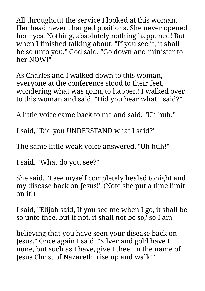All throughout the service I looked at this woman. Her head never changed positions. She never opened her eyes. Nothing, absolutely nothing happened! But when I finished talking about, "If you see it, it shall be so unto you," God said, "Go down and minister to her NOW!"

As Charles and I walked down to this woman, everyone at the conference stood to their feet, wondering what was going to happen! I walked over to this woman and said, "Did you hear what I said?"

A little voice came back to me and said, "Uh huh."

I said, "Did you UNDERSTAND what I said?"

The same little weak voice answered, "Uh huh!"

I said, "What do you see?"

She said, "I see myself completely healed tonight and my disease back on Jesus!" (Note she put a time limit on it!)

I said, "Elijah said, If you see me when I go, it shall be so unto thee, but if not, it shall not be so,' so I am

believing that you have seen your disease back on Jesus." Once again I said, "Silver and gold have I none, but such as I have, give I thee: In the name of Jesus Christ of Nazareth, rise up and walk!"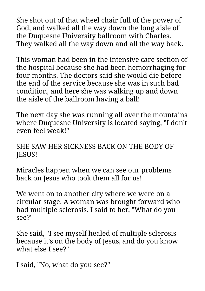She shot out of that wheel chair full of the power of God, and walked all the way down the long aisle of the Duquesne University ballroom with Charles. They walked all the way down and all the way back.

This woman had been in the intensive care section of the hospital because she had been hemorrhaging for four months. The doctors said she would die before the end of the service because she was in such bad condition, and here she was walking up and down the aisle of the ballroom having a ball!

The next day she was running all over the mountains where Duquesne University is located saying, "I don't even feel weak!"

SHE SAW HER SICKNESS BACK ON THE BODY OF JESUS!

Miracles happen when we can see our problems back on Jesus who took them all for us!

We went on to another city where we were on a circular stage. A woman was brought forward who had multiple sclerosis. I said to her, "What do you see?"

She said, "I see myself healed of multiple sclerosis because it's on the body of Jesus, and do you know what else I see?"

I said, "No, what do you see?"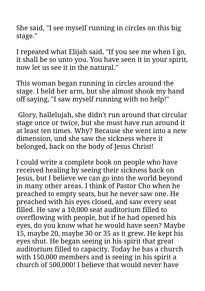She said, "I see myself running in circles on this big stage."

I repeated what Elijah said, "If you see me when I go, it shall be so unto you. You have seen it in your spirit, now let us see it in the natural."

This woman began running in circles around the stage. I held her arm, but she almost shook my hand off saying, "I saw myself running with no help!"

 Glory, hallelujah, she didn't run around that circular stage once or twice, but she must have run around it at least ten times. Why? Because she went into a new dimension, und she saw the sickness where it belonged, back on the body of Jesus Christ!

I could write a complete book on people who have received healing by seeing their sickness back on Jesus, but I believe we can go into the world beyond in many other areas. I think of Pastor Cho when he preached to empty seats, but he never saw one. He preached with his eyes closed, and saw every seat filled. He saw a 10,000 seat auditorium filled to overflowing with people, but if he had opened his eyes, do you know what he would have seen? Maybe 15, maybe 20, maybe 30 or 35 as it grew. He kept his eyes shut. He began seeing in his spirit that great auditorium filled to capacity. Today he has a church with 150,000 members and is seeing in his spirit a church of 500,000! I believe that would never have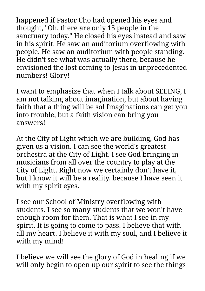happened if Pastor Cho had opened his eyes and thought, "Oh, there are only 15 people in the sanctuary today." He closed his eyes instead and saw in his spirit. He saw an auditorium overflowing with people. He saw an auditorium with people standing. He didn't see what was actually there, because he envisioned the lost coming to Jesus in unprecedented numbers! Glory!

I want to emphasize that when I talk about SEEING, I am not talking about imagination, but about having faith that a thing will be so! Imaginations can get you into trouble, but a faith vision can bring you answers!

At the City of Light which we are building, God has given us a vision. I can see the world's greatest orchestra at the City of Light. I see God bringing in musicians from all over the country to play at the City of Light. Right now we certainly don't have it, but I know it will be a reality, because I have seen it with my spirit eyes.

I see our School of Ministry overflowing with students. I see so many students that we won't have enough room for them. That is what I see in my spirit. It is going to come to pass. I believe that with all my heart. I believe it with my soul, and I believe it with my mind!

I believe we will see the glory of God in healing if we will only begin to open up our spirit to see the things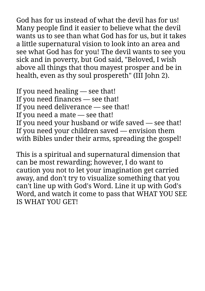God has for us instead of what the devil has for us! Many people find it easier to believe what the devil wants us to see than what God has for us, but it takes a little supernatural vision to look into an area and see what God has for you! The devil wants to see you sick and in poverty, but God said, "Beloved, I wish above all things that thou mayest prosper and be in health, even as thy soul prospereth" (III John 2).

If you need healing — see that! If you need finances — see that! If you need deliverance — see that! If you need a mate — see that! If you need your husband or wife saved — see that! If you need your children saved — envision them with Bibles under their arms, spreading the gospel!

This is a spiritual and supernatural dimension that can be most rewarding; however, I do want to caution you not to let your imagination get carried away, and don't try to visualize something that you can't line up with God's Word. Line it up with God's Word, and watch it come to pass that WHAT YOU SEE IS WHAT YOU GET!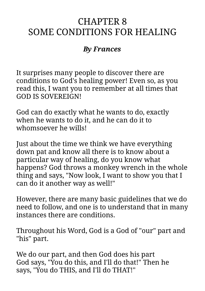# CHAPTER 8 SOME CONDITIONS FOR HEALING

### *By Frances*

It surprises many people to discover there are conditions to God's healing power! Even so, as you read this, I want you to remember at all times that GOD IS SOVEREIGN!

God can do exactly what he wants to do, exactly when he wants to do it, and he can do it to whomsoever he wills!

Just about the time we think we have everything down pat and know all there is to know about a particular way of healing, do you know what happens? God throws a monkey wrench in the whole thing and says, "Now look, I want to show you that I can do it another way as well!"

However, there are many basic guidelines that we do need to follow, and one is to understand that in many instances there are conditions.

Throughout his Word, God is a God of "our" part and "his" part.

We do our part, and then God does his part God says, "You do this, and I'll do that!" Then he says, "You do THIS, and I'll do THAT!"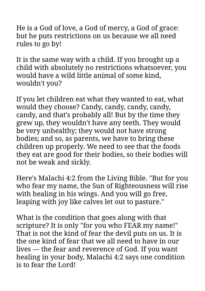He is a God of love, a God of mercy, a God of grace: but he puts restrictions on us because we all need rules to go by!

It is the same way with a child. If you brought up a child with absolutely no restrictions whatsoever, you would have a wild little animal of some kind, wouldn't you?

If you let children eat what they wanted to eat, what would they choose? Candy, candy, candy, candy, candy, and that's probably all! But by the time they grew up, they wouldn't have any teeth. They would be very unhealthy; they would not have strong bodies; and so, as parents, we have to bring these children up properly. We need to see that the foods they eat are good for their bodies, so their bodies will not be weak and sickly.

Here's Malachi 4:2 from the Living Bible. "But for you who fear my name, the Sun of Righteousness will rise with healing in his wings. And you will go free, leaping with joy like calves let out to pasture."

What is the condition that goes along with that scripture? It is only "for you who FEAR my name!" That is not the kind of fear the devil puts on us. It is the one kind of fear that we all need to have in our lives — the fear and reverence of God. If you want healing in your body, Malachi 4:2 says one condition is to fear the Lord!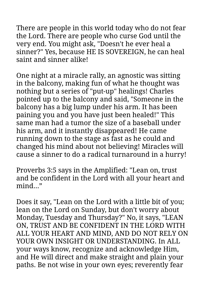There are people in this world today who do not fear the Lord. There are people who curse God until the very end. You might ask, "Doesn't he ever heal a sinner?" Yes, because HE IS SOVEREIGN, he can heal saint and sinner alike!

One night at a miracle rally, an agnostic was sitting in the balcony, making fun of what he thought was nothing but a series of "put-up" healings! Charles pointed up to the balcony and said, "Someone in the balcony has a big lump under his arm. It has been paining you and you have just been healed!" This same man had a tumor the size of a baseball under his arm, and it instantly disappeared! He came running down to the stage as fast as he could and changed his mind about not believing! Miracles will cause a sinner to do a radical turnaround in a hurry!

Proverbs 3:5 says in the Amplified: "Lean on, trust and be confident in the Lord with all your heart and mind."

Does it say, "Lean on the Lord with a little bit of you; lean on the Lord on Sunday, but don't worry about Monday, Tuesday and Thursday?" No, it says, "LEAN ON, TRUST AND BE CONFIDENT IN THE LORD WITH ALL YOUR HEART AND MIND, AND DO NOT RELY ON YOUR OWN INSIGHT OR UNDERSTANDING. In ALL your ways know, recognize and acknowledge Him, and He will direct and make straight and plain your paths. Be not wise in your own eyes; reverently fear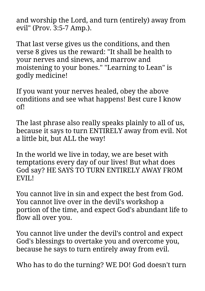and worship the Lord, and turn (entirely) away from evil" (Prov. 3:5-7 Amp.).

That last verse gives us the conditions, and then verse 8 gives us the reward: "It shall be health to your nerves and sinews, and marrow and moistening to your bones." "Learning to Lean" is godly medicine!

If you want your nerves healed, obey the above conditions and see what happens! Best cure I know of!

The last phrase also really speaks plainly to all of us, because it says to turn ENTIRELY away from evil. Not a little bit, but ALL the way!

In the world we live in today, we are beset with temptations every day of our lives! But what does God say? HE SAYS TO TURN ENTIRELY AWAY FROM EVIL!

You cannot live in sin and expect the best from God. You cannot live over in the devil's workshop a portion of the time, and expect God's abundant life to flow all over you.

You cannot live under the devil's control and expect God's blessings to overtake you and overcome you, because he says to turn entirely away from evil.

Who has to do the turning? WE DO! God doesn't turn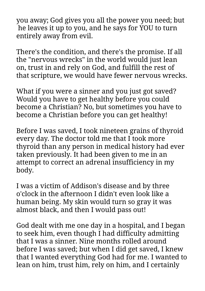you away; God gives you all the power you need; but he leaves it up to you, and he says for YOU to turn entirely away from evil.

There's the condition, and there's the promise. If all the "nervous wrecks" in the world would just lean on, trust in and rely on God, and fulfill the rest of that scripture, we would have fewer nervous wrecks.

What if you were a sinner and you just got saved? Would you have to get healthy before you could become a Christian? No, but sometimes you have to become a Christian before you can get healthy!

Before I was saved, I took nineteen grains of thyroid every day. The doctor told me that I took more thyroid than any person in medical history had ever taken previously. It had been given to me in an attempt to correct an adrenal insufficiency in my body.

I was a victim of Addison's disease and by three o'clock in the afternoon I didn't even look like a human being. My skin would turn so gray it was almost black, and then I would pass out!

God dealt with me one day in a hospital, and I began to seek him, even though I had difficulty admitting that I was a sinner. Nine months rolled around before I was saved; but when I did get saved, I knew that I wanted everything God had for me. I wanted to lean on him, trust him, rely on him, and I certainly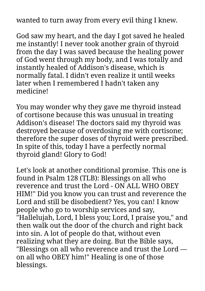wanted to turn away from every evil thing I knew.

God saw my heart, and the day I got saved he healed me instantly! I never took another grain of thyroid from the day I was saved because the healing power of God went through my body, and I was totally and instantly healed of Addison's disease, which is normally fatal. I didn't even realize it until weeks later when I remembered I hadn't taken any medicine!

You may wonder why they gave me thyroid instead of cortisone because this was unusual in treating Addison's disease! The doctors said my thyroid was destroyed because of overdosing me with cortisone; therefore the super doses of thyroid were prescribed. In spite of this, today I have a perfectly normal thyroid gland! Glory to God!

Let's look at another conditional promise. This one is found in Psalm 128 (TLB): Blessings on all who reverence and trust the Lord - ON ALL WHO OBEY HIM!" Did you know you can trust and reverence the Lord and still be disobedient? Yes, you can! I know people who go to worship services and say, "Hallelujah, Lord, I bless you; Lord, I praise you," and then walk out the door of the church and right back into sin. A lot of people do that, without even realizing what they are doing. But the Bible says, "Blessings on all who reverence and trust the Lord on all who OBEY him!" Healing is one of those blessings.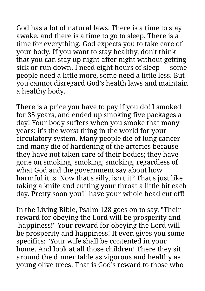God has a lot of natural laws. There is a time to stay awake, and there is a time to go to sleep. There is a time for everything. God expects you to take care of your body. If you want to stay healthy, don't think that you can stay up night after night without getting sick or run down. I need eight hours of sleep — some people need a little more, some need a little less. But you cannot disregard God's health laws and maintain a healthy body.

There is a price you have to pay if you do! I smoked for 35 years, and ended up smoking five packages a day! Your body suffers when you smoke that many years: it's the worst thing in the world for your circulatory system. Many people die of lung cancer and many die of hardening of the arteries because they have not taken care of their bodies; they have gone on smoking, smoking, smoking, regardless of what God and the government say about how harmful it is. Now that's silly, isn't it? That's just like taking a knife and cutting your throat a little bit each day. Pretty soon you'll have your whole head cut off!

In the Living Bible, Psalm 128 goes on to say, "Their reward for obeying the Lord will be prosperity and happiness!" Your reward for obeying the Lord will be prosperity and happiness! It even gives you some specifics: "Your wife shall be contented in your home. And look at all those children! There they sit around the dinner table as vigorous and healthy as young olive trees. That is God's reward to those who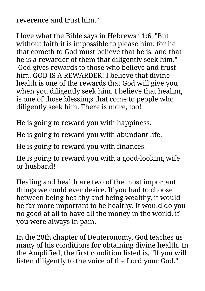reverence and trust him."

I love what the Bible says in Hebrews 11:6, "But without faith it is impossible to please him: for he that cometh to God must believe that he is, and that he is a rewarder of them that diligently seek him." God gives rewards to those who believe and trust him. GOD IS A REWARDER! I believe that divine health is one of the rewards that God will give you when you diligently seek him. I believe that healing is one of those blessings that come to people who diligently seek him. There is more, too!

He is going to reward you with happiness.

He is going to reward you with abundant life.

He is going to reward you with finances.

He is going to reward you with a good-looking wife or husband!

Healing and health are two of the most important things we could ever desire. If you had to choose between being healthy and being wealthy, it would be far more important to be healthy. It would do you no good at all to have all the money in the world, if you were always in pain.

In the 28th chapter of Deuteronomy, God teaches us many of his conditions for obtaining divine health. In the Amplified, the first condition listed is, "If you will listen diligently to the voice of the Lord your God."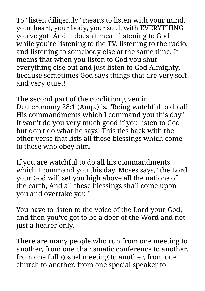To "listen diligently" means to listen with your mind, your heart, your body, your soul, with EVERYTHING you've got! And it doesn't mean listening to God while you're listening to the TV, listening to the radio, and listening to somebody else at the same time. It means that when you listen to God you shut everything else out and just listen to God Almighty, because sometimes God says things that are very soft and very quiet!

The second part of the condition given in Deuteronomy 28:1 (Amp.) is, "Being watchful to do all His commandments which I command you this day." It won't do you very much good if you listen to God but don't do what he says! This ties back with the other verse that lists all those blessings which come to those who obey him.

If you are watchful to do all his commandments which I command you this day, Moses says, "the Lord your God will set you high above all the nations of the earth, And all these blessings shall come upon you and overtake you."

You have to listen to the voice of the Lord your God, and then you've got to be a doer of the Word and not just a hearer only.

There are many people who run from one meeting to another, from one charismatic conference to another, from one full gospel meeting to another, from one church to another, from one special speaker to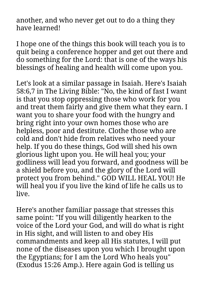another, and who never get out to do a thing they have learned!

I hope one of the things this book will teach you is to quit being a conference hopper and get out there and do something for the Lord: that is one of the ways his blessings of healing and health will come upon you.

Let's look at a similar passage in Isaiah. Here's Isaiah 58:6,7 in The Living Bible: "No, the kind of fast I want is that you stop oppressing those who work for you and treat them fairly and give them what they earn. I want you to share your food with the hungry and bring right into your own homes those who are helpless, poor and destitute. Clothe those who are cold and don't hide from relatives who need your help. If you do these things, God will shed his own glorious light upon you. He will heal you; your godliness will lead you forward, and goodness will be a shield before you, and the glory of the Lord will protect you from behind." GOD WILL HEAL YOU! He will heal you if you live the kind of life he calls us to live.

Here's another familiar passage that stresses this same point: "If you will diligently hearken to the voice of the Lord your God, and will do what is right in His sight, and will listen to and obey His commandments and keep all His statutes, I will put none of the diseases upon you which I brought upon the Egyptians; for I am the Lord Who heals you" (Exodus 15:26 Amp.). Here again God is telling us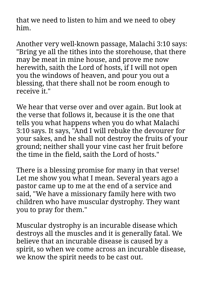that we need to listen to him and we need to obey him.

Another very well-known passage, Malachi 3:10 says: "Bring ye all the tithes into the storehouse, that there may be meat in mine house, and prove me now herewith, saith the Lord of hosts, if I will not open you the windows of heaven, and pour you out a blessing, that there shall not be room enough to receive it."

We hear that verse over and over again. But look at the verse that follows it, because it is the one that tells you what happens when you do what Malachi 3:10 says. It says, "And I will rebuke the devourer for your sakes, and he shall not destroy the fruits of your ground; neither shall your vine cast her fruit before the time in the field, saith the Lord of hosts."

There is a blessing promise for many in that verse! Let me show you what I mean. Several years ago a pastor came up to me at the end of a service and said, "We have a missionary family here with two children who have muscular dystrophy. They want you to pray for them."

Muscular dystrophy is an incurable disease which destroys all the muscles and it is generally fatal. We believe that an incurable disease is caused by a spirit, so when we come across an incurable disease, we know the spirit needs to be cast out.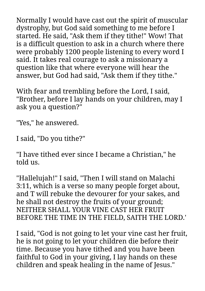Normally I would have cast out the spirit of muscular dystrophy, but God said something to me before I started. He said, "Ask them if they tithe!" Wow! That is a difficult question to ask in a church where there were probably 1200 people listening to every word I said. It takes real courage to ask a missionary a question like that where everyone will hear the answer, but God had said, "Ask them if they tithe."

With fear and trembling before the Lord, I said, "Brother, before I lay hands on your children, may I ask you a question?"

"Yes," he answered.

I said, "Do you tithe?"

"I have tithed ever since I became a Christian," he told us.

"Hallelujah!" I said, "Then I will stand on Malachi 3:11, which is a verse so many people forget about, and T will rebuke the devourer for your sakes, and he shall not destroy the fruits of your ground; NEITHER SHALL YOUR VINE CAST HER FRUIT BEFORE THE TIME IN THE FIELD, SAITH THE LORD.'

I said, "God is not going to let your vine cast her fruit, he is not going to let your children die before their time. Because you have tithed and you have been faithful to God in your giving, I lay hands on these children and speak healing in the name of Jesus."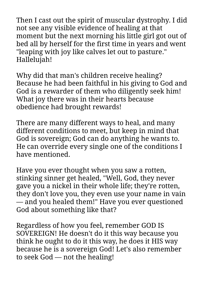Then I cast out the spirit of muscular dystrophy. I did not see any visible evidence of healing at that moment but the next morning his little girl got out of bed all by herself for the first time in years and went "leaping with joy like calves let out to pasture." Hallelujah!

Why did that man's children receive healing? Because he had been faithful in his giving to God and God is a rewarder of them who diligently seek him! What joy there was in their hearts because obedience had brought rewards!

There are many different ways to heal, and many different conditions to meet, but keep in mind that God is sovereign; God can do anything he wants to. He can override every single one of the conditions I have mentioned.

Have you ever thought when you saw a rotten, stinking sinner get healed, "Well, God, they never gave you a nickel in their whole life; they're rotten, they don't love you, they even use your name in vain — and you healed them!" Have you ever questioned God about something like that?

Regardless of how you feel, remember GOD IS SOVEREIGN! He doesn't do it this way because you think he ought to do it this way, he does it HIS way because he is a sovereign God! Let's also remember to seek God — not the healing!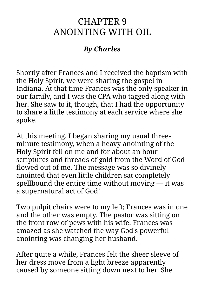# CHAPTER 9 ANOINTING WITH OIL

### *By Charles*

Shortly after Frances and I received the baptism with the Holy Spirit, we were sharing the gospel in Indiana. At that time Frances was the only speaker in our family, and I was the CPA who tagged along with her. She saw to it, though, that I had the opportunity to share a little testimony at each service where she spoke.

At this meeting, I began sharing my usual threeminute testimony, when a heavy anointing of the Holy Spirit fell on me and for about an hour scriptures and threads of gold from the Word of God flowed out of me. The message was so divinely anointed that even little children sat completely spellbound the entire time without moving  $-$  it was a supernatural act of God!

Two pulpit chairs were to my left; Frances was in one and the other was empty. The pastor was sitting on the front row of pews with his wife. Frances was amazed as she watched the way God's powerful anointing was changing her husband.

After quite a while, Frances felt the sheer sleeve of her dress move from a light breeze apparently caused by someone sitting down next to her. She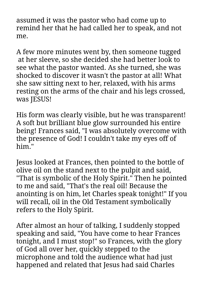assumed it was the pastor who had come up to remind her that he had called her to speak, and not me.

A few more minutes went by, then someone tugged at her sleeve, so she decided she had better look to see what the pastor wanted. As she turned, she was shocked to discover it wasn't the pastor at all! What she saw sitting next to her, relaxed, with his arms resting on the arms of the chair and his legs crossed, was **JESUS!** 

His form was clearly visible, but he was transparent! A soft but brilliant blue glow surrounded his entire being! Frances said, "I was absolutely overcome with the presence of God! I couldn't take my eyes off of him."

Jesus looked at Frances, then pointed to the bottle of olive oil on the stand next to the pulpit and said, "That is symbolic of the Holy Spirit." Then he pointed to me and said, "That's the real oil! Because the anointing is on him, let Charles speak tonight!" If you will recall, oil in the Old Testament symbolically refers to the Holy Spirit.

After almost an hour of talking, I suddenly stopped speaking and said, "You have come to hear Frances tonight, and I must stop!" so Frances, with the glory of God all over her, quickly stepped to the microphone and told the audience what had just happened and related that Jesus had said Charles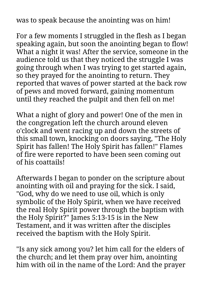### was to speak because the anointing was on him!

For a few moments I struggled in the flesh as I began speaking again, but soon the anointing began to flow! What a night it was! After the service, someone in the audience told us that they noticed the struggle I was going through when I was trying to get started again, so they prayed for the anointing to return. They reported that waves of power started at the back row of pews and moved forward, gaining momentum until they reached the pulpit and then fell on me!

What a night of glory and power! One of the men in the congregation left the church around eleven o'clock and went racing up and down the streets of this small town, knocking on doors saying, "The Holy Spirit has fallen! The Holy Spirit has fallen!" Flames of fire were reported to have been seen coming out of his coattails!

Afterwards I began to ponder on the scripture about anointing with oil and praying for the sick. I said, "God, why do we need to use oil, which is only symbolic of the Holy Spirit, when we have received the real Holy Spirit power through the baptism with the Holy Spirit?" James 5:13-15 is in the New Testament, and it was written after the disciples received the baptism with the Holy Spirit.

"Is any sick among you? let him call for the elders of the church; and let them pray over him, anointing him with oil in the name of the Lord: And the prayer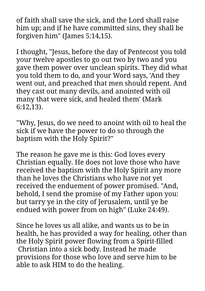of faith shall save the sick, and the Lord shall raise him up; and if he have committed sins, they shall be forgiven him" (James 5:14,15).

I thought, "Jesus, before the day of Pentecost you told your twelve apostles to go out two by two and you gave them power over unclean spirits. They did what you told them to do, and your Word says, 'And they went out, and preached that men should repent. And they cast out many devils, and anointed with oil many that were sick, and healed them' (Mark 6:12,13).

"Why, Jesus, do we need to anoint with oil to heal the sick if we have the power to do so through the baptism with the Holy Spirit?"

The reason he gave me is this: God loves every Christian equally. He does not love those who have received the baptism with the Holy Spirit any more than he loves the Christians who have not yet received the enduement of power promised. "And, behold, I send the promise of my Father upon you: but tarry ye in the city of Jerusalem, until ye be endued with power from on high" (Luke 24:49).

Since he loves us all alike, and wants us to be in health, he has provided a way for healing, other than the Holy Spirit power flowing from a Spirit-filled Christian into a sick body. Instead he made provisions for those who love and serve him to be able to ask HIM to do the healing.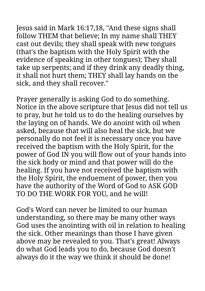Jesus said in Mark 16:17,18, "And these signs shall follow THEM that believe; In my name shall THEY cast out devils; they shall speak with new tongues (that's the baptism with the Holy Spirit with the evidence of speaking in other tongues); They shall take up serpents; and if they drink any deadly thing, it shall not hurt them; THEY shall lay hands on the sick, and they shall recover."

Prayer generally is asking God to do something. Notice in the above scripture that Jesus did not tell us to pray, but he told us to do the healing ourselves by the laying on of hands. We do anoint with oil when asked, because that will also heal the sick, but we personally do not feel it is necessary once you have received the baptism with the Holy Spirit, for the power of God IN you will flow out of your hands into the sick body or mind and that power will do the healing. If you have not received the baptism with the Holy Spirit, the enduement of power, then you have the authority of the Word of God to ASK GOD TO DO THE WORK FOR YOU, and he will!

God's Word can never be limited to our human understanding, so there may be many other ways God uses the anointing with oil in relation to healing the sick. Other meanings than those I have given above may be revealed to you. That's great! Always do what God leads you to do, because God doesn't always do it the way we think it should be done!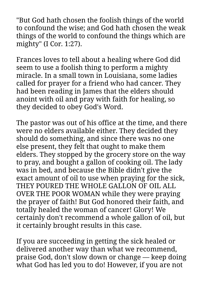"But God hath chosen the foolish things of the world to confound the wise; and God hath chosen the weak things of the world to confound the things which are mighty" (I Cor. 1:27).

Frances loves to tell about a healing where God did seem to use a foolish thing to perform a mighty miracle. In a small town in Louisiana, some ladies called for prayer for a friend who had cancer. They had been reading in James that the elders should anoint with oil and pray with faith for healing, so they decided to obey God's Word.

The pastor was out of his office at the time, and there were no elders available either. They decided they should do something, and since there was no one else present, they felt that ought to make them elders. They stopped by the grocery store on the way to pray, and bought a gallon of cooking oil. The lady was in bed, and because the Bible didn't give the exact amount of oil to use when praying for the sick, THEY POURED THE WHOLE GALLON OF OIL ALL OVER THE POOR WOMAN while they were praying the prayer of faith! But God honored their faith, and totally healed the woman of cancer! Glory! We certainly don't recommend a whole gallon of oil, but it certainly brought results in this case.

If you are succeeding in getting the sick healed or delivered another way than what we recommend, praise God, don't slow down or change — keep doing what God has led you to do! However, if you are not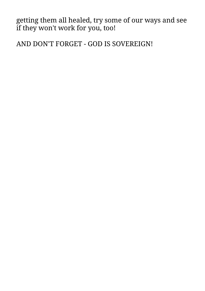getting them all healed, try some of our ways and see if they won't work for you, too!

AND DON'T FORGET - GOD IS SOVEREIGN!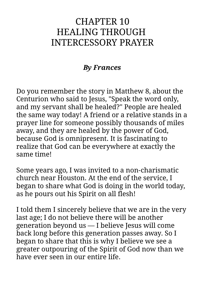# CHAPTER 10 HEALING THROUGH INTERCESSORY PRAYER

### *By Frances*

Do you remember the story in Matthew 8, about the Centurion who said to Jesus, "Speak the word only, and my servant shall be healed?" People are healed the same way today! A friend or a relative stands in a prayer line for someone possibly thousands of miles away, and they are healed by the power of God, because God is omnipresent. It is fascinating to realize that God can be everywhere at exactly the same time!

Some years ago, I was invited to a non-charismatic church near Houston. At the end of the service, I began to share what God is doing in the world today, as he pours out his Spirit on all flesh!

I told them I sincerely believe that we are in the very last age; I do not believe there will be another generation beyond us — I believe Jesus will come back long before this generation passes away. So I began to share that this is why I believe we see a greater outpouring of the Spirit of God now than we have ever seen in our entire life.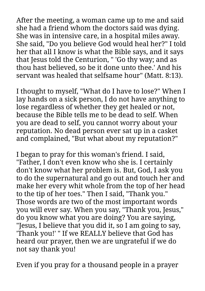After the meeting, a woman came up to me and said she had a friend whom the doctors said was dying. She was in intensive care, in a hospital miles away. She said, "Do you believe God would heal her?" I told her that all I know is what the Bible says, and it says that Jesus told the Centurion, " 'Go thy way; and as thou hast believed, so be it done unto thee.' And his servant was healed that selfsame hour" (Matt. 8:13).

I thought to myself, "What do I have to lose?" When I lay hands on a sick person, I do not have anything to lose regardless of whether they get healed or not, because the Bible tells me to be dead to self. When you are dead to self, you cannot worry about your reputation. No dead person ever sat up in a casket and complained, "But what about my reputation?"

I began to pray for this woman's friend. I said, "Father, I don't even know who she is. I certainly don't know what her problem is. But, God, I ask you to do the supernatural and go out and touch her and make her every whit whole from the top of her head to the tip of her toes." Then I said, "Thank you." Those words are two of the most important words you will ever say. When you say, "Thank you, Jesus," do you know what you are doing? You are saying, "Jesus, I believe that you did it, so I am going to say, 'Thank you!' " If we REALLY believe that God has heard our prayer, then we are ungrateful if we do not say thank you!

Even if you pray for a thousand people in a prayer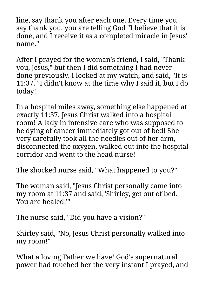line, say thank you after each one. Every time you say thank you, you are telling God "I believe that it is done, and I receive it as a completed miracle in Jesus' name."

After I prayed for the woman's friend, I said, "Thank you, Jesus," but then I did something I had never done previously. I looked at my watch, and said, "It is 11:37." I didn't know at the time why I said it, but I do today!

In a hospital miles away, something else happened at exactly 11:37. Jesus Christ walked into a hospital room! A lady in intensive care who was supposed to be dying of cancer immediately got out of bed! She very carefully took all the needles out of her arm, disconnected the oxygen, walked out into the hospital corridor and went to the head nurse!

The shocked nurse said, "What happened to you?"

The woman said, "Jesus Christ personally came into my room at 11:37 and said, 'Shirley, get out of bed. You are healed."

The nurse said, "Did you have a vision?"

Shirley said, "No, Jesus Christ personally walked into my room!"

What a loving Father we have! God's supernatural power had touched her the very instant I prayed, and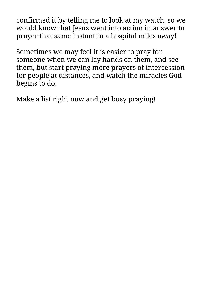confirmed it by telling me to look at my watch, so we would know that Jesus went into action in answer to prayer that same instant in a hospital miles away!

Sometimes we may feel it is easier to pray for someone when we can lay hands on them, and see them, but start praying more prayers of intercession for people at distances, and watch the miracles God begins to do.

Make a list right now and get busy praying!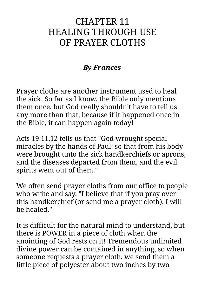# CHAPTER 11 HEALING THROUGH USE OF PRAYER CLOTHS

## *By Frances*

Prayer cloths are another instrument used to heal the sick. So far as I know, the Bible only mentions them once, but God really shouldn't have to tell us any more than that, because if it happened once in the Bible, it can happen again today!

Acts 19:11,12 tells us that "God wrought special miracles by the hands of Paul: so that from his body were brought unto the sick handkerchiefs or aprons, and the diseases departed from them, and the evil spirits went out of them."

We often send prayer cloths from our office to people who write and say, "I believe that if you pray over this handkerchief (or send me a prayer cloth), I will be healed."

It is difficult for the natural mind to understand, but there is POWER in a piece of cloth when the anointing of God rests on it! Tremendous unlimited divine power can be contained in anything, so when someone requests a prayer cloth, we send them a little piece of polyester about two inches by two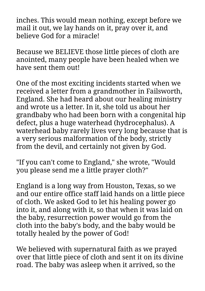inches. This would mean nothing, except before we mail it out, we lay hands on it, pray over it, and believe God for a miracle!

Because we BELIEVE those little pieces of cloth are anointed, many people have been healed when we have sent them out!

One of the most exciting incidents started when we received a letter from a grandmother in Failsworth, England. She had heard about our healing ministry and wrote us a letter. In it, she told us about her grandbaby who had been born with a congenital hip defect, plus a huge waterhead (hydrocephalus). A waterhead baby rarely lives very long because that is a very serious malformation of the body, strictly from the devil, and certainly not given by God.

"If you can't come to England," she wrote, "Would you please send me a little prayer cloth?"

England is a long way from Houston, Texas, so we and our entire office staff laid hands on a little piece of cloth. We asked God to let his healing power go into it, and along with it, so that when it was laid on the baby, resurrection power would go from the cloth into the baby's body, and the baby would be totally healed by the power of God!

We believed with supernatural faith as we prayed over that little piece of cloth and sent it on its divine road. The baby was asleep when it arrived, so the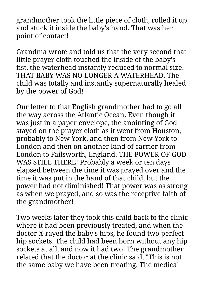grandmother took the little piece of cloth, rolled it up and stuck it inside the baby's hand. That was her point of contact!

Grandma wrote and told us that the very second that little prayer cloth touched the inside of the baby's fist, the waterhead instantly reduced to normal size. THAT BABY WAS NO LONGER A WATERHEAD. The child was totally and instantly supernaturally healed by the power of God!

Our letter to that English grandmother had to go all the way across the Atlantic Ocean. Even though it was just in a paper envelope, the anointing of God stayed on the prayer cloth as it went from Houston, probably to New York, and then from New York to London and then on another kind of carrier from London to Failsworth, England. THE POWER OF GOD WAS STILL THERE! Probably a week or ten days elapsed between the time it was prayed over and the time it was put in the hand of that child, but the power had not diminished! That power was as strong as when we prayed, and so was the receptive faith of the grandmother!

Two weeks later they took this child back to the clinic where it had been previously treated, and when the doctor X-rayed the baby's hips, he found two perfect hip sockets. The child had been born without any hip sockets at all, and now it had two! The grandmother related that the doctor at the clinic said, "This is not the same baby we have been treating. The medical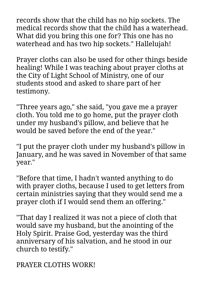records show that the child has no hip sockets. The medical records show that the child has a waterhead. What did you bring this one for? This one has no waterhead and has two hip sockets." Hallelujah!

Prayer cloths can also be used for other things beside healing! While I was teaching about prayer cloths at the City of Light School of Ministry, one of our students stood and asked to share part of her testimony.

"Three years ago," she said, "you gave me a prayer cloth. You told me to go home, put the prayer cloth under my husband's pillow, and believe that he would be saved before the end of the year."

"I put the prayer cloth under my husband's pillow in January, and he was saved in November of that same year."

"Before that time, I hadn't wanted anything to do with prayer cloths, because I used to get letters from certain ministries saying that they would send me a prayer cloth if I would send them an offering."

"That day I realized it was not a piece of cloth that would save my husband, but the anointing of the Holy Spirit. Praise God, yesterday was the third anniversary of his salvation, and he stood in our church to testify."

PRAYER CLOTHS WORK!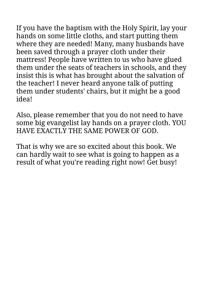If you have the baptism with the Holy Spirit, lay your hands on some little cloths, and start putting them where they are needed! Many, many husbands have been saved through a prayer cloth under their mattress! People have written to us who have glued them under the seats of teachers in schools, and they insist this is what has brought about the salvation of the teacher! I never heard anyone talk of putting them under students' chairs, but it might be a good idea!

Also, please remember that you do not need to have some big evangelist lay hands on a prayer cloth. YOU HAVE EXACTLY THE SAME POWER OF GOD.

That is why we are so excited about this book. We can hardly wait to see what is going to happen as a result of what you're reading right now! Get busy!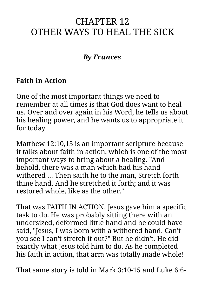# CHAPTER 12 OTHER WAYS TO HEAL THE SICK

### *By Frances*

#### **Faith in Action**

One of the most important things we need to remember at all times is that God does want to heal us. Over and over again in his Word, he tells us about his healing power, and he wants us to appropriate it for today.

Matthew 12:10,13 is an important scripture because it talks about faith in action, which is one of the most important ways to bring about a healing. "And behold, there was a man which had his hand withered ... Then saith he to the man, Stretch forth thine hand. And he stretched it forth; and it was restored whole, like as the other."

That was FAITH IN ACTION. Jesus gave him a specific task to do. He was probably sitting there with an undersized, deformed little hand and he could have said, "Jesus, I was born with a withered hand. Can't you see I can't stretch it out?" But he didn't. He did exactly what Jesus told him to do. As he completed his faith in action, that arm was totally made whole!

That same story is told in Mark 3:10-15 and Luke 6:6-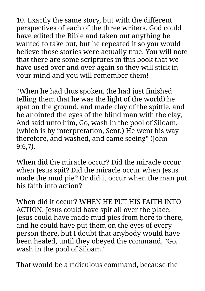10. Exactly the same story, but with the different perspectives of each of the three writers. God could have edited the Bible and taken out anything he wanted to take out, but he repeated it so you would believe those stories were actually true. You will note that there are some scriptures in this book that we have used over and over again so they will stick in your mind and you will remember them!

"When he had thus spoken, (he had just finished telling them that he was the light of the world) he spat on the ground, and made clay of the spittle, and he anointed the eyes of the blind man with the clay, And said unto him, Go, wash in the pool of Siloam, (which is by interpretation, Sent.) He went his way therefore, and washed, and came seeing" (John 9:6,7).

When did the miracle occur? Did the miracle occur when Jesus spit? Did the miracle occur when Jesus made the mud pie? Or did it occur when the man put his faith into action?

When did it occur? WHEN HE PUT HIS FAITH INTO ACTION. Jesus could have spit all over the place. Jesus could have made mud pies from here to there, and he could have put them on the eyes of every person there, but I doubt that anybody would have been healed, until they obeyed the command, "Go, wash in the pool of Siloam."

That would be a ridiculous command, because the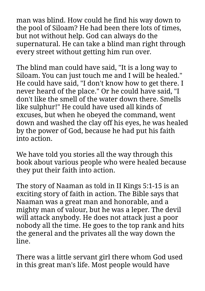man was blind. How could he find his way down to the pool of Siloam? He had been there lots of times, but not without help. God can always do the supernatural. He can take a blind man right through every street without getting him run over.

The blind man could have said, "It is a long way to Siloam. You can just touch me and I will be healed." He could have said, "I don't know how to get there. I never heard of the place." Or he could have said, "I don't like the smell of the water down there. Smells like sulphur!" He could have used all kinds of excuses, but when he obeyed the command, went down and washed the clay off his eyes, he was healed by the power of God, because he had put his faith into action.

We have told you stories all the way through this book about various people who were healed because they put their faith into action.

The story of Naaman as told in II Kings 5:1-15 is an exciting story of faith in action. The Bible says that Naaman was a great man and honorable, and a mighty man of valour, but he was a leper. The devil will attack anybody. He does not attack just a poor nobody all the time. He goes to the top rank and hits the general and the privates all the way down the line.

There was a little servant girl there whom God used in this great man's life. Most people would have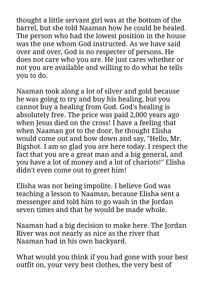thought a little servant girl was at the bottom of the barrel, but she told Naaman how he could be healed. The person who had the lowest position in the house was the one whom God instructed. As we have said over and over, God is no respecter of persons. He does not care who you are. He just cares whether or not you are available and willing to do what he tells you to do.

Naaman took along a lot of silver and gold because he was going to try and buy his healing, but you cannot buy a healing from God. God's healing is absolutely free. The price was paid 2,000 years ago when Jesus died on the cross! I have a feeling that when Naaman got to the door, he thought Elisha would come out and bow down and say, "Hello, Mr. Bigshot. I am so glad you are here today. I respect the fact that you are a great man and a big general, and you have a lot of money and a lot of chariots!" Elisha didn't even come out to greet him!

Elisha was not being impolite. I believe God was teaching a lesson to Naaman, because Elisha sent a messenger and told him to go wash in the Jordan seven times and that he would be made whole.

Naaman had a big decision to make here. The Jordan River was not nearly as nice as the river that Naaman had in his own backyard.

What would you think if you had gone with your best outfit on, your very best clothes, the very best of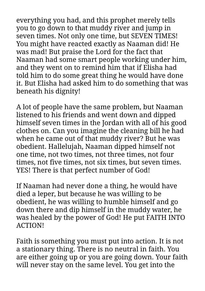everything you had, and this prophet merely tells you to go down to that muddy river and jump in seven times. Not only one time, but SEVEN TIMES! You might have reacted exactly as Naaman did! He was mad! But praise the Lord for the fact that Naaman had some smart people working under him, and they went on to remind him that if Elisha had told him to do some great thing he would have done it. But Elisha had asked him to do something that was beneath his dignity!

A lot of people have the same problem, but Naaman listened to his friends and went down and dipped himself seven times in the Jordan with all of his good clothes on. Can you imagine the cleaning bill he had when he came out of that muddy river? But he was obedient. Hallelujah, Naaman dipped himself not one time, not two times, not three times, not four times, not five times, not six times, but seven times. YES! There is that perfect number of God!

If Naaman had never done a thing, he would have died a leper, but because he was willing to be obedient, he was willing to humble himself and go down there and dip himself in the muddy water, he was healed by the power of God! He put FAITH INTO ACTION!

Faith is something you must put into action. It is not a stationary thing. There is no neutral in faith. You are either going up or you are going down. Your faith will never stay on the same level. You get into the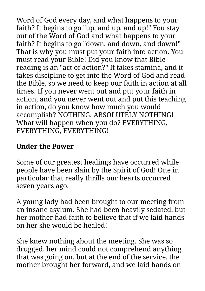Word of God every day, and what happens to your faith? It begins to go "up, and up, and up!" You stay out of the Word of God and what happens to your faith? It begins to go "down, and down, and down!" That is why you must put your faith into action. You must read your Bible! Did you know that Bible reading is an "act of action?" It takes stamina, and it takes discipline to get into the Word of God and read the Bible, so we need to keep our faith in action at all times. If you never went out and put your faith in action, and you never went out and put this teaching in action, do you know how much you would accomplish? NOTHING, ABSOLUTELY NOTHING! What will happen when you do? EVERYTHING, EVERYTHING, EVERYTHING!

## **Under the Power**

Some of our greatest healings have occurred while people have been slain by the Spirit of God! One in particular that really thrills our hearts occurred seven years ago.

A young lady had been brought to our meeting from an insane asylum. She had been heavily sedated, but her mother had faith to believe that if we laid hands on her she would be healed!

She knew nothing about the meeting. She was so drugged, her mind could not comprehend anything that was going on, but at the end of the service, the mother brought her forward, and we laid hands on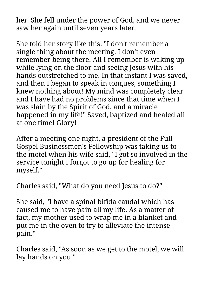her. She fell under the power of God, and we never saw her again until seven years later.

She told her story like this: "I don't remember a single thing about the meeting. I don't even remember being there. All I remember is waking up while lying on the floor and seeing Jesus with his hands outstretched to me. In that instant I was saved, and then I began to speak in tongues, something I knew nothing about! My mind was completely clear and I have had no problems since that time when I was slain by the Spirit of God, and a miracle happened in my life!" Saved, baptized and healed all at one time! Glory!

After a meeting one night, a president of the Full Gospel Businessmen's Fellowship was taking us to the motel when his wife said, "I got so involved in the service tonight I forgot to go up for healing for myself."

Charles said, "What do you need Jesus to do?"

She said, "I have a spinal bifida caudal which has caused me to have pain all my life. As a matter of fact, my mother used to wrap me in a blanket and put me in the oven to try to alleviate the intense pain."

Charles said, "As soon as we get to the motel, we will lay hands on you."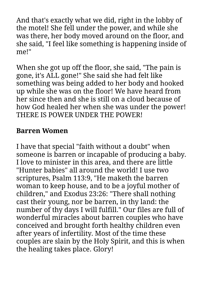And that's exactly what we did, right in the lobby of the motel! She fell under the power, and while she was there, her body moved around on the floor, and she said, "I feel like something is happening inside of me!"

When she got up off the floor, she said, "The pain is gone, it's ALL gone!" She said she had felt like something was being added to her body and hooked up while she was on the floor! We have heard from her since then and she is still on a cloud because of how God healed her when she was under the power! THERE IS POWER UNDER THE POWER!

### **Barren Women**

I have that special "faith without a doubt" when someone is barren or incapable of producing a baby. I love to minister in this area, and there are little "Hunter babies" all around the world! I use two scriptures, Psalm 113:9, "He maketh the barren woman to keep house, and to be a joyful mother of children," and Exodus 23:26: "There shall nothing cast their young, nor be barren, in thy land: the number of thy days I will fulfill." Our files are full of wonderful miracles about barren couples who have conceived and brought forth healthy children even after years of infertility. Most of the time these couples are slain by the Holy Spirit, and this is when the healing takes place. Glory!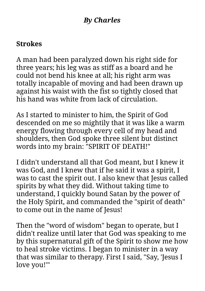## *By Charles*

## **Strokes**

A man had been paralyzed down his right side for three years; his leg was as stiff as a board and he could not bend his knee at all; his right arm was totally incapable of moving and had been drawn up against his waist with the fist so tightly closed that his hand was white from lack of circulation.

As I started to minister to him, the Spirit of God descended on me so mightily that it was like a warm energy flowing through every cell of my head and shoulders, then God spoke three silent but distinct words into my brain: "SPIRIT OF DEATH!"

I didn't understand all that God meant, but I knew it was God, and I knew that if he said it was a spirit, I was to cast the spirit out. I also knew that Jesus called spirits by what they did. Without taking time to understand, I quickly bound Satan by the power of the Holy Spirit, and commanded the "spirit of death" to come out in the name of Jesus!

Then the "word of wisdom" began to operate, but I didn't realize until later that God was speaking to me by this supernatural gift of the Spirit to show me how to heal stroke victims. I began to minister in a way that was similar to therapy. First I said, "Say, 'Jesus I love you!'"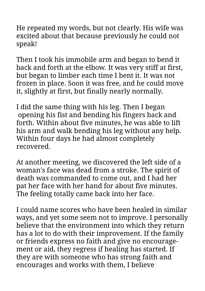He repeated my words, but not clearly. His wife was excited about that because previously he could not speak!

Then I took his immobile arm and began to bend it back and forth at the elbow. It was very stiff at first, but began to limber each time I bent it. It was not frozen in place. Soon it was free, and he could move it, slightly at first, but finally nearly normally.

I did the same thing with his leg. Then I began opening his fist and bending his fingers back and forth. Within about five minutes, he was able to lift his arm and walk bending his leg without any help. Within four days he had almost completely recovered.

At another meeting, we discovered the left side of a woman's face was dead from a stroke. The spirit of death was commanded to come out, and I had her pat her face with her hand for about five minutes. The feeling totally came back into her face.

I could name scores who have been healed in similar ways, and yet some seem not to improve. I personally believe that the environment into which they return has a lot to do with their improvement. If the family or friends express no faith and give no encouragement or aid, they regress if healing has started. If they are with someone who has strong faith and encourages and works with them, I believe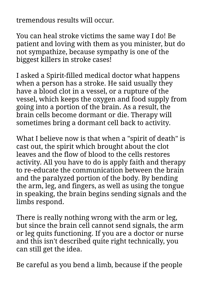tremendous results will occur.

You can heal stroke victims the same way I do! Be patient and loving with them as you minister, but do not sympathize, because sympathy is one of the biggest killers in stroke cases!

I asked a Spirit-filled medical doctor what happens when a person has a stroke. He said usually they have a blood clot in a vessel, or a rupture of the vessel, which keeps the oxygen and food supply from going into a portion of the brain. As a result, the brain cells become dormant or die. Therapy will sometimes bring a dormant cell back to activity.

What I believe now is that when a "spirit of death" is cast out, the spirit which brought about the clot leaves and the flow of blood to the cells restores activity. All you have to do is apply faith and therapy to re-educate the communication between the brain and the paralyzed portion of the body. By bending the arm, leg, and fingers, as well as using the tongue in speaking, the brain begins sending signals and the limbs respond.

There is really nothing wrong with the arm or leg, but since the brain cell cannot send signals, the arm or leg quits functioning. If you are a doctor or nurse and this isn't described quite right technically, you can still get the idea.

Be careful as you bend a limb, because if the people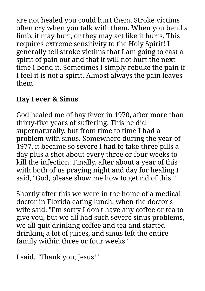are not healed you could hurt them. Stroke victims often cry when you talk with them. When you bend a limb, it may hurt, or they may act like it hurts. This requires extreme sensitivity to the Holy Spirit! I generally tell stroke victims that I am going to cast a spirit of pain out and that it will not hurt the next time I bend it. Sometimes I simply rebuke the pain if I feel it is not a spirit. Almost always the pain leaves them.

## **Hay Fever & Sinus**

God healed me of hay fever in 1970, after more than thirty-five years of suffering. This he did supernaturally, but from time to time I had a problem with sinus. Somewhere during the year of 1977, it became so severe I had to take three pills a day plus a shot about every three or four weeks to kill the infection. Finally, after about a year of this with both of us praying night and day for healing I said, "God, please show me how to get rid of this!"

Shortly after this we were in the home of a medical doctor in Florida eating lunch, when the doctor's wife said, "I'm sorry I don't have any coffee or tea to give you, but we all had such severe sinus problems, we all quit drinking coffee and tea and started drinking a lot of juices, and sinus left the entire family within three or four weeks."

I said, "Thank you, Jesus!"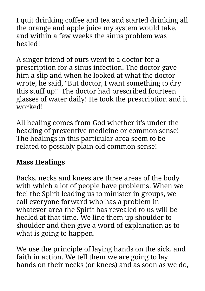I quit drinking coffee and tea and started drinking all the orange and apple juice my system would take, and within a few weeks the sinus problem was healed!

A singer friend of ours went to a doctor for a prescription for a sinus infection. The doctor gave him a slip and when he looked at what the doctor wrote, he said, "But doctor, I want something to dry this stuff up!" The doctor had prescribed fourteen glasses of water daily! He took the prescription and it worked!

All healing comes from God whether it's under the heading of preventive medicine or common sense! The healings in this particular area seem to be related to possibly plain old common sense!

## **Mass Healings**

Backs, necks and knees are three areas of the body with which a lot of people have problems. When we feel the Spirit leading us to minister in groups, we call everyone forward who has a problem in whatever area the Spirit has revealed to us will be healed at that time. We line them up shoulder to shoulder and then give a word of explanation as to what is going to happen.

We use the principle of laying hands on the sick, and faith in action. We tell them we are going to lay hands on their necks (or knees) and as soon as we do,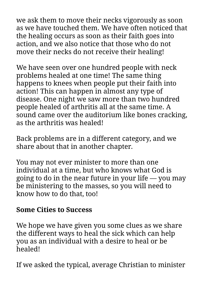we ask them to move their necks vigorously as soon as we have touched them. We have often noticed that the healing occurs as soon as their faith goes into action, and we also notice that those who do not move their necks do not receive their healing!

We have seen over one hundred people with neck problems healed at one time! The same thing happens to knees when people put their faith into action! This can happen in almost any type of disease. One night we saw more than two hundred people healed of arthritis all at the same time. A sound came over the auditorium like bones cracking, as the arthritis was healed!

Back problems are in a different category, and we share about that in another chapter.

You may not ever minister to more than one individual at a time, but who knows what God is going to do in the near future in your life  $-$  you may be ministering to the masses, so you will need to know how to do that, too!

### **Some Cities to Success**

We hope we have given you some clues as we share the different ways to heal the sick which can help you as an individual with a desire to heal or be healed!

If we asked the typical, average Christian to minister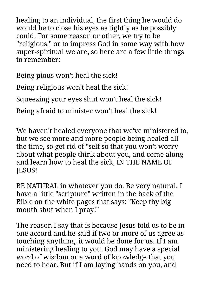healing to an individual, the first thing he would do would be to close his eyes as tightly as he possibly could. For some reason or other, we try to be "religious," or to impress God in some way with how super-spiritual we are, so here are a few little things to remember:

Being pious won't heal the sick!

Being religious won't heal the sick!

Squeezing your eyes shut won't heal the sick!

Being afraid to minister won't heal the sick!

We haven't healed everyone that we've ministered to, but we see more and more people being healed all the time, so get rid of "self so that you won't worry about what people think about you, and come along and learn how to heal the sick, IN THE NAME OF JESUS!

BE NATURAL in whatever you do. Be very natural. I have a little "scripture" written in the back of the Bible on the white pages that says: "Keep thy big mouth shut when I pray!"

The reason I say that is because Jesus told us to be in one accord and he said if two or more of us agree as touching anything, it would be done for us. If I am ministering healing to you, God may have a special word of wisdom or a word of knowledge that you need to hear. But if I am laying hands on you, and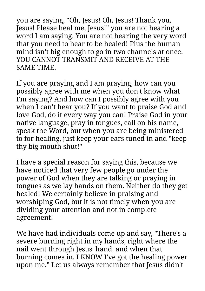you are saying, "Oh, Jesus! Oh, Jesus! Thank you, Jesus! Please heal me, Jesus!" you are not hearing a word I am saying. You are not hearing the very word that you need to hear to be healed! Plus the human mind isn't big enough to go in two channels at once. YOU CANNOT TRANSMIT AND RECEIVE AT THE SAME TIME.

If you are praying and I am praying, how can you possibly agree with me when you don't know what I'm saying? And how can I possibly agree with you when I can't hear you? If you want to praise God and love God, do it every way you can! Praise God in your native language, pray in tongues, call on his name, speak the Word, but when you are being ministered to for healing, just keep your ears tuned in and "keep thy big mouth shut!"

I have a special reason for saying this, because we have noticed that very few people go under the power of God when they are talking or praying in tongues as we lay hands on them. Neither do they get healed! We certainly believe in praising and worshiping God, but it is not timely when you are dividing your attention and not in complete agreement!

We have had individuals come up and say, "There's a severe burning right in my hands, right where the nail went through Jesus' hand, and when that burning comes in, I KNOW I've got the healing power upon me." Let us always remember that Jesus didn't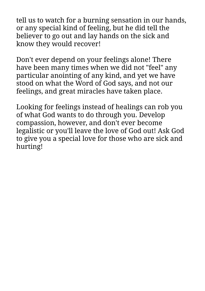tell us to watch for a burning sensation in our hands, or any special kind of feeling, but he did tell the believer to go out and lay hands on the sick and know they would recover!

Don't ever depend on your feelings alone! There have been many times when we did not "feel" any particular anointing of any kind, and yet we have stood on what the Word of God says, and not our feelings, and great miracles have taken place.

Looking for feelings instead of healings can rob you of what God wants to do through you. Develop compassion, however, and don't ever become legalistic or you'll leave the love of God out! Ask God to give you a special love for those who are sick and hurting!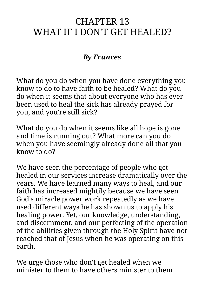# CHAPTER 13 WHAT IF I DON'T GET HEALED?

#### *By Frances*

What do you do when you have done everything you know to do to have faith to be healed? What do you do when it seems that about everyone who has ever been used to heal the sick has already prayed for you, and you're still sick?

What do you do when it seems like all hope is gone and time is running out? What more can you do when you have seemingly already done all that you know to do?

We have seen the percentage of people who get healed in our services increase dramatically over the years. We have learned many ways to heal, and our faith has increased mightily because we have seen God's miracle power work repeatedly as we have used different ways he has shown us to apply his healing power. Yet, our knowledge, understanding, and discernment, and our perfecting of the operation of the abilities given through the Holy Spirit have not reached that of Jesus when he was operating on this earth.

We urge those who don't get healed when we minister to them to have others minister to them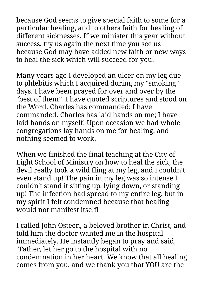because God seems to give special faith to some for a particular healing, and to others faith for healing of different sicknesses. If we minister this year without success, try us again the next time you see us because God may have added new faith or new ways to heal the sick which will succeed for you.

Many years ago I developed an ulcer on my leg due to phlebitis which I acquired during my "smoking" days. I have been prayed for over and over by the "best of them!" I have quoted scriptures and stood on the Word. Charles has commanded; I have commanded. Charles has laid hands on me; I have laid hands on myself. Upon occasion we had whole congregations lay hands on me for healing, and nothing seemed to work.

When we finished the final teaching at the City of Light School of Ministry on how to heal the sick, the devil really took a wild fling at my leg, and I couldn't even stand up! The pain in my leg was so intense I couldn't stand it sitting up, lying down, or standing up! The infection had spread to my entire leg, but in my spirit I felt condemned because that healing would not manifest itself!

I called John Osteen, a beloved brother in Christ, and told him the doctor wanted me in the hospital immediately. He instantly began to pray and said, "Father, let her go to the hospital with no condemnation in her heart. We know that all healing comes from you, and we thank you that YOU are the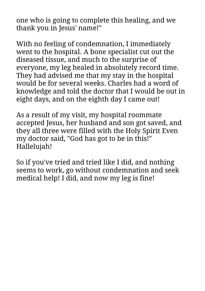one who is going to complete this healing, and we thank you in Jesus' name!"

With no feeling of condemnation, I immediately went to the hospital. A bone specialist cut out the diseased tissue, and much to the surprise of everyone, my leg healed in absolutely record time. They had advised me that my stay in the hospital would be for several weeks. Charles had a word of knowledge and told the doctor that I would be out in eight days, and on the eighth day I came out!

As a result of my visit, my hospital roommate accepted Jesus, her husband and son got saved, and they all three were filled with the Holy Spirit Even my doctor said, "God has got to be in this!" Hallelujah!

So if you've tried and tried like I did, and nothing seems to work, go without condemnation and seek medical help! I did, and now my leg is fine!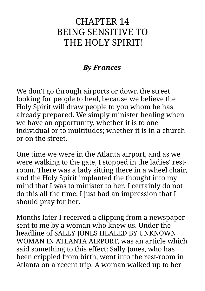# CHAPTER 14 BEING SENSITIVE TO THE HOLY SPIRIT!

### *By Frances*

We don't go through airports or down the street looking for people to heal, because we believe the Holy Spirit will draw people to you whom he has already prepared. We simply minister healing when we have an opportunity, whether it is to one individual or to multitudes; whether it is in a church or on the street.

One time we were in the Atlanta airport, and as we were walking to the gate, I stopped in the ladies' restroom. There was a lady sitting there in a wheel chair, and the Holy Spirit implanted the thought into my mind that I was to minister to her. I certainly do not do this all the time; I just had an impression that I should pray for her.

Months later I received a clipping from a newspaper sent to me by a woman who knew us. Under the headline of SALLY JONES HEALED BY UNKNOWN WOMAN IN ATLANTA AIRPORT, was an article which said something to this effect: Sally Jones, who has been crippled from birth, went into the rest-room in Atlanta on a recent trip. A woman walked up to her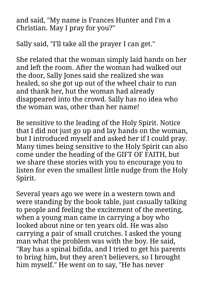and said, "My name is Frances Hunter and I'm a Christian. May I pray for you?"

Sally said, "I'll take all the prayer I can get."

She related that the woman simply laid hands on her and left the room. After the woman had walked out the door, Sally Jones said she realized she was healed, so she got up out of the wheel chair to run and thank her, hut the woman had already disappeared into the crowd. Sally has no idea who the woman was, other than her name!

Be sensitive to the leading of the Holy Spirit. Notice that I did not just go up and lay hands on the woman, but I introduced myself and asked her if I could pray. Many times being sensitive to the Holy Spirit can also come under the heading of the GIFT OF FAITH, but we share these stories with you to encourage you to listen for even the smallest little nudge from the Holy Spirit.

Several years ago we were in a western town and were standing by the book table, just casually talking to people and feeling the excitement of the meeting, when a young man came in carrying a boy who looked about nine or ten years old. He was also carrying a pair of small crutches. I asked the young man what the problem was with the boy. He said, "Ray has a spinal bifida, and I tried to get his parents to bring him, but they aren't believers, so I brought him myself." He went on to say, "He has never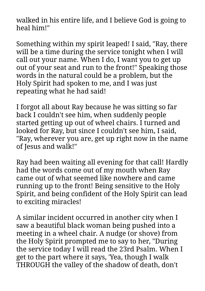walked in his entire life, and I believe God is going to heal him!"

Something within my spirit leaped! I said, "Ray, there will be a time during the service tonight when I will call out your name. When I do, I want you to get up out of your seat and run to the front!" Speaking those words in the natural could be a problem, but the Holy Spirit had spoken to me, and I was just repeating what he had said!

I forgot all about Ray because he was sitting so far back I couldn't see him, when suddenly people started getting up out of wheel chairs. I turned and looked for Ray, but since I couldn't see him, I said, "Ray, wherever you are, get up right now in the name of Jesus and walk!"

Ray had been waiting all evening for that call! Hardly had the words come out of my mouth when Ray came out of what seemed like nowhere and came running up to the front! Being sensitive to the Holy Spirit, and being confident of the Holy Spirit can lead to exciting miracles!

A similar incident occurred in another city when I saw a beautiful black woman being pushed into a meeting in a wheel chair. A nudge (or shove) from the Holy Spirit prompted me to say to her, "During the service today I will read the 23rd Psalm. When I get to the part where it says, 'Yea, though I walk THROUGH the valley of the shadow of death, don't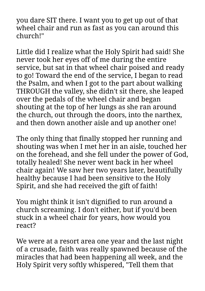you dare SIT there. I want you to get up out of that wheel chair and run as fast as you can around this church!"

Little did I realize what the Holy Spirit had said! She never took her eyes off of me during the entire service, but sat in that wheel chair poised and ready to go! Toward the end of the service, I began to read the Psalm, and when I got to the part about walking THROUGH the valley, she didn't sit there, she leaped over the pedals of the wheel chair and began shouting at the top of her lungs as she ran around the church, out through the doors, into the narthex, and then down another aisle and up another one!

The only thing that finally stopped her running and shouting was when I met her in an aisle, touched her on the forehead, and she fell under the power of God, totally healed! She never went back in her wheel chair again! We saw her two years later, beautifully healthy because I had been sensitive to the Holy Spirit, and she had received the gift of faith!

You might think it isn't dignified to run around a church screaming. I don't either, but if you'd been stuck in a wheel chair for years, how would you react?

We were at a resort area one year and the last night of a crusade, faith was really spawned because of the miracles that had been happening all week, and the Holy Spirit very softly whispered, "Tell them that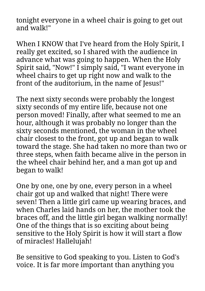tonight everyone in a wheel chair is going to get out and walk!"

When I KNOW that I've heard from the Holy Spirit, I really get excited, so I shared with the audience in advance what was going to happen. When the Holy Spirit said, "Now!" I simply said, "I want everyone in wheel chairs to get up right now and walk to the front of the auditorium, in the name of Jesus!"

The next sixty seconds were probably the longest sixty seconds of my entire life, because not one person moved! Finally, after what seemed to me an hour, although it was probably no longer than the sixty seconds mentioned, the woman in the wheel chair closest to the front, got up and began to walk toward the stage. She had taken no more than two or three steps, when faith became alive in the person in the wheel chair behind her, and a man got up and began to walk!

One by one, one by one, every person in a wheel chair got up and walked that night! There were seven! Then a little girl came up wearing braces, and when Charles laid hands on her, the mother took the braces off, and the little girl began walking normally! One of the things that is so exciting about being sensitive to the Holy Spirit is how it will start a flow of miracles! Hallelujah!

Be sensitive to God speaking to you. Listen to God's voice. It is far more important than anything you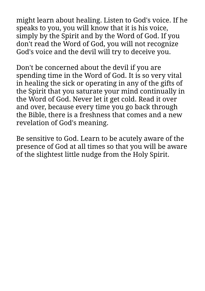might learn about healing. Listen to God's voice. If he speaks to you, you will know that it is his voice, simply by the Spirit and by the Word of God. If you don't read the Word of God, you will not recognize God's voice and the devil will try to deceive you.

Don't be concerned about the devil if you are spending time in the Word of God. It is so very vital in healing the sick or operating in any of the gifts of the Spirit that you saturate your mind continually in the Word of God. Never let it get cold. Read it over and over, because every time you go back through the Bible, there is a freshness that comes and a new revelation of God's meaning.

Be sensitive to God. Learn to be acutely aware of the presence of God at all times so that you will be aware of the slightest little nudge from the Holy Spirit.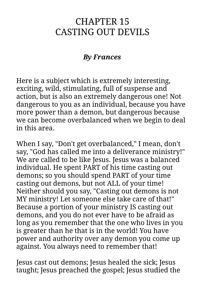# CHAPTER 15 CASTING OUT DEVILS

#### *By Frances*

Here is a subject which is extremely interesting, exciting, wild, stimulating, full of suspense and action, but is also an extremely dangerous one! Not dangerous to you as an individual, because you have more power than a demon, but dangerous because we can become overbalanced when we begin to deal in this area.

When I say, "Don't get overbalanced," I mean, don't say, "God has called me into a deliverance ministry!" We are called to be like Jesus. Jesus was a balanced individual. He spent PART of his time casting out demons; so you should spend PART of your time casting out demons, but not ALL of your time! Neither should you say, "Casting out demons is not MY ministry! Let someone else take care of that!" Because a portion of your ministry IS casting out demons, and you do not ever have to be afraid as long as you remember that the one who lives in you is greater than he that is in the world! You have power and authority over any demon you come up against. You always need to remember that!

Jesus cast out demons; Jesus healed the sick; Jesus taught; Jesus preached the gospel; Jesus studied the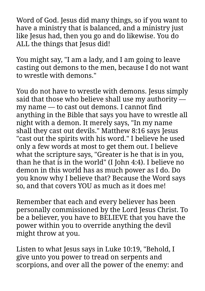Word of God. Jesus did many things, so if you want to have a ministry that is balanced, and a ministry just like Jesus had, then you go and do likewise. You do ALL the things that Jesus did!

You might say, "I am a lady, and I am going to leave casting out demons to the men, because I do not want to wrestle with demons."

You do not have to wrestle with demons. Jesus simply said that those who believe shall use my authority my name — to cast out demons. I cannot find anything in the Bible that says you have to wrestle all night with a demon. It merely says, "In my name shall they cast out devils." Matthew 8:16 says Jesus "cast out the spirits with his word." I believe he used only a few words at most to get them out. I believe what the scripture says, "Greater is he that is in you, than he that is in the world" (I John 4:4). I believe no demon in this world has as much power as I do. Do you know why I believe that? Because the Word says so, and that covers YOU as much as it does me!

Remember that each and every believer has been personally commissioned by the Lord Jesus Christ. To be a believer, you have to BELIEVE that you have the power within you to override anything the devil might throw at you.

Listen to what Jesus says in Luke 10:19, "Behold, I give unto you power to tread on serpents and scorpions, and over all the power of the enemy: and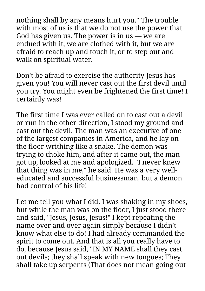nothing shall by any means hurt you." The trouble with most of us is that we do not use the power that God has given us. The power is in  $us$  — we are endued with it, we are clothed with it, but we are afraid to reach up and touch it, or to step out and walk on spiritual water.

Don't be afraid to exercise the authority Jesus has given you! You will never cast out the first devil until you try. You might even be frightened the first time! I certainly was!

The first time I was ever called on to cast out a devil or run in the other direction, I stood my ground and cast out the devil. The man was an executive of one of the largest companies in America, and he lay on the floor writhing like a snake. The demon was trying to choke him, and after it came out, the man got up, looked at me and apologized. "I never knew that thing was in me," he said. He was a very welleducated and successful businessman, but a demon had control of his life!

Let me tell you what I did. I was shaking in my shoes, but while the man was on the floor, I just stood there and said, "Jesus, Jesus, Jesus!" I kept repeating the name over and over again simply because I didn't know what else to do! I had already commanded the spirit to come out. And that is all you really have to do, because Jesus said, "IN MY NAME shall they cast out devils; they shall speak with new tongues; They shall take up serpents (That does not mean going out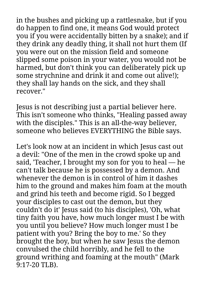in the bushes and picking up a rattlesnake, but if you do happen to find one, it means God would protect you if you were accidentally bitten by a snake); and if they drink any deadly thing, it shall not hurt them (If you were out on the mission field and someone slipped some poison in your water, you would not be harmed, but don't think you can deliberately pick up some strychnine and drink it and come out alive!); they shall lay hands on the sick, and they shall recover."

Jesus is not describing just a partial believer here. This isn't someone who thinks, "Healing passed away with the disciples." This is an all-the-way believer, someone who believes EVERYTHING the Bible says.

Let's look now at an incident in which Jesus cast out a devil: "One of the men in the crowd spoke up and said, 'Teacher, I brought my son for you to heal — he can't talk because he is possessed by a demon. And whenever the demon is in control of him it dashes him to the ground and makes him foam at the mouth and grind his teeth and become rigid. So I begged your disciples to cast out the demon, but they couldn't do it' Jesus said (to his disciples), 'Oh, what tiny faith you have, how much longer must I be with you until you believe? How much longer must I be patient with you? Bring the boy to me.' So they brought the boy, but when he saw Jesus the demon convulsed the child horribly, and he fell to the ground writhing and foaming at the mouth" (Mark 9:17-20 TLB).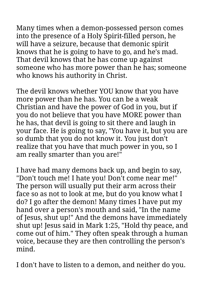Many times when a demon-possessed person comes into the presence of a Holy Spirit-filled person, he will have a seizure, because that demonic spirit knows that he is going to have to go, and he's mad. That devil knows that he has come up against someone who has more power than he has; someone who knows his authority in Christ.

The devil knows whether YOU know that you have more power than he has. You can be a weak Christian and have the power of God in you, but if you do not believe that you have MORE power than he has, that devil is going to sit there and laugh in your face. He is going to say, "You have it, but you are so dumb that you do not know it. You just don't realize that you have that much power in you, so I am really smarter than you are!"

I have had many demons back up, and begin to say, "Don't touch me! I hate you! Don't come near me!" The person will usually put their arm across their face so as not to look at me, but do you know what I do? I go after the demon! Many times I have put my hand over a person's mouth and said, "In the name of Jesus, shut up!" And the demons have immediately shut up! Jesus said in Mark 1:25, "Hold thy peace, and come out of him." They often speak through a human voice, because they are then controlling the person's mind.

I don't have to listen to a demon, and neither do you.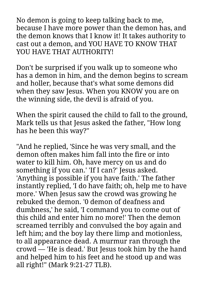No demon is going to keep talking back to me, because I have more power than the demon has, and the demon knows that I know it! It takes authority to cast out a demon, and YOU HAVE TO KNOW THAT YOU HAVE THAT AUTHORITY!

Don't be surprised if you walk up to someone who has a demon in him, and the demon begins to scream and holler, because that's what some demons did when they saw Jesus. When you KNOW you are on the winning side, the devil is afraid of you.

When the spirit caused the child to fall to the ground, Mark tells us that Jesus asked the father, "How long has he been this way?"

"And he replied, 'Since he was very small, and the demon often makes him fall into the fire or into water to kill him. Oh, have mercy on us and do something if you can.' 'If I can?' Jesus asked. 'Anything is possible if you have faith.' The father instantly replied, 'I do have faith; oh, help me to have more.' When Jesus saw the crowd was growing he rebuked the demon. '0 demon of deafness and dumbness,' he said, 'I command you to come out of this child and enter him no more!' Then the demon screamed terribly and convulsed the boy again and left him; and the boy lay there limp and motionless, to all appearance dead. A murmur ran through the crowd — 'He is dead.' But Jesus took him by the hand and helped him to his feet and he stood up and was all right!" (Mark 9:21-27 TLB).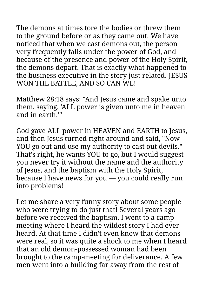The demons at times tore the bodies or threw them to the ground before or as they came out. We have noticed that when we cast demons out, the person very frequently falls under the power of God, and because of the presence and power of the Holy Spirit, the demons depart. That is exactly what happened to the business executive in the story just related. JESUS WON THE BATTLE, AND SO CAN WE!

Matthew 28:18 says: "And Jesus came and spake unto them, saying, 'ALL power is given unto me in heaven and in earth.'"

God gave ALL power in HEAVEN and EARTH to Jesus, and then Jesus turned right around and said, "Now YOU go out and use my authority to cast out devils." That's right, he wants YOU to go, but I would suggest you never try it without the name and the authority of Jesus, and the baptism with the Holy Spirit, because I have news for you — you could really run into problems!

Let me share a very funny story about some people who were trying to do just that! Several years ago before we received the baptism, I went to a campmeeting where I heard the wildest story I had ever heard. At that time I didn't even know that demons were real, so it was quite a shock to me when I heard that an old demon-possessed woman had been brought to the camp-meeting for deliverance. A few men went into a building far away from the rest of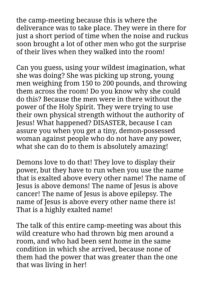the camp-meeting because this is where the deliverance was to take place. They were in there for just a short period of time when the noise and ruckus soon brought a lot of other men who got the surprise of their lives when they walked into the room!

Can you guess, using your wildest imagination, what she was doing? She was picking up strong, young men weighing from 150 to 200 pounds, and throwing them across the room! Do you know why she could do this? Because the men were in there without the power of the Holy Spirit. They were trying to use their own physical strength without the authority of Jesus! What happened? DISASTER, because I can assure you when you get a tiny, demon-possessed woman against people who do not have any power, what she can do to them is absolutely amazing!

Demons love to do that! They love to display their power, but they have to run when you use the name that is exalted above every other name! The name of Jesus is above demons! The name of Jesus is above cancer! The name of Jesus is above epilepsy. The name of Jesus is above every other name there is! That is a highly exalted name!

The talk of this entire camp-meeting was about this wild creature who had thrown big men around a room, and who had been sent home in the same condition in which she arrived, because none of them had the power that was greater than the one that was living in her!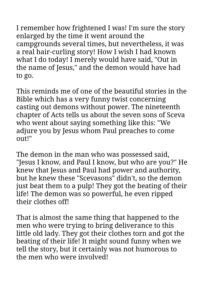I remember how frightened I was! I'm sure the story enlarged by the time it went around the campgrounds several times, but nevertheless, it was a real hair-curling story! How I wish I had known what I do today! I merely would have said, "Out in the name of Jesus," and the demon would have had to go.

This reminds me of one of the beautiful stories in the Bible which has a very funny twist concerning casting out demons without power. The nineteenth chapter of Acts tells us about the seven sons of Sceva who went about saying something like this: "We adjure you by Jesus whom Paul preaches to come out!"

The demon in the man who was possessed said, "Jesus I know, and Paul I know, but who are you?" He knew that Jesus and Paul had power and authority, but he knew these "Scevasons" didn't, so the demon just beat them to a pulp! They got the beating of their life! The demon was so powerful, he even ripped their clothes off!

That is almost the same thing that happened to the men who were trying to bring deliverance to this little old lady. They got their clothes torn and got the beating of their life! It might sound funny when we tell the story, but it certainly was not humorous to the men who were involved!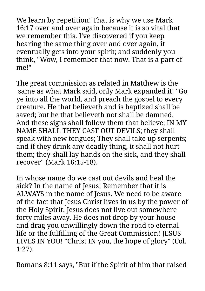We learn by repetition! That is why we use Mark 16:17 over and over again because it is so vital that we remember this. I've discovered if you keep hearing the same thing over and over again, it eventually gets into your spirit; and suddenly you think, "Wow, I remember that now. That is a part of me!"

The great commission as related in Matthew is the same as what Mark said, only Mark expanded it! "Go ye into all the world, and preach the gospel to every creature. He that believeth and is baptized shall be saved; but he that believeth not shall be damned. And these signs shall follow them that believe; IN MY NAME SHALL THEY CAST OUT DEVILS; they shall speak with new tongues; They shall take up serpents; and if they drink any deadly thing, it shall not hurt them; they shall lay hands on the sick, and they shall recover" (Mark 16:15-18).

In whose name do we cast out devils and heal the sick? In the name of Jesus! Remember that it is ALWAYS in the name of Jesus. We need to be aware of the fact that Jesus Christ lives in us by the power of the Holy Spirit. Jesus does not live out somewhere forty miles away. He does not drop by your house and drag you unwillingly down the road to eternal life or the fulfilling of the Great Commission! JESUS LIVES IN YOU! "Christ IN you, the hope of glory" (Col. 1:27).

Romans 8:11 says, "But if the Spirit of him that raised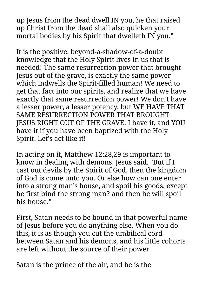up Jesus from the dead dwell IN you, he that raised up Christ from the dead shall also quicken your mortal bodies by his Spirit that dwelleth IN you."

It is the positive, beyond-a-shadow-of-a-doubt knowledge that the Holy Spirit lives in us that is needed! The same resurrection power that brought Jesus out of the grave, is exactly the same power which indwells the Spirit-filled human! We need to get that fact into our spirits, and realize that we have exactly that same resurrection power! We don't have a lesser power, a lesser potency, but WE HAVE THAT SAME RESURRECTION POWER THAT BROUGHT JESUS RIGHT OUT OF THE GRAVE. I have it, and YOU have it if you have been baptized with the Holy Spirit. Let's act like it!

In acting on it, Matthew 12:28,29 is important to know in dealing with demons. Jesus said, "But if I cast out devils by the Spirit of God, then the kingdom of God is come unto you. Or else how can one enter into a strong man's house, and spoil his goods, except he first bind the strong man? and then he will spoil his house."

First, Satan needs to be bound in that powerful name of Jesus before you do anything else. When you do this, it is as though you cut the umbilical cord between Satan and his demons, and his little cohorts are left without the source of their power.

Satan is the prince of the air, and he is the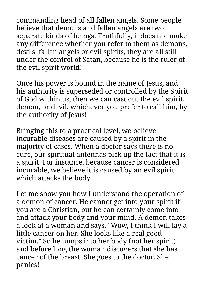commanding head of all fallen angels. Some people believe that demons and fallen angels are two separate kinds of beings. Truthfully, it does not make any difference whether you refer to them as demons, devils, fallen angels or evil spirits, they are all still under the control of Satan, because he is the ruler of the evil spirit world!

Once his power is bound in the name of Jesus, and his authority is superseded or controlled by the Spirit of God within us, then we can cast out the evil spirit, demon, or devil, whichever you prefer to call him, by the authority of Jesus!

Bringing this to a practical level, we believe incurable diseases are caused by a spirit in the majority of cases. When a doctor says there is no cure, our spiritual antennas pick up the fact that it is a spirit. For instance, because cancer is considered incurable, we believe it is caused by an evil spirit which attacks the body.

Let me show you how I understand the operation of a demon of cancer. He cannot get into your spirit if you are a Christian, but he can certainly come into and attack your body and your mind. A demon takes a look at a woman and says, "Wow, I think I will lay a little cancer on her. She looks like a real good victim." So he jumps into her body (not her spirit) and before long the woman discovers that she has cancer of the breast. She goes to the doctor. She panics!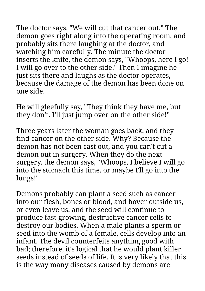The doctor says, "We will cut that cancer out." The demon goes right along into the operating room, and probably sits there laughing at the doctor, and watching him carefully. The minute the doctor inserts the knife, the demon says, "Whoops, here I go! I will go over to the other side." Then I imagine he just sits there and laughs as the doctor operates, because the damage of the demon has been done on one side.

He will gleefully say, "They think they have me, but they don't. I'll just jump over on the other side!"

Three years later the woman goes back, and they find cancer on the other side. Why? Because the demon has not been cast out, and you can't cut a demon out in surgery. When they do the next surgery, the demon says, "Whoops, I believe I will go into the stomach this time, or maybe I'll go into the lungs!"

Demons probably can plant a seed such as cancer into our flesh, bones or blood, and hover outside us, or even leave us, and the seed will continue to produce fast-growing, destructive cancer cells to destroy our bodies. When a male plants a sperm or seed into the womb of a female, cells develop into an infant. The devil counterfeits anything good with bad; therefore, it's logical that he would plant killer seeds instead of seeds of life. It is very likely that this is the way many diseases caused by demons are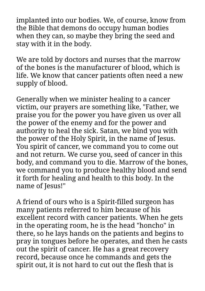implanted into our bodies. We, of course, know from the Bible that demons do occupy human bodies when they can, so maybe they bring the seed and stay with it in the body.

We are told by doctors and nurses that the marrow of the bones is the manufacturer of blood, which is life. We know that cancer patients often need a new supply of blood.

Generally when we minister healing to a cancer victim, our prayers are something like, "Father, we praise you for the power you have given us over all the power of the enemy and for the power and authority to heal the sick. Satan, we bind you with the power of the Holy Spirit, in the name of Jesus. You spirit of cancer, we command you to come out and not return. We curse you, seed of cancer in this body, and command you to die. Marrow of the bones, we command you to produce healthy blood and send it forth for healing and health to this body. In the name of Jesus!"

A friend of ours who is a Spirit-filled surgeon has many patients referred to him because of his excellent record with cancer patients. When he gets in the operating room, he is the head "honcho" in there, so he lays hands on the patients and begins to pray in tongues before he operates, and then he casts out the spirit of cancer. He has a great recovery record, because once he commands and gets the spirit out, it is not hard to cut out the flesh that is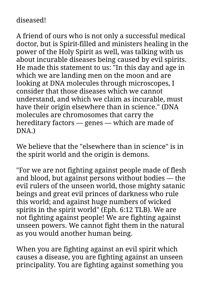### diseased!

A friend of ours who is not only a successful medical doctor, but is Spirit-filled and ministers healing in the power of the Holy Spirit as well, was talking with us about incurable diseases being caused by evil spirits. He made this statement to us: "In this day and age in which we are landing men on the moon and are looking at DNA molecules through microscopes, I consider that those diseases which we cannot understand, and which we claim as incurable, must have their origin elsewhere than in science." (DNA molecules are chromosomes that carry the hereditary factors — genes — which are made of DNA.)

We believe that the "elsewhere than in science" is in the spirit world and the origin is demons.

"For we are not fighting against people made of flesh and blood, but against persons without bodies — the evil rulers of the unseen world, those mighty satanic beings and great evil princes of darkness who rule this world; and against huge numbers of wicked spirits in the spirit world" (Eph. 6:12 TLB). We are not fighting against people! We are fighting against unseen powers. We cannot fight them in the natural as you would another human being.

When you are fighting against an evil spirit which causes a disease, you are fighting against an unseen principality. You are fighting against something you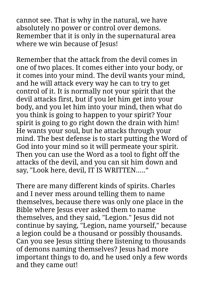cannot see. That is why in the natural, we have absolutely no power or control over demons. Remember that it is only in the supernatural area where we win because of Jesus!

Remember that the attack from the devil comes in one of two places. It comes either into your body, or it comes into your mind. The devil wants your mind, and he will attack every way he can to try to get control of it. It is normally not your spirit that the devil attacks first, but if you let him get into your body, and you let him into your mind, then what do you think is going to happen to your spirit? Your spirit is going to go right down the drain with him! He wants your soul, but he attacks through your mind. The best defense is to start putting the Word of God into your mind so it will permeate your spirit. Then you can use the Word as a tool to fight off the attacks of the devil, and you can sit him down and say, "Look here, devil, IT IS WRITTEN....."

There are many different kinds of spirits. Charles and I never mess around telling them to name themselves, because there was only one place in the Bible where Jesus ever asked them to name themselves, and they said, "Legion." Jesus did not continue by saying, "Legion, name yourself," because a legion could be a thousand or possibly thousands. Can you see Jesus sitting there listening to thousands of demons naming themselves? Jesus had more important things to do, and he used only a few words and they came out!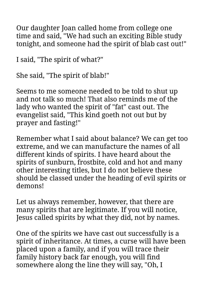Our daughter Joan called home from college one time and said, "We had such an exciting Bible study tonight, and someone had the spirit of blab cast out!"

I said, "The spirit of what?"

She said, "The spirit of blab!"

Seems to me someone needed to be told to shut up and not talk so much! That also reminds me of the lady who wanted the spirit of "fat" cast out. The evangelist said, "This kind goeth not out but by prayer and fasting!"

Remember what I said about balance? We can get too extreme, and we can manufacture the names of all different kinds of spirits. I have heard about the spirits of sunburn, frostbite, cold and hot and many other interesting titles, but I do not believe these should be classed under the heading of evil spirits or demons!

Let us always remember, however, that there are many spirits that are legitimate. If you will notice, Jesus called spirits by what they did, not by names.

One of the spirits we have cast out successfully is a spirit of inheritance. At times, a curse will have been placed upon a family, and if you will trace their family history back far enough, you will find somewhere along the line they will say, "Oh, I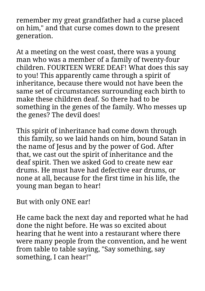remember my great grandfather had a curse placed on him," and that curse comes down to the present generation.

At a meeting on the west coast, there was a young man who was a member of a family of twenty-four children. FOURTEEN WERE DEAF! What does this say to you! This apparently came through a spirit of inheritance, because there would not have been the same set of circumstances surrounding each birth to make these children deaf. So there had to be something in the genes of the family. Who messes up the genes? The devil does!

This spirit of inheritance had come down through this family, so we laid hands on him, bound Satan in the name of Jesus and by the power of God. After that, we cast out the spirit of inheritance and the deaf spirit. Then we asked God to create new ear drums. He must have had defective ear drums, or none at all, because for the first time in his life, the young man began to hear!

But with only ONE ear!

He came back the next day and reported what he had done the night before. He was so excited about hearing that he went into a restaurant where there were many people from the convention, and he went from table to table saying, "Say something, say something, I can hear!"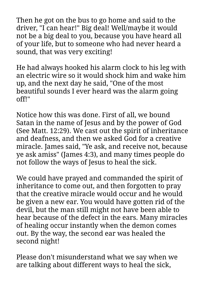Then he got on the bus to go home and said to the driver, "I can hear!" Big deal! Well/maybe it would not be a big deal to you, because you have heard all of your life, but to someone who had never heard a sound, that was very exciting!

He had always hooked his alarm clock to his leg with an electric wire so it would shock him and wake him up, and the next day he said, "One of the most beautiful sounds I ever heard was the alarm going off!"

Notice how this was done. First of all, we bound Satan in the name of Jesus and by the power of God (See Matt. 12:29). We cast out the spirit of inheritance and deafness, and then we asked God for a creative miracle. James said, "Ye ask, and receive not, because ye ask amiss" (James 4:3), and many times people do not follow the ways of Jesus to heal the sick.

We could have prayed and commanded the spirit of inheritance to come out, and then forgotten to pray that the creative miracle would occur and he would be given a new ear. You would have gotten rid of the devil, but the man still might not have been able to hear because of the defect in the ears. Many miracles of healing occur instantly when the demon comes out. By the way, the second ear was healed the second night!

Please don't misunderstand what we say when we are talking about different ways to heal the sick,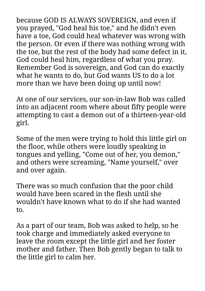because GOD IS ALWAYS SOVEREIGN, and even if you prayed, "God heal his toe," and he didn't even have a toe, God could heal whatever was wrong with the person. Or even if there was nothing wrong with the toe, but the rest of the body had some defect in it, God could heal him, regardless of what you pray. Remember God is sovereign, and God can do exactly what he wants to do, but God wants US to do a lot more than we have been doing up until now!

At one of our services, our son-in-law Bob was called into an adjacent room where about fifty people were attempting to cast a demon out of a thirteen-year-old girl.

Some of the men were trying to hold this little girl on the floor, while others were loudly speaking in tongues and yelling, "Come out of her, you demon," and others were screaming, "Name yourself," over and over again.

There was so much confusion that the poor child would have been scared in the flesh until she wouldn't have known what to do if she had wanted to.

As a part of our team, Bob was asked to help, so he took charge and immediately asked everyone to leave the room except the little girl and her foster mother and father. Then Bob gently began to talk to the little girl to calm her.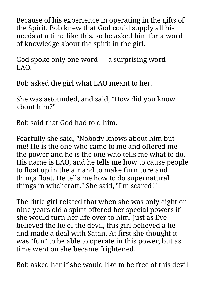Because of his experience in operating in the gifts of the Spirit, Bob knew that God could supply all his needs at a time like this, so he asked him for a word of knowledge about the spirit in the girl.

God spoke only one word — a surprising word —  $LAO$ 

Bob asked the girl what LAO meant to her.

She was astounded, and said, "How did you know about him?"

Bob said that God had told him.

Fearfully she said, "Nobody knows about him but me! He is the one who came to me and offered me the power and he is the one who tells me what to do. His name is LAO, and he tells me how to cause people to float up in the air and to make furniture and things float. He tells me how to do supernatural things in witchcraft." She said, "I'm scared!"

The little girl related that when she was only eight or nine years old a spirit offered her special powers if she would turn her life over to him. Just as Eve believed the lie of the devil, this girl believed a lie and made a deal with Satan. At first she thought it was "fun" to be able to operate in this power, but as time went on she became frightened.

Bob asked her if she would like to be free of this devil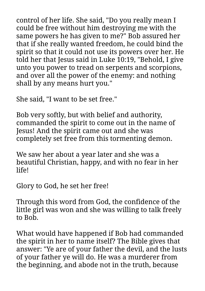control of her life. She said, "Do you really mean I could be free without him destroying me with the same powers he has given to me?" Bob assured her that if she really wanted freedom, he could bind the spirit so that it could not use its powers over her. He told her that Jesus said in Luke 10:19, "Behold, I give unto you power to tread on serpents and scorpions, and over all the power of the enemy: and nothing shall by any means hurt you."

She said, "I want to be set free."

Bob very softly, but with belief and authority, commanded the spirit to come out in the name of Jesus! And the spirit came out and she was completely set free from this tormenting demon.

We saw her about a year later and she was a beautiful Christian, happy, and with no fear in her life!

Glory to God, he set her free!

Through this word from God, the confidence of the little girl was won and she was willing to talk freely to Bob.

What would have happened if Bob had commanded the spirit in her to name itself? The Bible gives that answer: "Ye are of your father the devil, and the lusts of your father ye will do. He was a murderer from the beginning, and abode not in the truth, because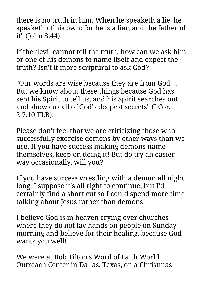there is no truth in him. When he speaketh a lie, he speaketh of his own: for he is a liar, and the father of it" (John 8:44).

If the devil cannot tell the truth, how can we ask him or one of his demons to name itself and expect the truth? Isn't it more scriptural to ask God?

"Our words are wise because they are from God ... But we know about these things because God has sent his Spirit to tell us, and his Spirit searches out and shows us all of God's deepest secrets" (I Cor. 2:7,10 TLB).

Please don't feel that we are criticizing those who successfully exorcise demons by other ways than we use. If you have success making demons name themselves, keep on doing it! But do try an easier way occasionally, will you?

If you have success wrestling with a demon all night long, I suppose it's all right to continue, but I'd certainly find a short cut so I could spend more time talking about Jesus rather than demons.

I believe God is in heaven crying over churches where they do not lay hands on people on Sunday morning and believe for their healing, because God wants you well!

We were at Bob Tilton's Word of Faith World Outreach Center in Dallas, Texas, on a Christmas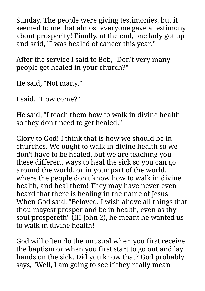Sunday. The people were giving testimonies, but it seemed to me that almost everyone gave a testimony about prosperity! Finally, at the end, one lady got up and said, "I was healed of cancer this year."

After the service I said to Bob, "Don't very many people get healed in your church?"

He said, "Not many."

I said, "How come?"

He said, "I teach them how to walk in divine health so they don't need to get healed."

Glory to God! I think that is how we should be in churches. We ought to walk in divine health so we don't have to be healed, but we are teaching you these different ways to heal the sick so you can go around the world, or in your part of the world, where the people don't know how to walk in divine health, and heal them! They may have never even heard that there is healing in the name of Jesus! When God said, "Beloved, I wish above all things that thou mayest prosper and be in health, even as thy soul prospereth" (III John 2), he meant he wanted us to walk in divine health!

God will often do the unusual when you first receive the baptism or when you first start to go out and lay hands on the sick. Did you know that? God probably says, "Well, I am going to see if they really mean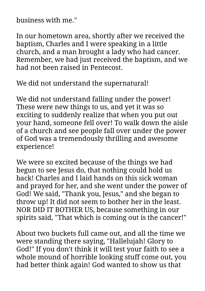business with me."

In our hometown area, shortly after we received the baptism, Charles and I were speaking in a little church, and a man brought a lady who had cancer. Remember, we had just received the baptism, and we had not been raised in Pentecost.

We did not understand the supernatural!

We did not understand falling under the power! These were new things to us, and yet it was so exciting to suddenly realize that when you put out your hand, someone fell over! To walk down the aisle of a church and see people fall over under the power of God was a tremendously thrilling and awesome experience!

We were so excited because of the things we had begun to see Jesus do, that nothing could hold us back! Charles and I laid hands on this sick woman and prayed for her, and she went under the power of God! We said, "Thank you, Jesus," and she began to throw up! It did not seem to bother her in the least. NOR DID IT BOTHER US, because something in our spirits said, "That which is coming out is the cancer!"

About two buckets full came out, and all the time we were standing there saying, "Hallelujah! Glory to God!" If you don't think it will test your faith to see a whole mound of horrible looking stuff come out, you had better think again! God wanted to show us that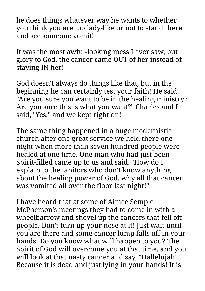he does things whatever way he wants to whether you think you are too lady-like or not to stand there and see someone vomit!

It was the most awful-looking mess I ever saw, but glory to God, the cancer came OUT of her instead of staying IN her!

God doesn't always do things like that, but in the beginning he can certainly test your faith! He said, "Are you sure you want to be in the healing ministry? Are you sure this is what you want?" Charles and I said, "Yes," and we kept right on!

The same thing happened in a huge modernistic church after one great service we held there one night when more than seven hundred people were healed at one time. One man who had just been Spirit-filled came up to us and said, "How do I explain to the janitors who don't know anything about the healing power of God, why all that cancer was vomited all over the floor last night!"

I have heard that at some of Aimee Semple McPherson's meetings they had to come in with a wheelbarrow and shovel up the cancers that fell off people. Don't turn up your nose at it! Just wait until you are there and some cancer lump falls off in your hands! Do you know what will happen to you? The Spirit of God will overcome you at that time, and you will look at that nasty cancer and say, "Hallelujah!" Because it is dead and just lying in your hands! It is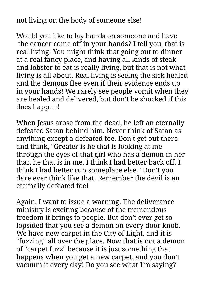#### not living on the body of someone else!

Would you like to lay hands on someone and have the cancer come off in your hands? I tell you, that is real living! You might think that going out to dinner at a real fancy place, and having all kinds of steak and lobster to eat is really living, but that is not what living is all about. Real living is seeing the sick healed and the demons flee even if their evidence ends up in your hands! We rarely see people vomit when they are healed and delivered, but don't be shocked if this does happen!

When Jesus arose from the dead, he left an eternally defeated Satan behind him. Never think of Satan as anything except a defeated foe. Don't get out there and think, "Greater is he that is looking at me through the eyes of that girl who has a demon in her than he that is in me. I think I had better back off. I think I had better run someplace else." Don't you dare ever think like that. Remember the devil is an eternally defeated foe!

Again, I want to issue a warning. The deliverance ministry is exciting because of the tremendous freedom it brings to people. But don't ever get so lopsided that you see a demon on every door knob. We have new carpet in the City of Light, and it is "fuzzing" all over the place. Now that is not a demon of "carpet fuzz" because it is just something that happens when you get a new carpet, and you don't vacuum it every day! Do you see what I'm saying?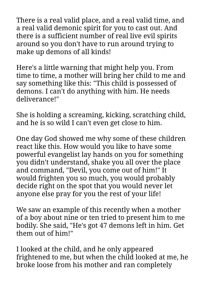There is a real valid place, and a real valid time, and a real valid demonic spirit for you to cast out. And there is a sufficient number of real live evil spirits around so you don't have to run around trying to make up demons of all kinds!

Here's a little warning that might help you. From time to time, a mother will bring her child to me and say something like this: "This child is possessed of demons. I can't do anything with him. He needs deliverance!"

She is holding a screaming, kicking, scratching child, and he is so wild I can't even get close to him.

One day God showed me why some of these children react like this. How would you like to have some powerful evangelist lay hands on you for something you didn't understand, shake you all over the place and command, "Devil, you come out of him!" It would frighten you so much, you would probably decide right on the spot that you would never let anyone else pray for you the rest of your life!

We saw an example of this recently when a mother of a boy about nine or ten tried to present him to me bodily. She said, "He's got 47 demons left in him. Get them out of him!"

I looked at the child, and he only appeared frightened to me, but when the child looked at me, he broke loose from his mother and ran completely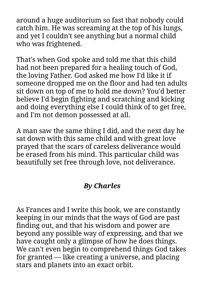around a huge auditorium so fast that nobody could catch him. He was screaming at the top of his lungs, and yet I couldn't see anything but a normal child who was frightened.

That's when God spoke and told me that this child had not been prepared for a healing touch of God, the loving Father. God asked me how I'd like it if someone dropped me on the floor and had ten adults sit down on top of me to hold me down? You'd better believe I'd begin fighting and scratching and kicking and doing everything else I could think of to get free, and I'm not demon possessed at all.

A man saw the same thing I did, and the next day he sat down with this same child and with great love prayed that the scars of careless deliverance would be erased from his mind. This particular child was beautifully set free through love, not deliverance.

#### *By Charles*

As Frances and I write this book, we are constantly keeping in our minds that the ways of God are past finding out, and that his wisdom and power are beyond any possible way of expressing, and that we have caught only a glimpse of how he does things. We can't even begin to comprehend things God takes for granted — like creating a universe, and placing stars and planets into an exact orbit.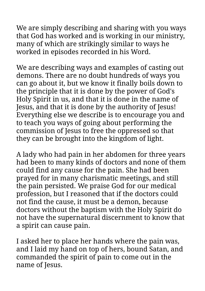We are simply describing and sharing with you ways that God has worked and is working in our ministry, many of which are strikingly similar to ways he worked in episodes recorded in his Word.

We are describing ways and examples of casting out demons. There are no doubt hundreds of ways you can go about it, but we know it finally boils down to the principle that it is done by the power of God's Holy Spirit in us, and that it is done in the name of Jesus, and that it is done by the authority of Jesus! Everything else we describe is to encourage you and to teach you ways of going about performing the commission of Jesus to free the oppressed so that they can be brought into the kingdom of light.

A lady who had pain in her abdomen for three years had been to many kinds of doctors and none of them could find any cause for the pain. She had been prayed for in many charismatic meetings, and still the pain persisted. We praise God for our medical profession, but I reasoned that if the doctors could not find the cause, it must be a demon, because doctors without the baptism with the Holy Spirit do not have the supernatural discernment to know that a spirit can cause pain.

I asked her to place her hands where the pain was, and I laid my hand on top of hers, bound Satan, and commanded the spirit of pain to come out in the name of Jesus.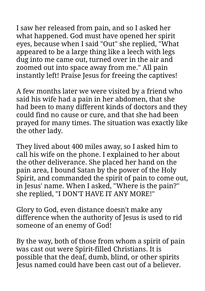I saw her released from pain, and so I asked her what happened. God must have opened her spirit eyes, because when I said "Out" she replied, "What appeared to be a large thing like a leech with legs dug into me came out, turned over in the air and zoomed out into space away from me." All pain instantly left! Praise Jesus for freeing the captives!

A few months later we were visited by a friend who said his wife had a pain in her abdomen, that she had been to many different kinds of doctors and they could find no cause or cure, and that she had been prayed for many times. The situation was exactly like the other lady.

They lived about 400 miles away, so I asked him to call his wife on the phone. I explained to her about the other deliverance. She placed her hand on the pain area, I bound Satan by the power of the Holy Spirit, and commanded the spirit of pain to come out, in Jesus' name. When I asked, "Where is the pain?" she replied, "I DON'T HAVE IT ANY MORE!"

Glory to God, even distance doesn't make any difference when the authority of Jesus is used to rid someone of an enemy of God!

By the way, both of those from whom a spirit of pain was cast out were Spirit-filled Christians. It is possible that the deaf, dumb, blind, or other spirits Jesus named could have been cast out of a believer.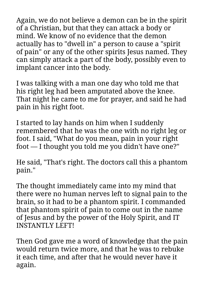Again, we do not believe a demon can be in the spirit of a Christian, but that they can attack a body or mind. We know of no evidence that the demon actually has to "dwell in" a person to cause a "spirit of pain" or any of the other spirits Jesus named. They can simply attack a part of the body, possibly even to implant cancer into the body.

I was talking with a man one day who told me that his right leg had been amputated above the knee. That night he came to me for prayer, and said he had pain in his right foot.

I started to lay hands on him when I suddenly remembered that he was the one with no right leg or foot. I said, "What do you mean, pain in your right foot — I thought you told me you didn't have one?"

He said, "That's right. The doctors call this a phantom pain."

The thought immediately came into my mind that there were no human nerves left to signal pain to the brain, so it had to be a phantom spirit. I commanded that phantom spirit of pain to come out in the name of Jesus and by the power of the Holy Spirit, and IT INSTANTLY LEFT!

Then God gave me a word of knowledge that the pain would return twice more, and that he was to rebuke it each time, and after that he would never have it again.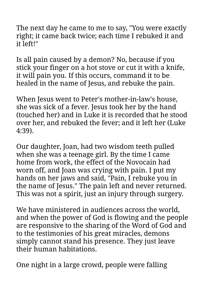The next day he came to me to say, "You were exactly right; it came back twice; each time I rebuked it and it left!"

Is all pain caused by a demon? No, because if you stick your finger on a hot stove or cut it with a knife, it will pain you. If this occurs, command it to be healed in the name of Jesus, and rebuke the pain.

When Jesus went to Peter's mother-in-law's house, she was sick of a fever. Jesus took her by the hand (touched her) and in Luke it is recorded that he stood over her, and rebuked the fever; and it left her (Luke 4:39).

Our daughter, Joan, had two wisdom teeth pulled when she was a teenage girl. By the time I came home from work, the effect of the Novocain had worn off, and Joan was crying with pain. I put my hands on her jaws and said, "Pain, I rebuke you in the name of Jesus." The pain left and never returned. This was not a spirit, just an injury through surgery.

We have ministered in audiences across the world, and when the power of God is flowing and the people are responsive to the sharing of the Word of God and to the testimonies of his great miracles, demons simply cannot stand his presence. They just leave their human habitations.

One night in a large crowd, people were falling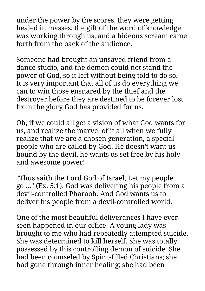under the power by the scores, they were getting healed in masses, the gift of the word of knowledge was working through us, and a hideous scream came forth from the back of the audience.

Someone had brought an unsaved friend from a dance studio, and the demon could not stand the power of God, so it left without being told to do so. It is very important that all of us do everything we can to win those ensnared by the thief and the destroyer before they are destined to be forever lost from the glory God has provided for us.

Oh, if we could all get a vision of what God wants for us, and realize the marvel of it all when we fully realize that we are a chosen generation, a special people who are called by God. He doesn't want us bound by the devil, he wants us set free by his holy and awesome power!

"Thus saith the Lord God of Israel, Let my people go ..." (Ex. 5:1). God was delivering his people from a devil-controlled Pharaoh. And God wants us to deliver his people from a devil-controlled world.

One of the most beautiful deliverances I have ever seen happened in our office. A young lady was brought to me who had repeatedly attempted suicide. She was determined to kill herself. She was totally possessed by this controlling demon of suicide. She had been counseled by Spirit-filled Christians; she had gone through inner healing; she had been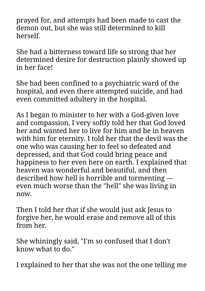prayed for, and attempts had been made to cast the demon out, but she was still determined to kill herself.

She had a bitterness toward life so strong that her determined desire for destruction plainly showed up in her face!

She had been confined to a psychiatric ward of the hospital, and even there attempted suicide, and had even committed adultery in the hospital.

As I began to minister to her with a God-given love and compassion, I very softly told her that God loved her and wanted her to live for him and be in heaven with him for eternity. I told her that the devil was the one who was causing her to feel so defeated and depressed, and that God could bring peace and happiness to her even here on earth. I explained that heaven was wonderful and beautiful, and then described how hell is horrible and tormenting even much worse than the "hell" she was living in now.

Then I told her that if she would just ask Jesus to forgive her, he would erase and remove all of this from her.

She whiningly said, "I'm so confused that I don't know what to do."

I explained to her that she was not the one telling me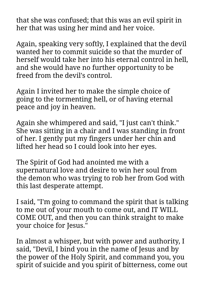that she was confused; that this was an evil spirit in her that was using her mind and her voice.

Again, speaking very softly, I explained that the devil wanted her to commit suicide so that the murder of herself would take her into his eternal control in hell, and she would have no further opportunity to be freed from the devil's control.

Again I invited her to make the simple choice of going to the tormenting hell, or of having eternal peace and joy in heaven.

Again she whimpered and said, "I just can't think." She was sitting in a chair and I was standing in front of her. I gently put my fingers under her chin and lifted her head so I could look into her eyes.

The Spirit of God had anointed me with a supernatural love and desire to win her soul from the demon who was trying to rob her from God with this last desperate attempt.

I said, "I'm going to command the spirit that is talking to me out of your mouth to come out, and IT WILL COME OUT, and then you can think straight to make your choice for Jesus."

In almost a whisper, but with power and authority, I said, "Devil, I bind you in the name of Jesus and by the power of the Holy Spirit, and command you, you spirit of suicide and you spirit of bitterness, come out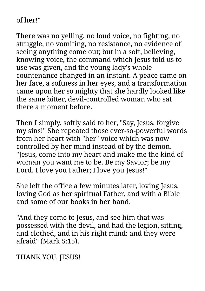# of her!"

There was no yelling, no loud voice, no fighting, no struggle, no vomiting, no resistance, no evidence of seeing anything come out; but in a soft, believing, knowing voice, the command which Jesus told us to use was given, and the young lady's whole countenance changed in an instant. A peace came on her face, a softness in her eyes, and a transformation came upon her so mighty that she hardly looked like the same bitter, devil-controlled woman who sat there a moment before.

Then I simply, softly said to her, "Say, Jesus, forgive my sins!" She repeated those ever-so-powerful words from her heart with "her" voice which was now controlled by her mind instead of by the demon. "Jesus, come into my heart and make me the kind of woman you want me to be. Be my Savior; be my Lord. I love you Father; I love you Jesus!"

She left the office a few minutes later, loving Jesus, loving God as her spiritual Father, and with a Bible and some of our books in her hand.

"And they come to Jesus, and see him that was possessed with the devil, and had the legion, sitting, and clothed, and in his right mind: and they were afraid" (Mark 5:15).

# THANK YOU, JESUS!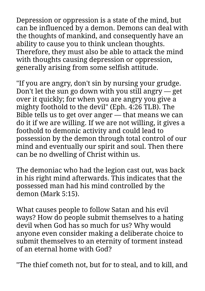Depression or oppression is a state of the mind, but can be influenced by a demon. Demons can deal with the thoughts of mankind, and consequently have an ability to cause you to think unclean thoughts. Therefore, they must also be able to attack the mind with thoughts causing depression or oppression, generally arising from some selfish attitude.

"If you are angry, don't sin by nursing your grudge. Don't let the sun go down with you still angry — get over it quickly; for when you are angry you give a mighty foothold to the devil" (Eph. 4:26 TLB). The Bible tells us to get over anger — that means we can do it if we are willing. If we are not willing, it gives a foothold to demonic activity and could lead to possession by the demon through total control of our mind and eventually our spirit and soul. Then there can be no dwelling of Christ within us.

The demoniac who had the legion cast out, was back in his right mind afterwards. This indicates that the possessed man had his mind controlled by the demon (Mark 5:15).

What causes people to follow Satan and his evil ways? How do people submit themselves to a hating devil when God has so much for us? Why would anyone even consider making a deliberate choice to submit themselves to an eternity of torment instead of an eternal home with God?

"The thief cometh not, but for to steal, and to kill, and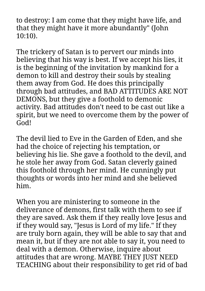to destroy: I am come that they might have life, and that they might have it more abundantly" (John 10:10).

The trickery of Satan is to pervert our minds into believing that his way is best. If we accept his lies, it is the beginning of the invitation by mankind for a demon to kill and destroy their souls by stealing them away from God. He does this principally through bad attitudes, and BAD ATTITUDES ARE NOT DEMONS, but they give a foothold to demonic activity. Bad attitudes don't need to be cast out like a spirit, but we need to overcome them by the power of God!

The devil lied to Eve in the Garden of Eden, and she had the choice of rejecting his temptation, or believing his lie. She gave a foothold to the devil, and he stole her away from God. Satan cleverly gained this foothold through her mind. He cunningly put thoughts or words into her mind and she believed him.

When you are ministering to someone in the deliverance of demons, first talk with them to see if they are saved. Ask them if they really love Jesus and if they would say, "Jesus is Lord of my life." If they are truly born again, they will be able to say that and mean it, but if they are not able to say it, you need to deal with a demon. Otherwise, inquire about attitudes that are wrong. MAYBE THEY JUST NEED TEACHING about their responsibility to get rid of bad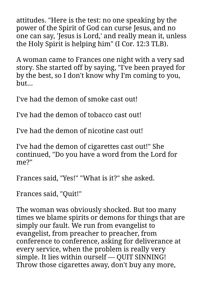attitudes. "Here is the test: no one speaking by the power of the Spirit of God can curse Jesus, and no one can say, 'Jesus is Lord,' and really mean it, unless the Holy Spirit is helping him" (I Cor. 12:3 TLB).

A woman came to Frances one night with a very sad story. She started off by saying, "I've been prayed for by the best, so I don't know why I'm coming to you, but...

I've had the demon of smoke cast out!

I've had the demon of tobacco cast out!

I've had the demon of nicotine cast out!

I've had the demon of cigarettes cast out!" She continued, "Do you have a word from the Lord for me?"

Frances said, "Yes!" "What is it?" she asked.

Frances said, "Quit!"

The woman was obviously shocked. But too many times we blame spirits or demons for things that are simply our fault. We run from evangelist to evangelist, from preacher to preacher, from conference to conference, asking for deliverance at every service, when the problem is really very simple. It lies within ourself - OUIT SINNING! Throw those cigarettes away, don't buy any more,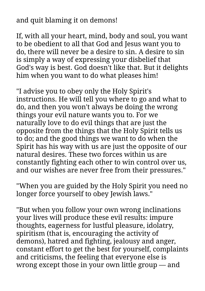## and quit blaming it on demons!

If, with all your heart, mind, body and soul, you want to be obedient to all that God and Jesus want you to do, there will never be a desire to sin. A desire to sin is simply a way of expressing your disbelief that God's way is best. God doesn't like that. But it delights him when you want to do what pleases him!

"I advise you to obey only the Holy Spirit's instructions. He will tell you where to go and what to do, and then you won't always be doing the wrong things your evil nature wants you to. For we naturally love to do evil things that are just the opposite from the things that the Holy Spirit tells us to do; and the good things we want to do when the Spirit has his way with us are just the opposite of our natural desires. These two forces within us are constantly fighting each other to win control over us, and our wishes are never free from their pressures."

"When you are guided by the Holy Spirit you need no longer force yourself to obey Jewish laws."

"But when you follow your own wrong inclinations your lives will produce these evil results: impure thoughts, eagerness for lustful pleasure, idolatry, spiritism (that is, encouraging the activity of demons), hatred and fighting, jealousy and anger, constant effort to get the best for yourself, complaints and criticisms, the feeling that everyone else is wrong except those in your own little group — and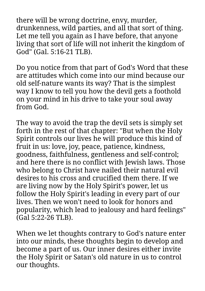there will be wrong doctrine, envy, murder, drunkenness, wild parties, and all that sort of thing. Let me tell you again as I have before, that anyone living that sort of life will not inherit the kingdom of God" (Gal. 5:16-21 TLB).

Do you notice from that part of God's Word that these are attitudes which come into our mind because our old self-nature wants its way? That is the simplest way I know to tell you how the devil gets a foothold on your mind in his drive to take your soul away from God.

The way to avoid the trap the devil sets is simply set forth in the rest of that chapter: "But when the Holy Spirit controls our lives he will produce this kind of fruit in us: love, joy, peace, patience, kindness, goodness, faithfulness, gentleness and self-control; and here there is no conflict with Jewish laws. Those who belong to Christ have nailed their natural evil desires to his cross and crucified them there. If we are living now by the Holy Spirit's power, let us follow the Holy Spirit's leading in every part of our lives. Then we won't need to look for honors and popularity, which lead to jealousy and hard feelings" (Gal 5:22-26 TLB).

When we let thoughts contrary to God's nature enter into our minds, these thoughts begin to develop and become a part of us. Our inner desires either invite the Holy Spirit or Satan's old nature in us to control our thoughts.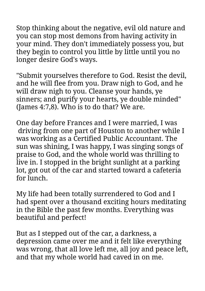Stop thinking about the negative, evil old nature and you can stop most demons from having activity in your mind. They don't immediately possess you, but they begin to control you little by little until you no longer desire God's ways.

"Submit yourselves therefore to God. Resist the devil, and he will flee from you. Draw nigh to God, and he will draw nigh to you. Cleanse your hands, ye sinners; and purify your hearts, ye double minded" (James 4:7,8). Who is to do that? We are.

One day before Frances and I were married, I was driving from one part of Houston to another while I was working as a Certified Public Accountant. The sun was shining, I was happy, I was singing songs of praise to God, and the whole world was thrilling to live in. I stopped in the bright sunlight at a parking lot, got out of the car and started toward a cafeteria for lunch.

My life had been totally surrendered to God and I had spent over a thousand exciting hours meditating in the Bible the past few months. Everything was beautiful and perfect!

But as I stepped out of the car, a darkness, a depression came over me and it felt like everything was wrong, that all love left me, all joy and peace left, and that my whole world had caved in on me.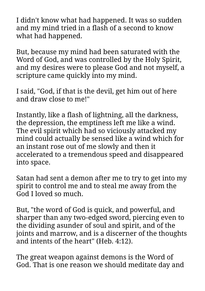I didn't know what had happened. It was so sudden and my mind tried in a flash of a second to know what had happened.

But, because my mind had been saturated with the Word of God, and was controlled by the Holy Spirit, and my desires were to please God and not myself, a scripture came quickly into my mind.

I said, "God, if that is the devil, get him out of here and draw close to me!"

Instantly, like a flash of lightning, all the darkness, the depression, the emptiness left me like a wind. The evil spirit which had so viciously attacked my mind could actually be sensed like a wind which for an instant rose out of me slowly and then it accelerated to a tremendous speed and disappeared into space.

Satan had sent a demon after me to try to get into my spirit to control me and to steal me away from the God I loved so much.

But, "the word of God is quick, and powerful, and sharper than any two-edged sword, piercing even to the dividing asunder of soul and spirit, and of the joints and marrow, and is a discerner of the thoughts and intents of the heart" (Heb. 4:12).

The great weapon against demons is the Word of God. That is one reason we should meditate day and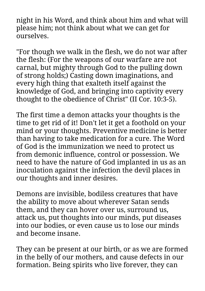night in his Word, and think about him and what will please him; not think about what we can get for ourselves.

"For though we walk in the flesh, we do not war after the flesh: (For the weapons of our warfare are not carnal, but mighty through God to the pulling down of strong holds;) Casting down imaginations, and every high thing that exalteth itself against the knowledge of God, and bringing into captivity every thought to the obedience of Christ" (II Cor. 10:3-5).

The first time a demon attacks your thoughts is the time to get rid of it! Don't let it get a foothold on your mind or your thoughts. Preventive medicine is better than having to take medication for a cure. The Word of God is the immunization we need to protect us from demonic influence, control or possession. We need to have the nature of God implanted in us as an inoculation against the infection the devil places in our thoughts and inner desires.

Demons are invisible, bodiless creatures that have the ability to move about wherever Satan sends them, and they can hover over us, surround us, attack us, put thoughts into our minds, put diseases into our bodies, or even cause us to lose our minds and become insane.

They can be present at our birth, or as we are formed in the belly of our mothers, and cause defects in our formation. Being spirits who live forever, they can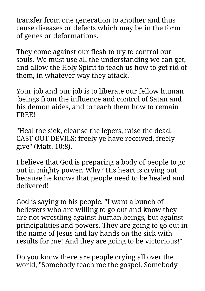transfer from one generation to another and thus cause diseases or defects which may be in the form of genes or deformations.

They come against our flesh to try to control our souls. We must use all the understanding we can get, and allow the Holy Spirit to teach us how to get rid of them, in whatever way they attack.

Your job and our job is to liberate our fellow human beings from the influence and control of Satan and his demon aides, and to teach them how to remain FREE!

"Heal the sick, cleanse the lepers, raise the dead, CAST OUT DEVILS: freely ye have received, freely give" (Matt. 10:8).

I believe that God is preparing a body of people to go out in mighty power. Why? His heart is crying out because he knows that people need to be healed and delivered!

God is saying to his people, "I want a bunch of believers who are willing to go out and know they are not wrestling against human beings, but against principalities and powers. They are going to go out in the name of Jesus and lay hands on the sick with results for me! And they are going to be victorious!"

Do you know there are people crying all over the world, "Somebody teach me the gospel. Somebody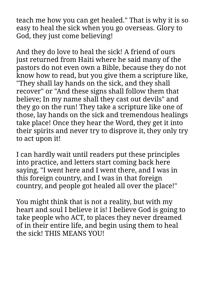teach me how you can get healed." That is why it is so easy to heal the sick when you go overseas. Glory to God, they just come believing!

And they do love to heal the sick! A friend of ours just returned from Haiti where he said many of the pastors do not even own a Bible, because they do not know how to read, but you give them a scripture like, "They shall lay hands on the sick, and they shall recover" or "And these signs shall follow them that believe; In my name shall they cast out devils" and they go on the run! They take a scripture like one of those, lay hands on the sick and tremendous healings take place! Once they hear the Word, they get it into their spirits and never try to disprove it, they only try to act upon it!

I can hardly wait until readers put these principles into practice, and letters start coming back here saying, "I went here and I went there, and I was in this foreign country, and I was in that foreign country, and people got healed all over the place!"

You might think that is not a reality, but with my heart and soul I believe it is! I believe God is going to take people who ACT, to places they never dreamed of in their entire life, and begin using them to heal the sick! THIS MEANS YOU!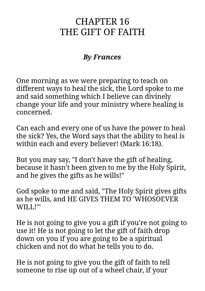# CHAPTER 16 THE GIFT OF FAITH

#### *By Frances*

One morning as we were preparing to teach on different ways to heal the sick, the Lord spoke to me and said something which I believe can divinely change your life and your ministry where healing is concerned.

Can each and every one of us have the power to heal the sick? Yes, the Word says that the ability to heal is within each and every believer! (Mark 16:18).

But you may say, "I don't have the gift of healing, because it hasn't been given to me by the Holy Spirit, and he gives the gifts as he wills!"

God spoke to me and said, "The Holy Spirit gives gifts as he wills, and HE GIVES THEM TO 'WHOSOEVER WILL!'"

He is not going to give you a gift if you're not going to use it! He is not going to let the gift of faith drop down on you if you are going to be a spiritual chicken and not do what he tells you to do.

He is not going to give you the gift of faith to tell someone to rise up out of a wheel chair, if your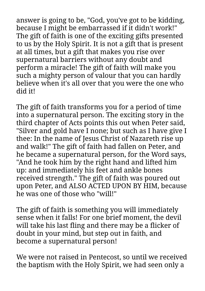answer is going to be, "God, you've got to be kidding, because I might be embarrassed if it didn't work!" The gift of faith is one of the exciting gifts presented to us by the Holy Spirit. It is not a gift that is present at all times, but a gift that makes you rise over supernatural barriers without any doubt and perform a miracle! The gift of faith will make you such a mighty person of valour that you can hardly believe when it's all over that you were the one who did it!

The gift of faith transforms you for a period of time into a supernatural person. The exciting story in the third chapter of Acts points this out when Peter said, "Silver and gold have I none; but such as I have give I thee: In the name of Jesus Christ of Nazareth rise up and walk!" The gift of faith had fallen on Peter, and he became a supernatural person, for the Word says, "And he took him by the right hand and lifted him up: and immediately his feet and ankle bones received strength." The gift of faith was poured out upon Peter, and ALSO ACTED UPON BY HIM, because he was one of those who "will!"

The gift of faith is something you will immediately sense when it falls! For one brief moment, the devil will take his last fling and there may be a flicker of doubt in your mind, but step out in faith, and become a supernatural person!

We were not raised in Pentecost, so until we received the baptism with the Holy Spirit, we had seen only a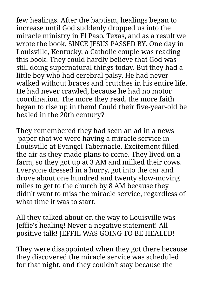few healings. After the baptism, healings began to increase until God suddenly dropped us into the miracle ministry in El Paso, Texas, and as a result we wrote the book, SINCE JESUS PASSED BY. One day in Louisville, Kentucky, a Catholic couple was reading this book. They could hardly believe that God was still doing supernatural things today. But they had a little boy who had cerebral palsy. He had never walked without braces and crutches in his entire life. He had never crawled, because he had no motor coordination. The more they read, the more faith began to rise up in them! Could their five-year-old be healed in the 20th century?

They remembered they had seen an ad in a news paper that we were having a miracle service in Louisville at Evangel Tabernacle. Excitement filled the air as they made plans to come. They lived on a farm, so they got up at 3 AM and milked their cows. Everyone dressed in a hurry, got into the car and drove about one hundred and twenty slow-moving miles to get to the church by 8 AM because they didn't want to miss the miracle service, regardless of what time it was to start.

All they talked about on the way to Louisville was Jeffie's healing! Never a negative statement! All positive talk! JEFFIE WAS GOING TO BE HEALED!

They were disappointed when they got there because they discovered the miracle service was scheduled for that night, and they couldn't stay because the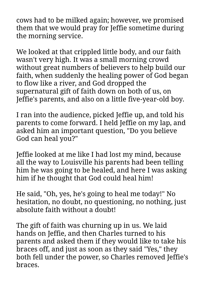cows had to be milked again; however, we promised them that we would pray for Jeffie sometime during the morning service.

We looked at that crippled little body, and our faith wasn't very high. It was a small morning crowd without great numbers of believers to help build our faith, when suddenly the healing power of God began to flow like a river, and God dropped the supernatural gift of faith down on both of us, on Jeffie's parents, and also on a little five-year-old boy.

I ran into the audience, picked Jeffie up, and told his parents to come forward. I held Jeffie on my lap, and asked him an important question, "Do you believe God can heal you?"

Jeffie looked at me like I had lost my mind, because all the way to Louisville his parents had been telling him he was going to be healed, and here I was asking him if he thought that God could heal him!

He said, "Oh, yes, he's going to heal me today!" No hesitation, no doubt, no questioning, no nothing, just absolute faith without a doubt!

The gift of faith was churning up in us. We laid hands on Jeffie, and then Charles turned to his parents and asked them if they would like to take his braces off, and just as soon as they said "Yes," they both fell under the power, so Charles removed Jeffie's braces.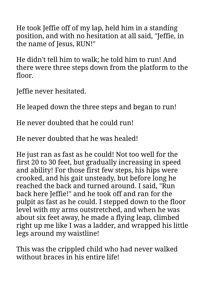He took Jeffie off of my lap, held him in a standing position, and with no hesitation at all said, "Jeffie, in the name of Jesus, RUN!"

He didn't tell him to walk; he told him to run! And there were three steps down from the platform to the floor.

Jeffie never hesitated.

He leaped down the three steps and began to run!

He never doubted that he could run!

He never doubted that he was healed!

He just ran as fast as he could! Not too well for the first 20 to 30 feet, but gradually increasing in speed and ability! For those first few steps, his hips were crooked, and his gait unsteady, but before long he reached the back and turned around. I said, "Run back here Jeffie!" and he took off and ran for the pulpit as fast as he could. I stepped down to the floor level with my arms outstretched, and when he was about six feet away, he made a flying leap, climbed right up me like I was a ladder, and wrapped his little legs around my waistline!

This was the crippled child who had never walked without braces in his entire life!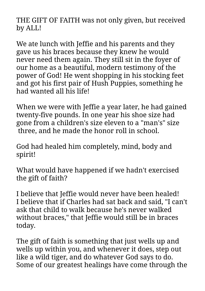THE GIFT OF FAITH was not only given, but received by ALL!

We ate lunch with Jeffie and his parents and they gave us his braces because they knew he would never need them again. They still sit in the foyer of our home as a beautiful, modern testimony of the power of God! He went shopping in his stocking feet and got his first pair of Hush Puppies, something he had wanted all his life!

When we were with Jeffie a year later, he had gained twenty-five pounds. In one year his shoe size had gone from a children's size eleven to a "man's" size three, and he made the honor roll in school.

God had healed him completely, mind, body and spirit!

What would have happened if we hadn't exercised the gift of faith?

I believe that Jeffie would never have been healed! I believe that if Charles had sat back and said, "I can't ask that child to walk because he's never walked without braces," that Jeffie would still be in braces today.

The gift of faith is something that just wells up and wells up within you, and whenever it does, step out like a wild tiger, and do whatever God says to do. Some of our greatest healings have come through the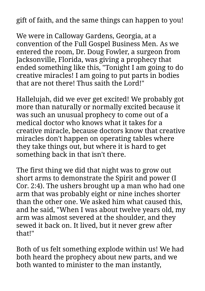gift of faith, and the same things can happen to you!

We were in Calloway Gardens, Georgia, at a convention of the Full Gospel Business Men. As we entered the room, Dr. Doug Fowler, a surgeon from Jacksonville, Florida, was giving a prophecy that ended something like this, "Tonight I am going to do creative miracles! I am going to put parts in bodies that are not there! Thus saith the Lord!"

Hallelujah, did we ever get excited! We probably got more than naturally or normally excited because it was such an unusual prophecy to come out of a medical doctor who knows what it takes for a creative miracle, because doctors know that creative miracles don't happen on operating tables where they take things out, but where it is hard to get something back in that isn't there.

The first thing we did that night was to grow out short arms to demonstrate the Spirit and power (I Cor. 2:4). The ushers brought up a man who had one arm that was probably eight or nine inches shorter than the other one. We asked him what caused this, and he said, "When I was about twelve years old, my arm was almost severed at the shoulder, and they sewed it back on. It lived, but it never grew after that!"

Both of us felt something explode within us! We had both heard the prophecy about new parts, and we both wanted to minister to the man instantly,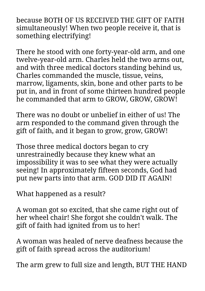because BOTH OF US RECEIVED THE GIFT OF FAITH simultaneously! When two people receive it, that is something electrifying!

There he stood with one forty-year-old arm, and one twelve-year-old arm. Charles held the two arms out, and with three medical doctors standing behind us, Charles commanded the muscle, tissue, veins, marrow, ligaments, skin, bone and other parts to be put in, and in front of some thirteen hundred people he commanded that arm to GROW, GROW, GROW!

There was no doubt or unbelief in either of us! The arm responded to the command given through the gift of faith, and it began to grow, grow, GROW!

Those three medical doctors began to cry unrestrainedly because they knew what an impossibility it was to see what they were actually seeing! In approximately fifteen seconds, God had put new parts into that arm. GOD DID IT AGAIN!

What happened as a result?

A woman got so excited, that she came right out of her wheel chair! She forgot she couldn't walk. The gift of faith had ignited from us to her!

A woman was healed of nerve deafness because the gift of faith spread across the auditorium!

The arm grew to full size and length, BUT THE HAND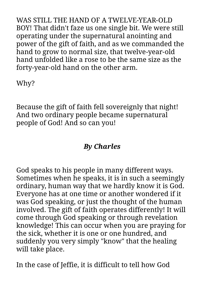WAS STILL THE HAND OF A TWELVE-YEAR-OLD BOY! That didn't faze us one single bit. We were still operating under the supernatural anointing and power of the gift of faith, and as we commanded the hand to grow to normal size, that twelve-year-old hand unfolded like a rose to be the same size as the forty-year-old hand on the other arm.

Why?

Because the gift of faith fell sovereignly that night! And two ordinary people became supernatural people of God! And so can you!

## *By Charles*

God speaks to his people in many different ways. Sometimes when he speaks, it is in such a seemingly ordinary, human way that we hardly know it is God. Everyone has at one time or another wondered if it was God speaking, or just the thought of the human involved. The gift of faith operates differently! It will come through God speaking or through revelation knowledge! This can occur when you are praying for the sick, whether it is one or one hundred, and suddenly you very simply "know" that the healing will take place.

In the case of Jeffie, it is difficult to tell how God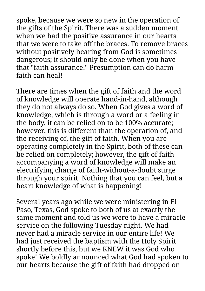spoke, because we were so new in the operation of the gifts of the Spirit. There was a sudden moment when we had the positive assurance in our hearts that we were to take off the braces. To remove braces without positively hearing from God is sometimes dangerous; it should only be done when you have that "faith assurance." Presumption can do harm faith can heal!

There are times when the gift of faith and the word of knowledge will operate hand-in-hand, although they do not always do so. When God gives a word of knowledge, which is through a word or a feeling in the body, it can be relied on to be 100% accurate; however, this is different than the operation of, and the receiving of, the gift of faith. When you are operating completely in the Spirit, both of these can be relied on completely; however, the gift of faith accompanying a word of knowledge will make an electrifying charge of faith-without-a-doubt surge through your spirit. Nothing that you can feel, but a heart knowledge of what is happening!

Several years ago while we were ministering in El Paso, Texas, God spoke to both of us at exactly the same moment and told us we were to have a miracle service on the following Tuesday night. We had never had a miracle service in our entire life! We had just received the baptism with the Holy Spirit shortly before this, but we KNEW it was God who spoke! We boldly announced what God had spoken to our hearts because the gift of faith had dropped on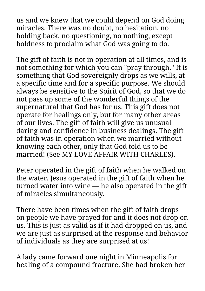us and we knew that we could depend on God doing miracles. There was no doubt, no hesitation, no holding back, no questioning, no nothing, except boldness to proclaim what God was going to do.

The gift of faith is not in operation at all times, and is not something for which you can "pray through." It is something that God sovereignly drops as we wills, at a specific time and for a specific purpose. We should always be sensitive to the Spirit of God, so that we do not pass up some of the wonderful things of the supernatural that God has for us. This gift does not operate for healings only, but for many other areas of our lives. The gift of faith will give us unusual daring and confidence in business dealings. The gift of faith was in operation when we married without knowing each other, only that God told us to be married! (See MY LOVE AFFAIR WITH CHARLES).

Peter operated in the gift of faith when he walked on the water. Jesus operated in the gift of faith when he turned water into wine — he also operated in the gift of miracles simultaneously.

There have been times when the gift of faith drops on people we have prayed for and it does not drop on us. This is just as valid as if it had dropped on us, and we are just as surprised at the response and behavior of individuals as they are surprised at us!

A lady came forward one night in Minneapolis for healing of a compound fracture. She had broken her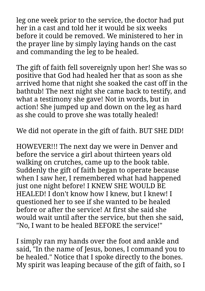leg one week prior to the service, the doctor had put her in a cast and told her it would be six weeks before it could be removed. We ministered to her in the prayer line by simply laying hands on the cast and commanding the leg to be healed.

The gift of faith fell sovereignly upon her! She was so positive that God had healed her that as soon as she arrived home that night she soaked the cast off in the bathtub! The next night she came back to testify, and what a testimony she gave! Not in words, but in action! She jumped up and down on the leg as hard as she could to prove she was totally healed!

We did not operate in the gift of faith. BUT SHE DID!

HOWEVER!!! The next day we were in Denver and before the service a girl about thirteen years old walking on crutches, came up to the book table. Suddenly the gift of faith began to operate because when I saw her, I remembered what had happened just one night before! I KNEW SHE WOULD BE HEALED! I don't know how I knew, but I knew! I questioned her to see if she wanted to be healed before or after the service! At first she said she would wait until after the service, but then she said, "No, I want to be healed BEFORE the service!"

I simply ran my hands over the foot and ankle and said, "In the name of Jesus, bones, I command you to be healed." Notice that I spoke directly to the bones. My spirit was leaping because of the gift of faith, so I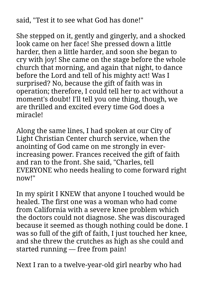said, "Test it to see what God has done!"

She stepped on it, gently and gingerly, and a shocked look came on her face! She pressed down a little harder, then a little harder, and soon she began to cry with joy! She came on the stage before the whole church that morning, and again that night, to dance before the Lord and tell of his mighty act! Was I surprised? No, because the gift of faith was in operation; therefore, I could tell her to act without a moment's doubt! I'll tell you one thing, though, we are thrilled and excited every time God does a miracle!

Along the same lines, I had spoken at our City of Light Christian Center church service, when the anointing of God came on me strongly in everincreasing power. Frances received the gift of faith and ran to the front. She said, "Charles, tell EVERYONE who needs healing to come forward right now!"

In my spirit I KNEW that anyone I touched would be healed. The first one was a woman who had come from California with a severe knee problem which the doctors could not diagnose. She was discouraged because it seemed as though nothing could be done. I was so full of the gift of faith, I just touched her knee, and she threw the crutches as high as she could and started running — free from pain!

Next I ran to a twelve-year-old girl nearby who had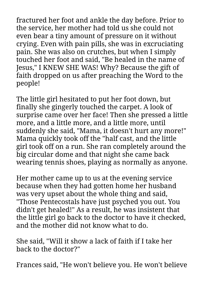fractured her foot and ankle the day before. Prior to the service, her mother had told us she could not even bear a tiny amount of pressure on it without crying. Even with pain pills, she was in excruciating pain. She was also on crutches, but when I simply touched her foot and said, "Be healed in the name of Jesus," I KNEW SHE WAS! Why? Because the gift of faith dropped on us after preaching the Word to the people!

The little girl hesitated to put her foot down, but finally she gingerly touched the carpet. A look of surprise came over her face! Then she pressed a little more, and a little more, and a little more, until suddenly she said, "Mama, it doesn't hurt any more!" Mama quickly took off the "half cast, and the little girl took off on a run. She ran completely around the big circular dome and that night she came back wearing tennis shoes, playing as normally as anyone.

Her mother came up to us at the evening service because when they had gotten home her husband was very upset about the whole thing and said, "Those Pentecostals have just psyched you out. You didn't get healed!" As a result, he was insistent that the little girl go back to the doctor to have it checked, and the mother did not know what to do.

She said, "Will it show a lack of faith if I take her back to the doctor?"

Frances said, "He won't believe you. He won't believe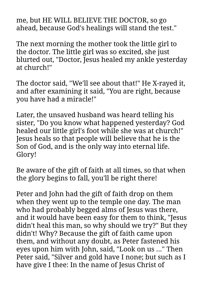me, but HE WILL BELIEVE THE DOCTOR, so go ahead, because God's healings will stand the test."

The next morning the mother took the little girl to the doctor. The little girl was so excited, she just blurted out, "Doctor, Jesus healed my ankle yesterday at church!"

The doctor said, "We'll see about that!" He X-rayed it, and after examining it said, "You are right, because you have had a miracle!"

Later, the unsaved husband was heard telling his sister, "Do you know what happened yesterday? God healed our little girl's foot while she was at church!" Jesus heals so that people will believe that he is the Son of God, and is the only way into eternal life. Glory!

Be aware of the gift of faith at all times, so that when the glory begins to fall, you'll be right there!

Peter and John had the gift of faith drop on them when they went up to the temple one day. The man who had probably begged alms of Jesus was there, and it would have been easy for them to think, "Jesus didn't heal this man, so why should we try?" But they didn't! Why? Because the gift of faith came upon them, and without any doubt, as Peter fastened his eyes upon him with John, said, "Look on us ..." Then Peter said, "Silver and gold have I none; but such as I have give I thee: In the name of Jesus Christ of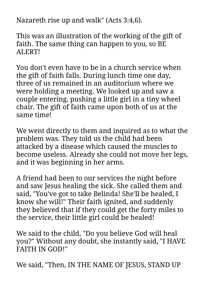Nazareth rise up and walk" (Acts 3:4,6).

This was an illustration of the working of the gift of faith. The same thing can happen to you, so BE ALERT!

You don't even have to be in a church service when the gift of faith falls. During lunch time one day, three of us remained in an auditorium where we were holding a meeting. We looked up and saw a couple entering, pushing a little girl in a tiny wheel chair. The gift of faith came upon both of us at the same time!

We went directly to them and inquired as to what the problem was. They told us the child had been attacked by a disease which caused the muscles to become useless. Already she could not move her legs, and it was beginning in her arms.

A friend had been to our services the night before and saw Jesus healing the sick. She called them and said, "You've got to take Belinda! She'll be healed, I know she will!" Their faith ignited, and suddenly they believed that if they could get the forty miles to the service, their little girl could be healed!

We said to the child, "Do you believe God will heal you?" Without any doubt, she instantly said, "I HAVE FAITH IN GOD!"

We said, "Then, IN THE NAME OF JESUS, STAND UP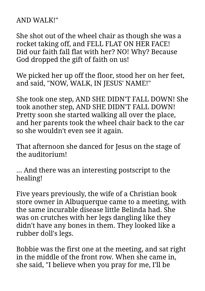### AND WALK!"

She shot out of the wheel chair as though she was a rocket taking off, and FELL FLAT ON HER FACE! Did our faith fall flat with her? NO! Why? Because God dropped the gift of faith on us!

We picked her up off the floor, stood her on her feet, and said, "NOW, WALK, IN JESUS' NAME!"

She took one step, AND SHE DIDN'T FALL DOWN! She took another step, AND SHE DIDN'T FALL DOWN! Pretty soon she started walking all over the place, and her parents took the wheel chair back to the car so she wouldn't even see it again.

That afternoon she danced for Jesus on the stage of the auditorium!

... And there was an interesting postscript to the healing!

Five years previously, the wife of a Christian book store owner in Albuquerque came to a meeting, with the same incurable disease little Belinda had. She was on crutches with her legs dangling like they didn't have any bones in them. They looked like a rubber doll's legs.

Bobbie was the first one at the meeting, and sat right in the middle of the front row. When she came in, she said, "I believe when you pray for me, I'll be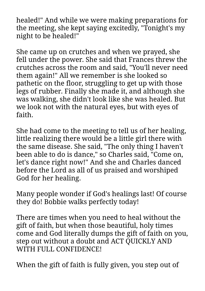healed!" And while we were making preparations for the meeting, she kept saying excitedly, "Tonight's my night to be healed!"

She came up on crutches and when we prayed, she fell under the power. She said that Frances threw the crutches across the room and said, "You'll never need them again!" All we remember is she looked so pathetic on the floor, struggling to get up with those legs of rubber. Finally she made it, and although she was walking, she didn't look like she was healed. But we look not with the natural eyes, but with eyes of faith.

She had come to the meeting to tell us of her healing, little realizing there would be a little girl there with the same disease. She said, "The only thing I haven't been able to do is dance," so Charles said, "Come on, let's dance right now!" And she and Charles danced before the Lord as all of us praised and worshiped God for her healing.

Many people wonder if God's healings last! Of course they do! Bobbie walks perfectly today!

There are times when you need to heal without the gift of faith, but when those beautiful, holy times come and God literally dumps the gift of faith on you, step out without a doubt and ACT QUICKLY AND WITH FULL CONFIDENCE!

When the gift of faith is fully given, you step out of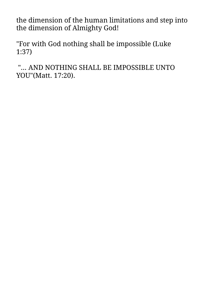the dimension of the human limitations and step into the dimension of Almighty God!

"For with God nothing shall be impossible (Luke 1:37)

 "... AND NOTHING SHALL BE IMPOSSIBLE UNTO YOU"(Matt. 17:20).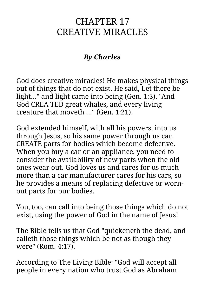## CHAPTER 17 CREATIVE MIRACLES

### *By Charles*

God does creative miracles! He makes physical things out of things that do not exist. He said, Let there be light..." and light came into being (Gen. 1:3). "And God CREA TED great whales, and every living creature that moveth ..." (Gen. 1:21).

God extended himself, with all his powers, into us through Jesus, so his same power through us can CREATE parts for bodies which become defective. When you buy a car or an appliance, you need to consider the availability of new parts when the old ones wear out. God loves us and cares for us much more than a car manufacturer cares for his cars, so he provides a means of replacing defective or wornout parts for our bodies.

You, too, can call into being those things which do not exist, using the power of God in the name of Jesus!

The Bible tells us that God "quickeneth the dead, and calleth those things which be not as though they were" (Rom. 4:17).

According to The Living Bible: "God will accept all people in every nation who trust God as Abraham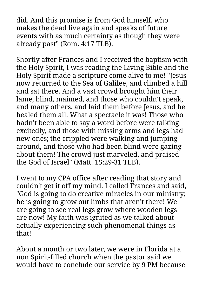did. And this promise is from God himself, who makes the dead live again and speaks of future events with as much certainty as though they were already past" (Rom. 4:17 TLB).

Shortly after Frances and I received the baptism with the Holy Spirit, I was reading the Living Bible and the Holy Spirit made a scripture come alive to me! "Jesus now returned to the Sea of Galilee, and climbed a hill and sat there. And a vast crowd brought him their lame, blind, maimed, and those who couldn't speak, and many others, and laid them before Jesus, and he healed them all. What a spectacle it was! Those who hadn't been able to say a word before were talking excitedly, and those with missing arms and legs had new ones; the crippled were walking and jumping around, and those who had been blind were gazing about them! The crowd just marveled, and praised the God of Israel" (Matt. 15:29-31 TLB).

I went to my CPA office after reading that story and couldn't get it off my mind. I called Frances and said, "God is going to do creative miracles in our ministry; he is going to grow out limbs that aren't there! We are going to see real legs grow where wooden legs are now! My faith was ignited as we talked about actually experiencing such phenomenal things as that!

About a month or two later, we were in Florida at a non Spirit-filled church when the pastor said we would have to conclude our service by 9 PM because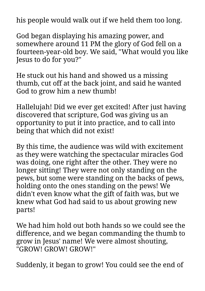his people would walk out if we held them too long.

God began displaying his amazing power, and somewhere around 11 PM the glory of God fell on a fourteen-year-old boy. We said, "What would you like Jesus to do for you?"

He stuck out his hand and showed us a missing thumb, cut off at the back joint, and said he wanted God to grow him a new thumb!

Hallelujah! Did we ever get excited! After just having discovered that scripture, God was giving us an opportunity to put it into practice, and to call into being that which did not exist!

By this time, the audience was wild with excitement as they were watching the spectacular miracles God was doing, one right after the other. They were no longer sitting! They were not only standing on the pews, but some were standing on the backs of pews, holding onto the ones standing on the pews! We didn't even know what the gift of faith was, but we knew what God had said to us about growing new parts!

We had him hold out both hands so we could see the difference, and we began commanding the thumb to grow in Jesus' name! We were almost shouting, "GROW! GROW! GROW!"

Suddenly, it began to grow! You could see the end of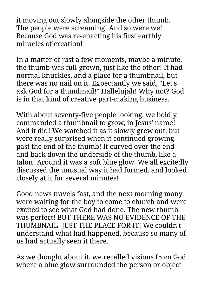it moving out slowly alongside the other thumb. The people were screaming! And so were we! Because God was re-enacting his first earthly miracles of creation!

In a matter of just a few moments, maybe a minute, the thumb was full-grown, just like the other! It had normal knuckles, and a place for a thumbnail, but there was no nail on it. Expectantly we said, "Let's ask God for a thumbnail!" Hallelujah! Why not? God is in that kind of creative part-making business.

With about seventy-five people looking, we boldly commanded a thumbnail to grow, in Jesus' name! And it did! We watched it as it slowly grew out, but were really surprised when it continued growing past the end of the thumb! It curved over the end and back down the underside of the thumb, like a talon! Around it was a soft blue glow. We all excitedly discussed the unusual way it had formed, and looked closely at it for several minutes!

Good news travels fast, and the next morning many were waiting for the boy to come to church and were excited to see what God had done. The new thumb was perfect! BUT THERE WAS NO EVIDENCE OF THE THUMBNAIL -JUST THE PLACE FOR IT! We couldn't understand what had happened, because so many of us had actually seen it there.

As we thought about it, we recalled visions from God where a blue glow surrounded the person or object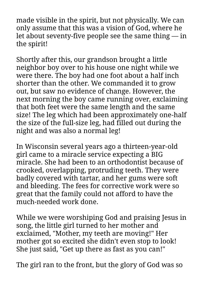made visible in the spirit, but not physically. We can only assume that this was a vision of God, where he let about seventy-five people see the same thing  $-\text{in}$ the spirit!

Shortly after this, our grandson brought a little neighbor boy over to his house one night while we were there. The boy had one foot about a half inch shorter than the other. We commanded it to grow out, but saw no evidence of change. However, the next morning the boy came running over, exclaiming that both feet were the same length and the same size! The leg which had been approximately one-half the size of the full-size leg, had filled out during the night and was also a normal leg!

In Wisconsin several years ago a thirteen-year-old girl came to a miracle service expecting a BIG miracle. She had been to an orthodontist because of crooked, overlapping, protruding teeth. They were badly covered with tartar, and her gums were soft and bleeding. The fees for corrective work were so great that the family could not afford to have the much-needed work done.

While we were worshiping God and praising Jesus in song, the little girl turned to her mother and exclaimed, "Mother, my teeth are moving!" Her mother got so excited she didn't even stop to look! She just said, "Get up there as fast as you can!"

The girl ran to the front, but the glory of God was so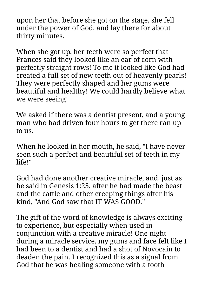upon her that before she got on the stage, she fell under the power of God, and lay there for about thirty minutes.

When she got up, her teeth were so perfect that Frances said they looked like an ear of corn with perfectly straight rows! To me it looked like God had created a full set of new teeth out of heavenly pearls! They were perfectly shaped and her gums were beautiful and healthy! We could hardly believe what we were seeing!

We asked if there was a dentist present, and a young man who had driven four hours to get there ran up to us.

When he looked in her mouth, he said, "I have never seen such a perfect and beautiful set of teeth in my life!"

God had done another creative miracle, and, just as he said in Genesis 1:25, after he had made the beast and the cattle and other creeping things after his kind, "And God saw that IT WAS GOOD."

The gift of the word of knowledge is always exciting to experience, but especially when used in conjunction with a creative miracle! One night during a miracle service, my gums and face felt like I had been to a dentist and had a shot of Novocain to deaden the pain. I recognized this as a signal from God that he was healing someone with a tooth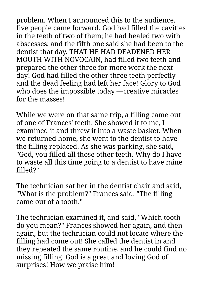problem. When I announced this to the audience, five people came forward. God had filled the cavities in the teeth of two of them; he had healed two with abscesses; and the fifth one said she had been to the dentist that day, THAT HE HAD DEADENED HER MOUTH WITH NOVOCAIN, had filled two teeth and prepared the other three for more work the next day! God had filled the other three teeth perfectly and the dead feeling had left her face! Glory to God who does the impossible today —creative miracles for the masses!

While we were on that same trip, a filling came out of one of Frances' teeth. She showed it to me, I examined it and threw it into a waste basket. When we returned home, she went to the dentist to have the filling replaced. As she was parking, she said, "God, you filled all those other teeth. Why do I have to waste all this time going to a dentist to have mine filled?"

The technician sat her in the dentist chair and said, "What is the problem?" Frances said, "The filling came out of a tooth."

The technician examined it, and said, "Which tooth do you mean?" Frances showed her again, and then again, but the technician could not locate where the filling had come out! She called the dentist in and they repeated the same routine, and he could find no missing filling. God is a great and loving God of surprises! How we praise him!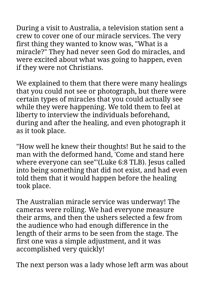During a visit to Australia, a television station sent a crew to cover one of our miracle services. The very first thing they wanted to know was, "What is a miracle?" They had never seen God do miracles, and were excited about what was going to happen, even if they were not Christians.

We explained to them that there were many healings that you could not see or photograph, but there were certain types of miracles that you could actually see while they were happening. We told them to feel at liberty to interview the individuals beforehand, during and after the healing, and even photograph it as it took place.

"How well he knew their thoughts! But he said to the man with the deformed hand, 'Come and stand here where everyone can see"'(Luke 6:8 TLB). Jesus called into being something that did not exist, and had even told them that it would happen before the healing took place.

The Australian miracle service was underway! The cameras were rolling. We had everyone measure their arms, and then the ushers selected a few from the audience who had enough difference in the length of their arms to be seen from the stage. The first one was a simple adjustment, and it was accomplished very quickly!

The next person was a lady whose left arm was about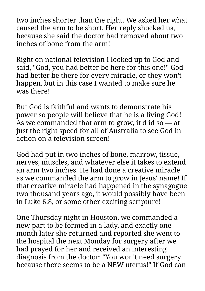two inches shorter than the right. We asked her what caused the arm to be short. Her reply shocked us, because she said the doctor had removed about two inches of bone from the arm!

Right on national television I looked up to God and said, "God, you had better be here for this one!" God had better be there for every miracle, or they won't happen, but in this case I wanted to make sure he was there!

But God is faithful and wants to demonstrate his power so people will believe that he is a living God! As we commanded that arm to grow, it d id so — at just the right speed for all of Australia to see God in action on a television screen!

God had put in two inches of bone, marrow, tissue, nerves, muscles, and whatever else it takes to extend an arm two inches. He had done a creative miracle as we commanded the arm to grow in Jesus' name! If that creative miracle had happened in the synagogue two thousand years ago, it would possibly have been in Luke 6:8, or some other exciting scripture!

One Thursday night in Houston, we commanded a new part to be formed in a lady, and exactly one month later she returned and reported she went to the hospital the next Monday for surgery after we had prayed for her and received an interesting diagnosis from the doctor: "You won't need surgery because there seems to be a NEW uterus!" If God can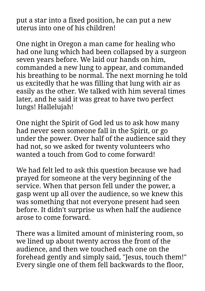put a star into a fixed position, he can put a new uterus into one of his children!

One night in Oregon a man came for healing who had one lung which had been collapsed by a surgeon seven years before. We laid our hands on him, commanded a new lung to appear, and commanded his breathing to be normal. The next morning he told us excitedly that he was filling that lung with air as easily as the other. We talked with him several times later, and he said it was great to have two perfect lungs! Hallelujah!

One night the Spirit of God led us to ask how many had never seen someone fall in the Spirit, or go under the power. Over half of the audience said they had not, so we asked for twenty volunteers who wanted a touch from God to come forward!

We had felt led to ask this question because we had prayed for someone at the very beginning of the service. When that person fell under the power, a gasp went up all over the audience, so we knew this was something that not everyone present had seen before. It didn't surprise us when half the audience arose to come forward.

There was a limited amount of ministering room, so we lined up about twenty across the front of the audience, and then we touched each one on the forehead gently and simply said, "Jesus, touch them!" Every single one of them fell backwards to the floor,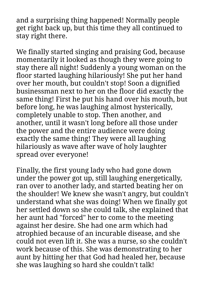and a surprising thing happened! Normally people get right back up, but this time they all continued to stay right there.

We finally started singing and praising God, because momentarily it looked as though they were going to stay there all night! Suddenly a young woman on the floor started laughing hilariously! She put her hand over her mouth, but couldn't stop! Soon a dignified businessman next to her on the floor did exactly the same thing! First he put his hand over his mouth, but before long, he was laughing almost hysterically, completely unable to stop. Then another, and another, until it wasn't long before all those under the power and the entire audience were doing exactly the same thing! They were all laughing hilariously as wave after wave of holy laughter spread over everyone!

Finally, the first young lady who had gone down under the power got up, still laughing energetically, ran over to another lady, and started beating her on the shoulder! We knew she wasn't angry, but couldn't understand what she was doing! When we finally got her settled down so she could talk, she explained that her aunt had "forced" her to come to the meeting against her desire. She had one arm which had atrophied because of an incurable disease, and she could not even lift it. She was a nurse, so she couldn't work because of this. She was demonstrating to her aunt by hitting her that God had healed her, because she was laughing so hard she couldn't talk!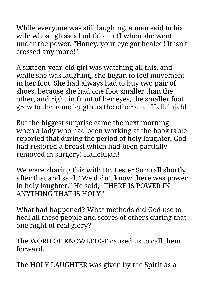While everyone was still laughing, a man said to his wife whose glasses had fallen off when she went under the power, "Honey, your eye got healed! It isn't crossed any more!"

A sixteen-year-old girl was watching all this, and while she was laughing, she began to feel movement in her foot. She had always had to buy two pair of shoes, because she had one foot smaller than the other, and right in front of her eyes, the smaller foot grew to the same length as the other one! Hallelujah!

But the biggest surprise came the next morning when a lady who had been working at the book table reported that during the period of holy laughter, God had restored a breast which had been partially removed in surgery! Hallelujah!

We were sharing this with Dr. Lester Sumrall shortly after that and said, "We didn't know there was power in holy laughter." He said, "THERE IS POWER IN ANYTHING THAT IS HOLY!"

What had happened? What methods did God use to heal all these people and scores of others during that one night of real glory?

The WORD OF KNOWLEDGE caused us to call them forward.

The HOLY LAUGHTER was given by the Spirit as a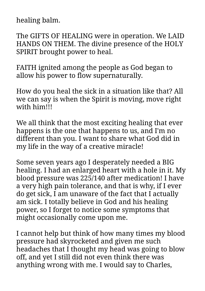healing balm.

The GIFTS OF HEALING were in operation. We LAID HANDS ON THEM. The divine presence of the HOLY SPIRIT brought power to heal.

FAITH ignited among the people as God began to allow his power to flow supernaturally.

How do you heal the sick in a situation like that? All we can say is when the Spirit is moving, move right with him!!!

We all think that the most exciting healing that ever happens is the one that happens to us, and I'm no different than you. I want to share what God did in my life in the way of a creative miracle!

Some seven years ago I desperately needed a BIG healing. I had an enlarged heart with a hole in it. My blood pressure was 225/140 after medication! I have a very high pain tolerance, and that is why, if I ever do get sick, I am unaware of the fact that I actually am sick. I totally believe in God and his healing power, so I forget to notice some symptoms that might occasionally come upon me.

I cannot help but think of how many times my blood pressure had skyrocketed and given me such headaches that I thought my head was going to blow off, and yet I still did not even think there was anything wrong with me. I would say to Charles,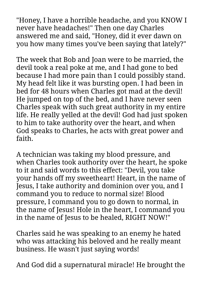"Honey, I have a horrible headache, and you KNOW I never have headaches!" Then one day Charles answered me and said, "Honey, did it ever dawn on you how many times you've been saying that lately?"

The week that Bob and Joan were to be married, the devil took a real poke at me, and I had gone to bed because I had more pain than I could possibly stand. My head felt like it was bursting open. I had been in bed for 48 hours when Charles got mad at the devil! He jumped on top of the bed, and I have never seen Charles speak with such great authority in my entire life. He really yelled at the devil! God had just spoken to him to take authority over the heart, and when God speaks to Charles, he acts with great power and faith.

A technician was taking my blood pressure, and when Charles took authority over the heart, he spoke to it and said words to this effect: "Devil, you take your hands off my sweetheart! Heart, in the name of Jesus, I take authority and dominion over you, and I command you to reduce to normal size! Blood pressure, I command you to go down to normal, in the name of Jesus! Hole in the heart, I command you in the name of Jesus to be healed, RIGHT NOW!"

Charles said he was speaking to an enemy he hated who was attacking his beloved and he really meant business. He wasn't just saying words!

And God did a supernatural miracle! He brought the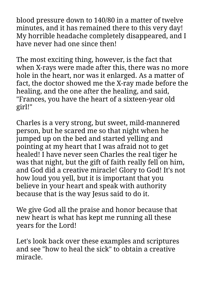blood pressure down to 140/80 in a matter of twelve minutes, and it has remained there to this very day! My horrible headache completely disappeared, and I have never had one since then!

The most exciting thing, however, is the fact that when X-rays were made after this, there was no more hole in the heart, nor was it enlarged. As a matter of fact, the doctor showed me the X-ray made before the healing, and the one after the healing, and said, "Frances, you have the heart of a sixteen-year old girl!"

Charles is a very strong, but sweet, mild-mannered person, but he scared me so that night when he jumped up on the bed and started yelling and pointing at my heart that I was afraid not to get healed! I have never seen Charles the real tiger he was that night, but the gift of faith really fell on him, and God did a creative miracle! Glory to God! It's not how loud you yell, but it is important that you believe in your heart and speak with authority because that is the way Jesus said to do it.

We give God all the praise and honor because that new heart is what has kept me running all these years for the Lord!

Let's look back over these examples and scriptures and see "how to heal the sick" to obtain a creative miracle.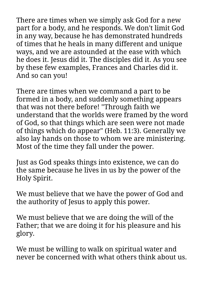There are times when we simply ask God for a new part for a body, and he responds. We don't limit God in any way, because he has demonstrated hundreds of times that he heals in many different and unique ways, and we are astounded at the ease with which he does it. Jesus did it. The disciples did it. As you see by these few examples, Frances and Charles did it. And so can you!

There are times when we command a part to be formed in a body, and suddenly something appears that was not there before! "Through faith we understand that the worlds were framed by the word of God, so that things which are seen were not made of things which do appear" (Heb. 11:3). Generally we also lay hands on those to whom we are ministering. Most of the time they fall under the power.

Just as God speaks things into existence, we can do the same because he lives in us by the power of the Holy Spirit.

We must believe that we have the power of God and the authority of Jesus to apply this power.

We must believe that we are doing the will of the Father; that we are doing it for his pleasure and his glory.

We must be willing to walk on spiritual water and never be concerned with what others think about us.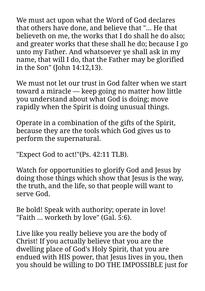We must act upon what the Word of God declares that others have done, and believe that "... He that believeth on me, the works that I do shall he do also; and greater works that these shall he do; because I go unto my Father. And whatsoever ye shall ask in my name, that will I do, that the Father may be glorified in the Son" (John 14:12,13).

We must not let our trust in God falter when we start toward a miracle — keep going no matter how little you understand about what God is doing; move rapidly when the Spirit is doing unusual things.

Operate in a combination of the gifts of the Spirit, because they are the tools which God gives us to perform the supernatural.

"Expect God to act!"(Ps. 42:11 TLB).

Watch for opportunities to glorify God and Jesus by doing those things which show that Jesus is the way, the truth, and the life, so that people will want to serve God.

Be bold! Speak with authority; operate in love! "Faith ... worketh by love" (Gal. 5:6).

Live like you really believe you are the body of Christ! If you actually believe that you are the dwelling place of God's Holy Spirit, that you are endued with HIS power, that Jesus lives in you, then you should be willing to DO THE IMPOSSIBLE just for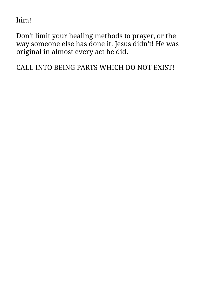him!

Don't limit your healing methods to prayer, or the way someone else has done it. Jesus didn't! He was original in almost every act he did.

CALL INTO BEING PARTS WHICH DO NOT EXIST!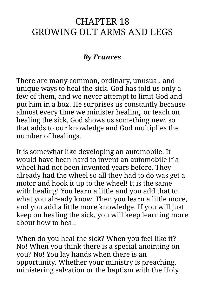# CHAPTER 18 GROWING OUT ARMS AND LEGS

#### *By Frances*

There are many common, ordinary, unusual, and unique ways to heal the sick. God has told us only a few of them, and we never attempt to limit God and put him in a box. He surprises us constantly because almost every time we minister healing, or teach on healing the sick, God shows us something new, so that adds to our knowledge and God multiplies the number of healings.

It is somewhat like developing an automobile. It would have been hard to invent an automobile if a wheel had not been invented years before. They already had the wheel so all they had to do was get a motor and hook it up to the wheel! It is the same with healing! You learn a little and you add that to what you already know. Then you learn a little more, and you add a little more knowledge. If you will just keep on healing the sick, you will keep learning more about how to heal.

When do you heal the sick? When you feel like it? No! When you think there is a special anointing on you? No! You lay hands when there is an opportunity. Whether your ministry is preaching, ministering salvation or the baptism with the Holy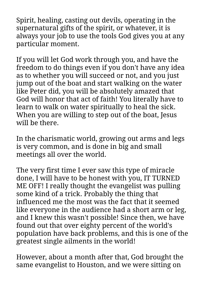Spirit, healing, casting out devils, operating in the supernatural gifts of the spirit, or whatever, it is always your job to use the tools God gives you at any particular moment.

If you will let God work through you, and have the freedom to do things even if you don't have any idea as to whether you will succeed or not, and you just jump out of the boat and start walking on the water like Peter did, you will be absolutely amazed that God will honor that act of faith! You literally have to learn to walk on water spiritually to heal the sick. When you are willing to step out of the boat, Jesus will be there.

In the charismatic world, growing out arms and legs is very common, and is done in big and small meetings all over the world.

The very first time I ever saw this type of miracle done, I will have to be honest with you, IT TURNED ME OFF! I really thought the evangelist was pulling some kind of a trick. Probably the thing that influenced me the most was the fact that it seemed like everyone in the audience had a short arm or leg, and I knew this wasn't possible! Since then, we have found out that over eighty percent of the world's population have back problems, and this is one of the greatest single ailments in the world!

However, about a month after that, God brought the same evangelist to Houston, and we were sitting on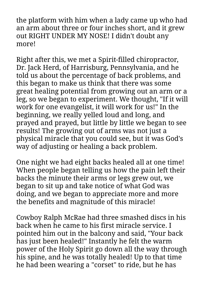the platform with him when a lady came up who had an arm about three or four inches short, and it grew out RIGHT UNDER MY NOSE! I didn't doubt any more!

Right after this, we met a Spirit-filled chiropractor, Dr. Jack Herd, of Harrisburg, Pennsylvania, and he told us about the percentage of back problems, and this began to make us think that there was some great healing potential from growing out an arm or a leg, so we began to experiment. We thought, "If it will work for one evangelist, it will work for us!" In the beginning, we really yelled loud and long, and prayed and prayed, but little by little we began to see results! The growing out of arms was not just a physical miracle that you could see, but it was God's way of adjusting or healing a back problem.

One night we had eight backs healed all at one time! When people began telling us how the pain left their backs the minute their arms or legs grew out, we began to sit up and take notice of what God was doing, and we began to appreciate more and more the benefits and magnitude of this miracle!

Cowboy Ralph McRae had three smashed discs in his back when he came to his first miracle service. I pointed him out in the balcony and said, "Your back has just been healed!" Instantly he felt the warm power of the Holy Spirit go down all the way through his spine, and he was totally healed! Up to that time he had been wearing a "corset" to ride, but he has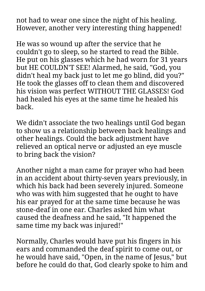not had to wear one since the night of his healing. However, another very interesting thing happened!

He was so wound up after the service that he couldn't go to sleep, so he started to read the Bible. He put on his glasses which he had worn for 31 years but HE COULDN'T SEE! Alarmed, he said, "God, you didn't heal my back just to let me go blind, did you?" He took the glasses off to clean them and discovered his vision was perfect WITHOUT THE GLASSES! God had healed his eyes at the same time he healed his back.

We didn't associate the two healings until God began to show us a relationship between back healings and other healings. Could the back adjustment have relieved an optical nerve or adjusted an eye muscle to bring back the vision?

Another night a man came for prayer who had been in an accident about thirty-seven years previously, in which his back had been severely injured. Someone who was with him suggested that he ought to have his ear prayed for at the same time because he was stone-deaf in one ear. Charles asked him what caused the deafness and he said, "It happened the same time my back was injured!"

Normally, Charles would have put his fingers in his ears and commanded the deaf spirit to come out, or he would have said, "Open, in the name of Jesus," but before he could do that, God clearly spoke to him and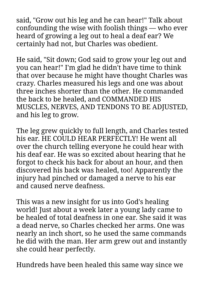said, "Grow out his leg and he can hear!" Talk about confounding the wise with foolish things — who ever heard of growing a leg out to heal a deaf ear? We certainly had not, but Charles was obedient.

He said, "Sit down; God said to grow your leg out and you can hear!" I'm glad he didn't have time to think that over because he might have thought Charles was crazy. Charles measured his legs and one was about three inches shorter than the other. He commanded the back to be healed, and COMMANDED HIS MUSCLES, NERVES, AND TENDONS TO BE ADJUSTED, and his leg to grow.

The leg grew quickly to full length, and Charles tested his ear. HE COULD HEAR PERFECTLY! He went all over the church telling everyone he could hear with his deaf ear. He was so excited about hearing that he forgot to check his back for about an hour, and then discovered his back was healed, too! Apparently the injury had pinched or damaged a nerve to his ear and caused nerve deafness.

This was a new insight for us into God's healing world! Just about a week later a young lady came to be healed of total deafness in one ear. She said it was a dead nerve, so Charles checked her arms. One was nearly an inch short, so he used the same commands he did with the man. Her arm grew out and instantly she could hear perfectly.

Hundreds have been healed this same way since we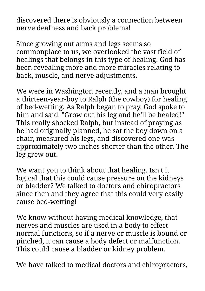discovered there is obviously a connection between nerve deafness and back problems!

Since growing out arms and legs seems so commonplace to us, we overlooked the vast field of healings that belongs in this type of healing. God has been revealing more and more miracles relating to back, muscle, and nerve adjustments.

We were in Washington recently, and a man brought a thirteen-year-boy to Ralph (the cowboy) for healing of bed-wetting. As Ralph began to pray, God spoke to him and said, "Grow out his leg and he'll be healed!" This really shocked Ralph, but instead of praying as he had originally planned, he sat the boy down on a chair, measured his legs, and discovered one was approximately two inches shorter than the other. The leg grew out.

We want you to think about that healing. Isn't it logical that this could cause pressure on the kidneys or bladder? We talked to doctors and chiropractors since then and they agree that this could very easily cause bed-wetting!

We know without having medical knowledge, that nerves and muscles are used in a body to effect normal functions, so if a nerve or muscle is bound or pinched, it can cause a body defect or malfunction. This could cause a bladder or kidney problem.

We have talked to medical doctors and chiropractors,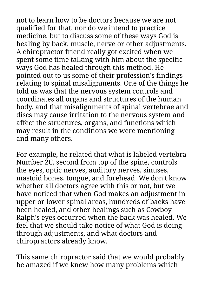not to learn how to be doctors because we are not qualified for that, nor do we intend to practice medicine, but to discuss some of these ways God is healing by back, muscle, nerve or other adjustments. A chiropractor friend really got excited when we spent some time talking with him about the specific ways God has healed through this method. He pointed out to us some of their profession's findings relating to spinal misalignments. One of the things he told us was that the nervous system controls and coordinates all organs and structures of the human body, and that misalignments of spinal vertebrae and discs may cause irritation to the nervous system and affect the structures, organs, and functions which may result in the conditions we were mentioning and many others.

For example, he related that what is labeled vertebra Number 2C, second from top of the spine, controls the eyes, optic nerves, auditory nerves, sinuses, mastoid bones, tongue, and forehead. We don't know whether all doctors agree with this or not, but we have noticed that when God makes an adjustment in upper or lower spinal areas, hundreds of backs have been healed, and other healings such as Cowboy Ralph's eyes occurred when the back was healed. We feel that we should take notice of what God is doing through adjustments, and what doctors and chiropractors already know.

This same chiropractor said that we would probably be amazed if we knew how many problems which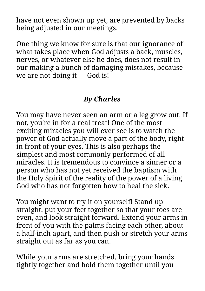have not even shown up yet, are prevented by backs being adjusted in our meetings.

One thing we know for sure is that our ignorance of what takes place when God adjusts a back, muscles, nerves, or whatever else he does, does not result in our making a bunch of damaging mistakes, because we are not doing it — God is!

## *By Charles*

You may have never seen an arm or a leg grow out. If not, you're in for a real treat! One of the most exciting miracles you will ever see is to watch the power of God actually move a part of the body, right in front of your eyes. This is also perhaps the simplest and most commonly performed of all miracles. It is tremendous to convince a sinner or a person who has not yet received the baptism with the Holy Spirit of the reality of the power of a living God who has not forgotten how to heal the sick.

You might want to try it on yourself! Stand up straight, put your feet together so that your toes are even, and look straight forward. Extend your arms in front of you with the palms facing each other, about a half-inch apart, and then push or stretch your arms straight out as far as you can.

While your arms are stretched, bring your hands tightly together and hold them together until you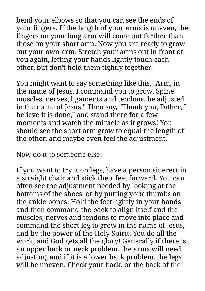bend your elbows so that you can see the ends of your fingers. If the length of your arms is uneven, the fingers on your long arm will come out farther than those on your short arm. Now you are ready to grow out your own arm. Stretch your arms out in front of you again, letting your hands lightly touch each other, but don't hold them tightly together.

You might want to say something like this, "Arm, in the name of Jesus, I command you to grow. Spine, muscles, nerves, ligaments and tendons, be adjusted in the name of Jesus." Then say, "Thank you, Father, I believe it is done," and stand there for a few moments and watch the miracle as it grows! You should see the short arm grow to equal the length of the other, and maybe even feel the adjustment.

Now do it to someone else!

If you want to try it on legs, have a person sit erect in a straight chair and stick their feet forward. You can often see the adjustment needed by looking at the bottoms of the shoes, or by putting your thumbs on the ankle bones. Hold the feet lightly in your hands and then command the back to align itself and the muscles, nerves and tendons to move into place and command the short leg to grow in the name of Jesus, and by the power of the Holy Spirit. You do all the work, and God gets all the glory! Generally if there is an upper back or neck problem, the arms will need adjusting, and if it is a lower back problem, the legs will be uneven. Check your back, or the back of the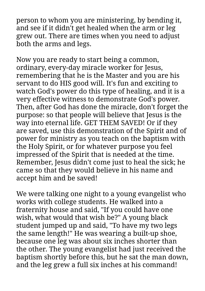person to whom you are ministering, by bending it, and see if it didn't get healed when the arm or leg grew out. There are times when you need to adjust both the arms and legs.

Now you are ready to start being a common, ordinary, every-day miracle worker for Jesus, remembering that he is the Master and you are his servant to do HIS good will. It's fun and exciting to watch God's power do this type of healing, and it is a very effective witness to demonstrate God's power. Then, after God has done the miracle, don't forget the purpose: so that people will believe that Jesus is the way into eternal life. GET THEM SAVED! Or if they are saved, use this demonstration of the Spirit and of power for ministry as you teach on the baptism with the Holy Spirit, or for whatever purpose you feel impressed of the Spirit that is needed at the time. Remember, Jesus didn't come just to heal the sick; he came so that they would believe in his name and accept him and be saved!

We were talking one night to a young evangelist who works with college students. He walked into a fraternity house and said, "If you could have one wish, what would that wish be?" A young black student jumped up and said, "To have my two legs the same length!" He was wearing a built-up shoe, because one leg was about six inches shorter than the other. The young evangelist had just received the baptism shortly before this, but he sat the man down, and the leg grew a full six inches at his command!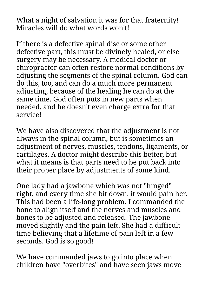What a night of salvation it was for that fraternity! Miracles will do what words won't!

If there is a defective spinal disc or some other defective part, this must be divinely healed, or else surgery may be necessary. A medical doctor or chiropractor can often restore normal conditions by adjusting the segments of the spinal column. God can do this, too, and can do a much more permanent adjusting, because of the healing he can do at the same time. God often puts in new parts when needed, and he doesn't even charge extra for that service!

We have also discovered that the adjustment is not always in the spinal column, but is sometimes an adjustment of nerves, muscles, tendons, ligaments, or cartilages. A doctor might describe this better, but what it means is that parts need to be put back into their proper place by adjustments of some kind.

One lady had a jawbone which was not "hinged" right, and every time she bit down, it would pain her. This had been a life-long problem. I commanded the bone to align itself and the nerves and muscles and bones to be adjusted and released. The jawbone moved slightly and the pain left. She had a difficult time believing that a lifetime of pain left in a few seconds. God is so good!

We have commanded jaws to go into place when children have "overbites" and have seen jaws move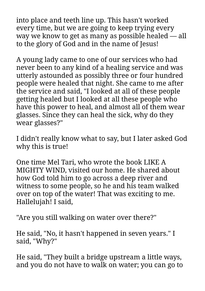into place and teeth line up. This hasn't worked every time, but we are going to keep trying every way we know to get as many as possible healed — all to the glory of God and in the name of Jesus!

A young lady came to one of our services who had never been to any kind of a healing service and was utterly astounded as possibly three or four hundred people were healed that night. She came to me after the service and said, "I looked at all of these people getting healed but I looked at all these people who have this power to heal, and almost all of them wear glasses. Since they can heal the sick, why do they wear glasses?"

I didn't really know what to say, but I later asked God why this is true!

One time Mel Tari, who wrote the book LIKE A MIGHTY WIND, visited our home. He shared about how God told him to go across a deep river and witness to some people, so he and his team walked over on top of the water! That was exciting to me. Hallelujah! I said,

"Are you still walking on water over there?"

He said, "No, it hasn't happened in seven years." I said, "Why?"

He said, "They built a bridge upstream a little ways, and you do not have to walk on water; you can go to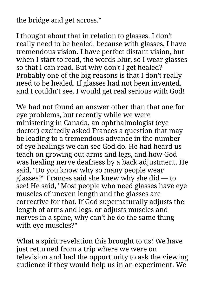the bridge and get across."

I thought about that in relation to glasses. I don't really need to be healed, because with glasses, I have tremendous vision. I have perfect distant vision, but when I start to read, the words blur, so I wear glasses so that I can read. But why don't I get healed? Probably one of the big reasons is that I don't really need to be healed. If glasses had not been invented, and I couldn't see, I would get real serious with God!

We had not found an answer other than that one for eye problems, but recently while we were ministering in Canada, an ophthalmologist (eye doctor) excitedly asked Frances a question that may be leading to a tremendous advance in the number of eye healings we can see God do. He had heard us teach on growing out arms and legs, and how God was healing nerve deafness by a back adjustment. He said, "Do you know why so many people wear glasses?" Frances said she knew why she did — to see! He said, "Most people who need glasses have eye muscles of uneven length and the glasses are corrective for that. If God supernaturally adjusts the length of arms and legs, or adjusts muscles and nerves in a spine, why can't he do the same thing with eye muscles?"

What a spirit revelation this brought to us! We have just returned from a trip where we were on television and had the opportunity to ask the viewing audience if they would help us in an experiment. We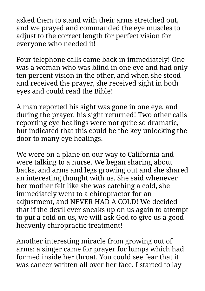asked them to stand with their arms stretched out, and we prayed and commanded the eye muscles to adjust to the correct length for perfect vision for everyone who needed it!

Four telephone calls came back in immediately! One was a woman who was blind in one eye and had only ten percent vision in the other, and when she stood and received the prayer, she received sight in both eyes and could read the Bible!

A man reported his sight was gone in one eye, and during the prayer, his sight returned! Two other calls reporting eye healings were not quite so dramatic, but indicated that this could be the key unlocking the door to many eye healings.

We were on a plane on our way to California and were talking to a nurse. We began sharing about backs, and arms and legs growing out and she shared an interesting thought with us. She said whenever her mother felt like she was catching a cold, she immediately went to a chiropractor for an adjustment, and NEVER HAD A COLD! We decided that if the devil ever sneaks up on us again to attempt to put a cold on us, we will ask God to give us a good heavenly chiropractic treatment!

Another interesting miracle from growing out of arms: a singer came for prayer for lumps which had formed inside her throat. You could see fear that it was cancer written all over her face. I started to lay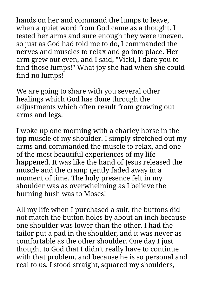hands on her and command the lumps to leave, when a quiet word from God came as a thought. I tested her arms and sure enough they were uneven, so just as God had told me to do, I commanded the nerves and muscles to relax and go into place. Her arm grew out even, and I said, "Vicki, I dare you to find those lumps!" What joy she had when she could find no lumps!

We are going to share with you several other healings which God has done through the adjustments which often result from growing out arms and legs.

I woke up one morning with a charley horse in the top muscle of my shoulder. I simply stretched out my arms and commanded the muscle to relax, and one of the most beautiful experiences of my life happened. It was like the hand of Jesus released the muscle and the cramp gently faded away in a moment of time. The holy presence felt in my shoulder was as overwhelming as I believe the burning bush was to Moses!

All my life when I purchased a suit, the buttons did not match the button holes by about an inch because one shoulder was lower than the other. I had the tailor put a pad in the shoulder, and it was never as comfortable as the other shoulder. One day I just thought to God that I didn't really have to continue with that problem, and because he is so personal and real to us, I stood straight, squared my shoulders,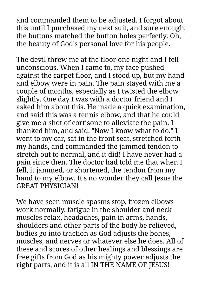and commanded them to be adjusted. I forgot about this until I purchased my next suit, and sure enough, the buttons matched the button holes perfectly. Oh, the beauty of God's personal love for his people.

The devil threw me at the floor one night and I fell unconscious. When I came to, my face pushed against the carpet floor, and I stood up, but my hand and elbow were in pain. The pain stayed with me a couple of months, especially as I twisted the elbow slightly. One day I was with a doctor friend and I asked him about this. He made a quick examination, and said this was a tennis elbow, and that he could give me a shot of cortisone to alleviate the pain. I thanked him, and said, "Now I know what to do." I went to my car, sat in the front seat, stretched forth my hands, and commanded the jammed tendon to stretch out to normal, and it did! I have never had a pain since then. The doctor had told me that when I fell, it jammed, or shortened, the tendon from my hand to my elbow. It's no wonder they call Jesus the GREAT PHYSICIAN!

We have seen muscle spasms stop, frozen elbows work normally, fatigue in the shoulder and neck muscles relax, headaches, pain in arms, hands, shoulders and other parts of the body be relieved, bodies go into traction as God adjusts the bones, muscles, and nerves or whatever else he does. All of these and scores of other healings and blessings are free gifts from God as his mighty power adjusts the right parts, and it is all IN THE NAME OF JESUS!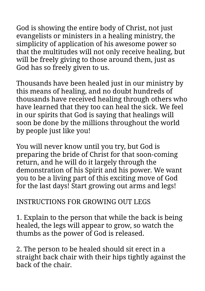God is showing the entire body of Christ, not just evangelists or ministers in a healing ministry, the simplicity of application of his awesome power so that the multitudes will not only receive healing, but will be freely giving to those around them, just as God has so freely given to us.

Thousands have been healed just in our ministry by this means of healing, and no doubt hundreds of thousands have received healing through others who have learned that they too can heal the sick. We feel in our spirits that God is saying that healings will soon be done by the millions throughout the world by people just like you!

You will never know until you try, but God is preparing the bride of Christ for that soon-coming return, and he will do it largely through the demonstration of his Spirit and his power. We want you to be a living part of this exciting move of God for the last days! Start growing out arms and legs!

### INSTRUCTIONS FOR GROWING OUT LEGS

1. Explain to the person that while the back is being healed, the legs will appear to grow, so watch the thumbs as the power of God is released.

2. The person to be healed should sit erect in a straight back chair with their hips tightly against the back of the chair.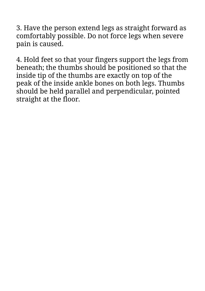3. Have the person extend legs as straight forward as comfortably possible. Do not force legs when severe pain is caused.

4. Hold feet so that your fingers support the legs from beneath; the thumbs should be positioned so that the inside tip of the thumbs are exactly on top of the peak of the inside ankle bones on both legs. Thumbs should be held parallel and perpendicular, pointed straight at the floor.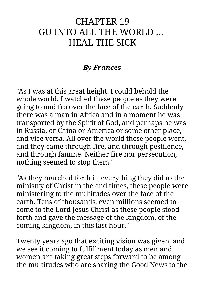# CHAPTER 19 GO INTO ALL THE WORLD ... HEAL THE SICK

#### *By Frances*

"As I was at this great height, I could behold the whole world. I watched these people as they were going to and fro over the face of the earth. Suddenly there was a man in Africa and in a moment he was transported by the Spirit of God, and perhaps he was in Russia, or China or America or some other place, and vice versa. All over the world these people went, and they came through fire, and through pestilence, and through famine. Neither fire nor persecution, nothing seemed to stop them."

"As they marched forth in everything they did as the ministry of Christ in the end times, these people were ministering to the multitudes over the face of the earth. Tens of thousands, even millions seemed to come to the Lord Jesus Christ as these people stood forth and gave the message of the kingdom, of the coming kingdom, in this last hour."

Twenty years ago that exciting vision was given, and we see it coming to fulfillment today as men and women are taking great steps forward to be among the multitudes who are sharing the Good News to the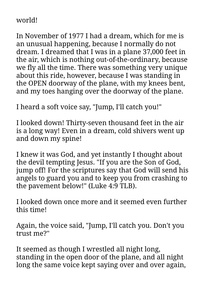### world!

In November of 1977 I had a dream, which for me is an unusual happening, because I normally do not dream. I dreamed that I was in a plane 37,000 feet in the air, which is nothing out-of-the-ordinary, because we fly all the time. There was something very unique about this ride, however, because I was standing in the OPEN doorway of the plane, with my knees bent, and my toes hanging over the doorway of the plane.

I heard a soft voice say, "Jump, I'll catch you!"

I looked down! Thirty-seven thousand feet in the air is a long way! Even in a dream, cold shivers went up and down my spine!

I knew it was God, and yet instantly I thought about the devil tempting Jesus. "If you are the Son of God, jump off! For the scriptures say that God will send his angels to guard you and to keep you from crashing to the pavement below!" (Luke 4:9 TLB).

I looked down once more and it seemed even further this time!

Again, the voice said, "Jump, I'll catch you. Don't you trust me?"

It seemed as though I wrestled all night long, standing in the open door of the plane, and all night long the same voice kept saying over and over again,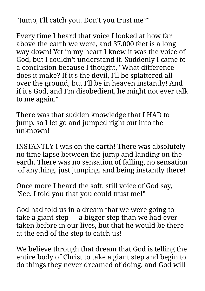"Jump, I'll catch you. Don't you trust me?"

Every time I heard that voice I looked at how far above the earth we were, and 37,000 feet is a long way down! Yet in my heart I knew it was the voice of God, but I couldn't understand it. Suddenly I came to a conclusion because I thought, "What difference does it make? If it's the devil, I'll be splattered all over the ground, but I'll be in heaven instantly! And if it's God, and I'm disobedient, he might not ever talk to me again."

There was that sudden knowledge that I HAD to jump, so I let go and jumped right out into the unknown!

INSTANTLY I was on the earth! There was absolutely no time lapse between the jump and landing on the earth. There was no sensation of falling, no sensation of anything, just jumping, and being instantly there!

Once more I heard the soft, still voice of God say, "See, I told you that you could trust me!"

God had told us in a dream that we were going to take a giant step — a bigger step than we had ever taken before in our lives, but that he would be there at the end of the step to catch us!

We believe through that dream that God is telling the entire body of Christ to take a giant step and begin to do things they never dreamed of doing, and God will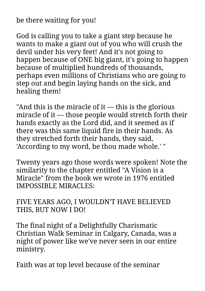### be there waiting for you!

God is calling you to take a giant step because he wants to make a giant out of you who will crush the devil under his very feet! And it's not going to happen because of ONE big giant, it's going to happen because of multiplied hundreds of thousands, perhaps even millions of Christians who are going to step out and begin laying hands on the sick, and healing them!

"And this is the miracle of it  $-$  this is the glorious miracle of it — those people would stretch forth their hands exactly as the Lord did, and it seemed as if there was this same liquid fire in their hands. As they stretched forth their hands, they said, 'According to my word, be thou made whole.' "

Twenty years ago those words were spoken! Note the similarity to the chapter entitled "A Vision is a Miracle" from the book we wrote in 1976 entitled IMPOSSIBLE MIRACLES:

FIVE YEARS AGO, I WOULDN'T HAVE BELIEVED THIS, BUT NOW I DO!

The final night of a Delightfully Charismatic Christian Walk Seminar in Calgary, Canada, was a night of power like we've never seen in our entire ministry.

Faith was at top level because of the seminar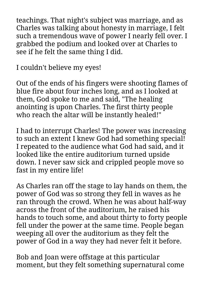teachings. That night's subject was marriage, and as Charles was talking about honesty in marriage, I felt such a tremendous wave of power I nearly fell over. I grabbed the podium and looked over at Charles to see if he felt the same thing I did.

I couldn't believe my eyes!

Out of the ends of his fingers were shooting flames of blue fire about four inches long, and as I looked at them, God spoke to me and said, "The healing anointing is upon Charles. The first thirty people who reach the altar will be instantly healed!"

I had to interrupt Charles! The power was increasing to such an extent I knew God had something special! I repeated to the audience what God had said, and it looked like the entire auditorium turned upside down. I never saw sick and crippled people move so fast in my entire life!

As Charles ran off the stage to lay hands on them, the power of God was so strong they fell in waves as he ran through the crowd. When he was about half-way across the front of the auditorium, he raised his hands to touch some, and about thirty to forty people fell under the power at the same time. People began weeping all over the auditorium as they felt the power of God in a way they had never felt it before.

Bob and Joan were offstage at this particular moment, but they felt something supernatural come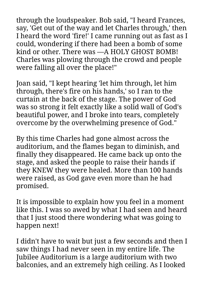through the loudspeaker. Bob said, "I heard Frances, say, 'Get out of the way and let Charles through,' then I heard the word 'fire!' I came running out as fast as I could, wondering if there had been a bomb of some kind or other. There was —A HOLY GHOST BOMB! Charles was plowing through the crowd and people were falling all over the place!"

Joan said, "I kept hearing 'let him through, let him through, there's fire on his hands,' so I ran to the curtain at the back of the stage. The power of God was so strong it felt exactly like a solid wall of God's beautiful power, and I broke into tears, completely overcome by the overwhelming presence of God."

By this time Charles had gone almost across the auditorium, and the flames began to diminish, and finally they disappeared. He came back up onto the stage, and asked the people to raise their hands if they KNEW they were healed. More than 100 hands were raised, as God gave even more than he had promised.

It is impossible to explain how you feel in a moment like this. I was so awed by what I had seen and heard that I just stood there wondering what was going to happen next!

I didn't have to wait but just a few seconds and then I saw things I had never seen in my entire life. The Jubilee Auditorium is a large auditorium with two balconies, and an extremely high ceiling. As I looked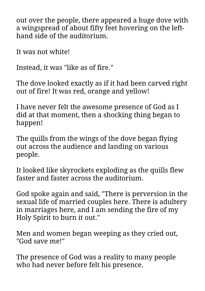out over the people, there appeared a huge dove with a wingspread of about fifty feet hovering on the lefthand side of the auditorium.

It was not white!

Instead, it was "like as of fire."

The dove looked exactly as if it had been carved right out of fire! It was red, orange and yellow!

I have never felt the awesome presence of God as I did at that moment, then a shocking thing began to happen!

The quills from the wings of the dove began flying out across the audience and landing on various people.

It looked like skyrockets exploding as the quills flew faster and faster across the auditorium.

God spoke again and said, "There is perversion in the sexual life of married couples here. There is adultery in marriages here, and I am sending the fire of my Holy Spirit to burn it out."

Men and women began weeping as they cried out, "God save me!"

The presence of God was a reality to many people who had never before felt his presence.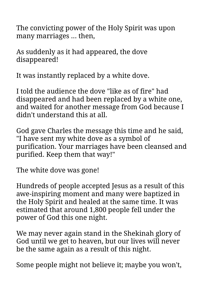The convicting power of the Holy Spirit was upon many marriages ... then,

As suddenly as it had appeared, the dove disappeared!

It was instantly replaced by a white dove.

I told the audience the dove "like as of fire" had disappeared and had been replaced by a white one, and waited for another message from God because I didn't understand this at all.

God gave Charles the message this time and he said, "I have sent my white dove as a symbol of purification. Your marriages have been cleansed and purified. Keep them that way!"

The white dove was gone!

Hundreds of people accepted Jesus as a result of this awe-inspiring moment and many were baptized in the Holy Spirit and healed at the same time. It was estimated that around 1,800 people fell under the power of God this one night.

We may never again stand in the Shekinah glory of God until we get to heaven, but our lives will never be the same again as a result of this night.

Some people might not believe it; maybe you won't,